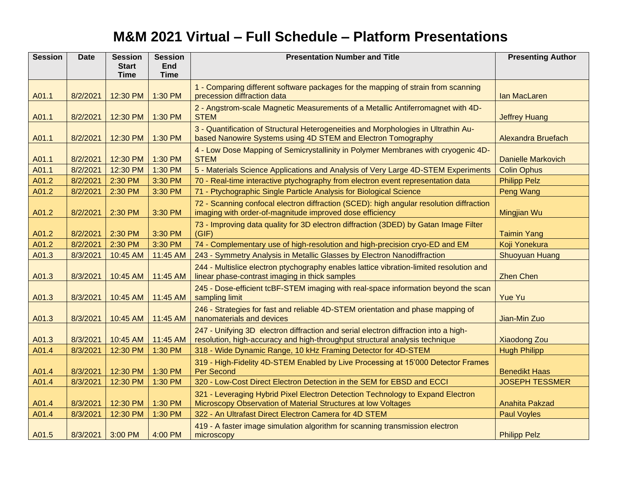## **M&M 2021 Virtual – Full Schedule – Platform Presentations**

| <b>Session</b> | <b>Date</b> | <b>Session</b>              | <b>Session</b>     | <b>Presentation Number and Title</b>                                                                                                                               | <b>Presenting Author</b>  |
|----------------|-------------|-----------------------------|--------------------|--------------------------------------------------------------------------------------------------------------------------------------------------------------------|---------------------------|
|                |             | <b>Start</b><br><b>Time</b> | End<br><b>Time</b> |                                                                                                                                                                    |                           |
|                |             |                             |                    |                                                                                                                                                                    |                           |
| A01.1          | 8/2/2021    | 12:30 PM                    | 1:30 PM            | 1 - Comparing different software packages for the mapping of strain from scanning<br>precession diffraction data                                                   | Ian MacLaren              |
| A01.1          | 8/2/2021    | 12:30 PM                    | 1:30 PM            | 2 - Angstrom-scale Magnetic Measurements of a Metallic Antiferromagnet with 4D-<br><b>STEM</b>                                                                     | <b>Jeffrey Huang</b>      |
| A01.1          | 8/2/2021    | 12:30 PM                    | 1:30 PM            | 3 - Quantification of Structural Heterogeneities and Morphologies in Ultrathin Au-<br>based Nanowire Systems using 4D STEM and Electron Tomography                 | <b>Alexandra Bruefach</b> |
| A01.1          | 8/2/2021    | 12:30 PM                    | 1:30 PM            | 4 - Low Dose Mapping of Semicrystallinity in Polymer Membranes with cryogenic 4D-<br><b>STEM</b>                                                                   | <b>Danielle Markovich</b> |
| A01.1          | 8/2/2021    | 12:30 PM                    | 1:30 PM            | 5 - Materials Science Applications and Analysis of Very Large 4D-STEM Experiments                                                                                  | <b>Colin Ophus</b>        |
| A01.2          | 8/2/2021    | 2:30 PM                     | 3:30 PM            | 70 - Real-time interactive ptychography from electron event representation data                                                                                    | <b>Philipp Pelz</b>       |
| A01.2          | 8/2/2021    | 2:30 PM                     | 3:30 PM            | 71 - Ptychographic Single Particle Analysis for Biological Science                                                                                                 | Peng Wang                 |
| A01.2          | 8/2/2021    | 2:30 PM                     | 3:30 PM            | 72 - Scanning confocal electron diffraction (SCED): high angular resolution diffraction<br>imaging with order-of-magnitude improved dose efficiency                | Mingjian Wu               |
| A01.2          | 8/2/2021    | 2:30 PM                     | 3:30 PM            | 73 - Improving data quality for 3D electron diffraction (3DED) by Gatan Image Filter<br>(GIF)                                                                      | <b>Taimin Yang</b>        |
| A01.2          | 8/2/2021    | 2:30 PM                     | 3:30 PM            | 74 - Complementary use of high-resolution and high-precision cryo-ED and EM                                                                                        | Koji Yonekura             |
| A01.3          | 8/3/2021    | 10:45 AM                    | 11:45 AM           | 243 - Symmetry Analysis in Metallic Glasses by Electron Nanodiffraction                                                                                            | <b>Shuoyuan Huang</b>     |
| A01.3          | 8/3/2021    | 10:45 AM                    | 11:45 AM           | 244 - Multislice electron ptychography enables lattice vibration-limited resolution and<br>linear phase-contrast imaging in thick samples                          | <b>Zhen Chen</b>          |
| A01.3          | 8/3/2021    | 10:45 AM                    | 11:45 AM           | 245 - Dose-efficient tcBF-STEM imaging with real-space information beyond the scan<br>sampling limit                                                               | <b>Yue Yu</b>             |
| A01.3          | 8/3/2021    | 10:45 AM                    | 11:45 AM           | 246 - Strategies for fast and reliable 4D-STEM orientation and phase mapping of<br>nanomaterials and devices                                                       | Jian-Min Zuo              |
| A01.3          | 8/3/2021    | 10:45 AM                    | 11:45 AM           | 247 - Unifying 3D electron diffraction and serial electron diffraction into a high-<br>resolution, high-accuracy and high-throughput structural analysis technique | <b>Xiaodong Zou</b>       |
| A01.4          | 8/3/2021    | 12:30 PM                    | 1:30 PM            | 318 - Wide Dynamic Range, 10 kHz Framing Detector for 4D-STEM                                                                                                      | <b>Hugh Philipp</b>       |
| A01.4          | 8/3/2021    | 12:30 PM                    | 1:30 PM            | 319 - High-Fidelity 4D-STEM Enabled by Live Processing at 15'000 Detector Frames<br><b>Per Second</b>                                                              | <b>Benedikt Haas</b>      |
| A01.4          | 8/3/2021    | 12:30 PM                    | 1:30 PM            | 320 - Low-Cost Direct Electron Detection in the SEM for EBSD and ECCI                                                                                              | <b>JOSEPH TESSMER</b>     |
| A01.4          | 8/3/2021    | 12:30 PM                    | 1:30 PM            | 321 - Leveraging Hybrid Pixel Electron Detection Technology to Expand Electron<br>Microscopy Observation of Material Structures at low Voltages                    | <b>Anahita Pakzad</b>     |
| A01.4          | 8/3/2021    | 12:30 PM                    | 1:30 PM            | 322 - An Ultrafast Direct Electron Camera for 4D STEM                                                                                                              | <b>Paul Voyles</b>        |
| A01.5          | 8/3/2021    | 3:00 PM                     | 4:00 PM            | 419 - A faster image simulation algorithm for scanning transmission electron<br>microscopy                                                                         | <b>Philipp Pelz</b>       |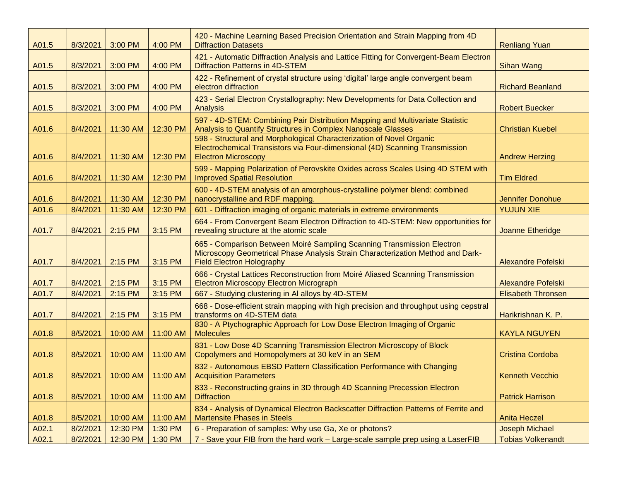| A01.5 | 8/3/2021 | 3:00 PM  | 4:00 PM  | 420 - Machine Learning Based Precision Orientation and Strain Mapping from 4D<br><b>Diffraction Datasets</b>                                                                                 | <b>Renliang Yuan</b>      |
|-------|----------|----------|----------|----------------------------------------------------------------------------------------------------------------------------------------------------------------------------------------------|---------------------------|
| A01.5 | 8/3/2021 | 3:00 PM  | 4:00 PM  | 421 - Automatic Diffraction Analysis and Lattice Fitting for Convergent-Beam Electron<br><b>Diffraction Patterns in 4D-STEM</b>                                                              | <b>Sihan Wang</b>         |
| A01.5 | 8/3/2021 | 3:00 PM  | 4:00 PM  | 422 - Refinement of crystal structure using 'digital' large angle convergent beam<br>electron diffraction                                                                                    | <b>Richard Beanland</b>   |
| A01.5 | 8/3/2021 | 3:00 PM  | 4:00 PM  | 423 - Serial Electron Crystallography: New Developments for Data Collection and<br>Analysis                                                                                                  | <b>Robert Buecker</b>     |
| A01.6 | 8/4/2021 | 11:30 AM | 12:30 PM | 597 - 4D-STEM: Combining Pair Distribution Mapping and Multivariate Statistic<br>Analysis to Quantify Structures in Complex Nanoscale Glasses                                                | <b>Christian Kuebel</b>   |
| A01.6 | 8/4/2021 | 11:30 AM | 12:30 PM | 598 - Structural and Morphological Characterization of Novel Organic<br>Electrochemical Transistors via Four-dimensional (4D) Scanning Transmission<br><b>Electron Microscopy</b>            | <b>Andrew Herzing</b>     |
| A01.6 | 8/4/2021 | 11:30 AM | 12:30 PM | 599 - Mapping Polarization of Perovskite Oxides across Scales Using 4D STEM with<br><b>Improved Spatial Resolution</b>                                                                       | <b>Tim Eldred</b>         |
| A01.6 | 8/4/2021 | 11:30 AM | 12:30 PM | 600 - 4D-STEM analysis of an amorphous-crystalline polymer blend: combined<br>nanocrystalline and RDF mapping.                                                                               | <b>Jennifer Donohue</b>   |
| A01.6 | 8/4/2021 | 11:30 AM | 12:30 PM | 601 - Diffraction imaging of organic materials in extreme environments                                                                                                                       | <b>YUJUN XIE</b>          |
| A01.7 | 8/4/2021 | 2:15 PM  | 3:15 PM  | 664 - From Convergent Beam Electron Diffraction to 4D-STEM: New opportunities for<br>revealing structure at the atomic scale                                                                 | Joanne Etheridge          |
| A01.7 | 8/4/2021 | 2:15 PM  | 3:15 PM  | 665 - Comparison Between Moiré Sampling Scanning Transmission Electron<br>Microscopy Geometrical Phase Analysis Strain Characterization Method and Dark-<br><b>Field Electron Holography</b> | <b>Alexandre Pofelski</b> |
| A01.7 | 8/4/2021 | 2:15 PM  | 3:15 PM  | 666 - Crystal Lattices Reconstruction from Moiré Aliased Scanning Transmission<br><b>Electron Microscopy Electron Micrograph</b>                                                             | <b>Alexandre Pofelski</b> |
| A01.7 | 8/4/2021 | 2:15 PM  | 3:15 PM  | 667 - Studying clustering in Al alloys by 4D-STEM                                                                                                                                            | <b>Elisabeth Thronsen</b> |
| A01.7 | 8/4/2021 | 2:15 PM  | 3:15 PM  | 668 - Dose-efficient strain mapping with high precision and throughput using cepstral<br>transforms on 4D-STEM data                                                                          | Harikrishnan K. P.        |
| A01.8 | 8/5/2021 | 10:00 AM | 11:00 AM | 830 - A Ptychographic Approach for Low Dose Electron Imaging of Organic<br><b>Molecules</b>                                                                                                  | <b>KAYLA NGUYEN</b>       |
| A01.8 | 8/5/2021 | 10:00 AM | 11:00 AM | 831 - Low Dose 4D Scanning Transmission Electron Microscopy of Block<br>Copolymers and Homopolymers at 30 keV in an SEM                                                                      | Cristina Cordoba          |
| A01.8 | 8/5/2021 | 10:00 AM | 11:00 AM | 832 - Autonomous EBSD Pattern Classification Performance with Changing<br><b>Acquisition Parameters</b>                                                                                      | <b>Kenneth Vecchio</b>    |
| A01.8 | 8/5/2021 | 10:00 AM | 11:00 AM | 833 - Reconstructing grains in 3D through 4D Scanning Precession Electron<br><b>Diffraction</b>                                                                                              | <b>Patrick Harrison</b>   |
| A01.8 | 8/5/2021 | 10:00 AM | 11:00 AM | 834 - Analysis of Dynamical Electron Backscatter Diffraction Patterns of Ferrite and<br><b>Martensite Phases in Steels</b>                                                                   | <b>Anita Heczel</b>       |
| A02.1 | 8/2/2021 | 12:30 PM | 1:30 PM  | 6 - Preparation of samples: Why use Ga, Xe or photons?                                                                                                                                       | Joseph Michael            |
| A02.1 | 8/2/2021 | 12:30 PM | 1:30 PM  | 7 - Save your FIB from the hard work - Large-scale sample prep using a LaserFIB                                                                                                              | <b>Tobias Volkenandt</b>  |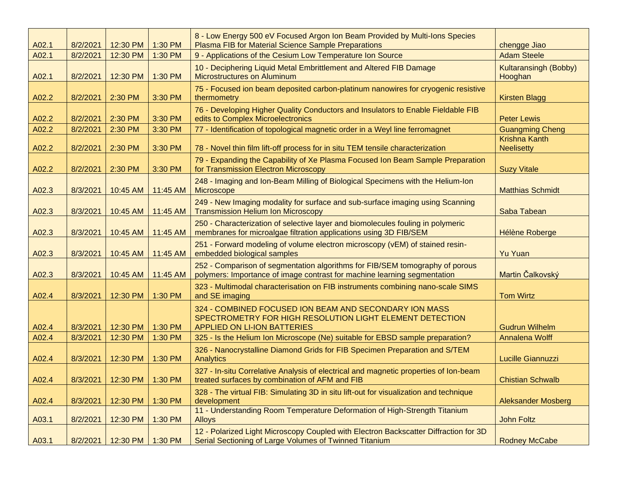| A02.1 | 8/2/2021 | 12:30 PM         | 1:30 PM  | 8 - Low Energy 500 eV Focused Argon Ion Beam Provided by Multi-Ions Species<br>Plasma FIB for Material Science Sample Preparations                       | chengge Jiao                              |
|-------|----------|------------------|----------|----------------------------------------------------------------------------------------------------------------------------------------------------------|-------------------------------------------|
| A02.1 | 8/2/2021 | 12:30 PM         | 1:30 PM  | 9 - Applications of the Cesium Low Temperature Ion Source                                                                                                | <b>Adam Steele</b>                        |
| A02.1 | 8/2/2021 | 12:30 PM         | 1:30 PM  | 10 - Deciphering Liquid Metal Embrittlement and Altered FIB Damage<br>Microstructures on Aluminum                                                        | <b>Kultaransingh (Bobby)</b><br>Hooghan   |
| A02.2 | 8/2/2021 | 2:30 PM          | 3:30 PM  | 75 - Focused ion beam deposited carbon-platinum nanowires for cryogenic resistive<br>thermometry                                                         | <b>Kirsten Blagg</b>                      |
| A02.2 | 8/2/2021 | 2:30 PM          | 3:30 PM  | 76 - Developing Higher Quality Conductors and Insulators to Enable Fieldable FIB<br>edits to Complex Microelectronics                                    | <b>Peter Lewis</b>                        |
| A02.2 | 8/2/2021 | 2:30 PM          | 3:30 PM  | 77 - Identification of topological magnetic order in a Weyl line ferromagnet                                                                             | <b>Guangming Cheng</b>                    |
| A02.2 | 8/2/2021 | 2:30 PM          | 3:30 PM  | 78 - Novel thin film lift-off process for in situ TEM tensile characterization                                                                           | <b>Krishna Kanth</b><br><b>Neelisetty</b> |
| A02.2 | 8/2/2021 | 2:30 PM          | 3:30 PM  | 79 - Expanding the Capability of Xe Plasma Focused Ion Beam Sample Preparation<br>for Transmission Electron Microscopy                                   | <b>Suzy Vitale</b>                        |
| A02.3 | 8/3/2021 | 10:45 AM         | 11:45 AM | 248 - Imaging and Ion-Beam Milling of Biological Specimens with the Helium-Ion<br>Microscope                                                             | <b>Matthias Schmidt</b>                   |
| A02.3 | 8/3/2021 | 10:45 AM         | 11:45 AM | 249 - New Imaging modality for surface and sub-surface imaging using Scanning<br><b>Transmission Helium Ion Microscopy</b>                               | Saba Tabean                               |
| A02.3 | 8/3/2021 | 10:45 AM         | 11:45 AM | 250 - Characterization of selective layer and biomolecules fouling in polymeric<br>membranes for microalgae filtration applications using 3D FIB/SEM     | <b>Hélène Roberge</b>                     |
| A02.3 | 8/3/2021 | 10:45 AM         | 11:45 AM | 251 - Forward modeling of volume electron microscopy (vEM) of stained resin-<br>embedded biological samples                                              | <b>Yu Yuan</b>                            |
| A02.3 | 8/3/2021 | 10:45 AM         | 11:45 AM | 252 - Comparison of segmentation algorithms for FIB/SEM tomography of porous<br>polymers: Importance of image contrast for machine learning segmentation | Martin Čalkovský                          |
| A02.4 | 8/3/2021 | 12:30 PM         | 1:30 PM  | 323 - Multimodal characterisation on FIB instruments combining nano-scale SIMS<br>and SE imaging                                                         | <b>Tom Wirtz</b>                          |
| A02.4 | 8/3/2021 | 12:30 PM         | 1:30 PM  | 324 - COMBINED FOCUSED ION BEAM AND SECONDARY ION MASS<br>SPECTROMETRY FOR HIGH RESOLUTION LIGHT ELEMENT DETECTION<br><b>APPLIED ON LI-ION BATTERIES</b> | <b>Gudrun Wilhelm</b>                     |
| A02.4 | 8/3/2021 | 12:30 PM         | 1:30 PM  | 325 - Is the Helium Ion Microscope (Ne) suitable for EBSD sample preparation?                                                                            | Annalena Wolff                            |
| A02.4 | 8/3/2021 | 12:30 PM         | 1:30 PM  | 326 - Nanocrystalline Diamond Grids for FIB Specimen Preparation and S/TEM<br>Analytics                                                                  | Lucille Giannuzzi                         |
| A02.4 | 8/3/2021 | 12:30 PM 1:30 PM |          | 327 - In-situ Correlative Analysis of electrical and magnetic properties of Ion-beam<br>treated surfaces by combination of AFM and FIB                   | <b>Chistian Schwalb</b>                   |
| A02.4 | 8/3/2021 | 12:30 PM         | 1:30 PM  | 328 - The virtual FIB: Simulating 3D in situ lift-out for visualization and technique<br>development                                                     | <b>Aleksander Mosberg</b>                 |
| A03.1 | 8/2/2021 | 12:30 PM         | 1:30 PM  | 11 - Understanding Room Temperature Deformation of High-Strength Titanium<br><b>Alloys</b>                                                               | <b>John Foltz</b>                         |
| A03.1 | 8/2/2021 | 12:30 PM         | 1:30 PM  | 12 - Polarized Light Microscopy Coupled with Electron Backscatter Diffraction for 3D<br>Serial Sectioning of Large Volumes of Twinned Titanium           | <b>Rodney McCabe</b>                      |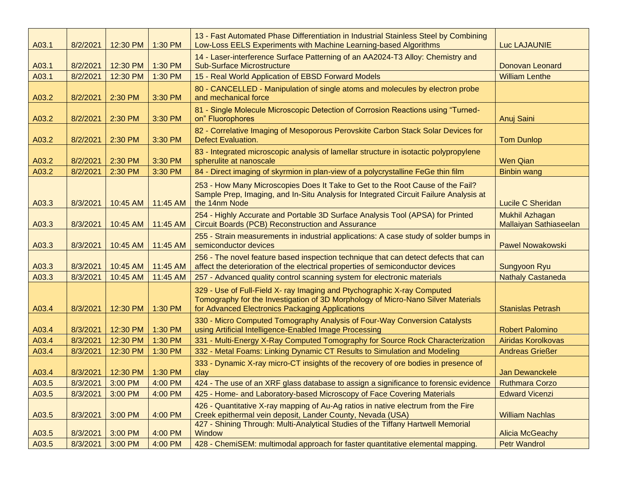| A03.1 | 8/2/2021 | 12:30 PM | 1:30 PM  | 13 - Fast Automated Phase Differentiation in Industrial Stainless Steel by Combining<br>Low-Loss EELS Experiments with Machine Learning-based Algorithms                                                       | <b>Luc LAJAUNIE</b>                      |
|-------|----------|----------|----------|----------------------------------------------------------------------------------------------------------------------------------------------------------------------------------------------------------------|------------------------------------------|
| A03.1 | 8/2/2021 | 12:30 PM | 1:30 PM  | 14 - Laser-interference Surface Patterning of an AA2024-T3 Alloy: Chemistry and<br><b>Sub-Surface Microstructure</b>                                                                                           | <b>Donovan Leonard</b>                   |
| A03.1 | 8/2/2021 | 12:30 PM | 1:30 PM  | 15 - Real World Application of EBSD Forward Models                                                                                                                                                             | <b>William Lenthe</b>                    |
| A03.2 | 8/2/2021 | 2:30 PM  | 3:30 PM  | 80 - CANCELLED - Manipulation of single atoms and molecules by electron probe<br>and mechanical force                                                                                                          |                                          |
| A03.2 | 8/2/2021 | 2:30 PM  | 3:30 PM  | 81 - Single Molecule Microscopic Detection of Corrosion Reactions using "Turned-<br>on" Fluorophores                                                                                                           | Anuj Saini                               |
| A03.2 | 8/2/2021 | 2:30 PM  | 3:30 PM  | 82 - Correlative Imaging of Mesoporous Perovskite Carbon Stack Solar Devices for<br><b>Defect Evaluation.</b>                                                                                                  | <b>Tom Dunlop</b>                        |
| A03.2 | 8/2/2021 | 2:30 PM  | 3:30 PM  | 83 - Integrated microscopic analysis of lamellar structure in isotactic polypropylene<br>spherulite at nanoscale                                                                                               | <b>Wen Qian</b>                          |
| A03.2 | 8/2/2021 | 2:30 PM  | 3:30 PM  | 84 - Direct imaging of skyrmion in plan-view of a polycrystalline FeGe thin film                                                                                                                               | <b>Binbin wang</b>                       |
| A03.3 | 8/3/2021 | 10:45 AM | 11:45 AM | 253 - How Many Microscopies Does It Take to Get to the Root Cause of the Fail?<br>Sample Prep, Imaging, and In-Situ Analysis for Integrated Circuit Failure Analysis at<br>the 14nm Node                       | <b>Lucile C Sheridan</b>                 |
| A03.3 | 8/3/2021 | 10:45 AM | 11:45 AM | 254 - Highly Accurate and Portable 3D Surface Analysis Tool (APSA) for Printed<br><b>Circuit Boards (PCB) Reconstruction and Assurance</b>                                                                     | Mukhil Azhagan<br>Mallaiyan Sathiaseelan |
| A03.3 | 8/3/2021 | 10:45 AM | 11:45 AM | 255 - Strain measurements in industrial applications: A case study of solder bumps in<br>semiconductor devices                                                                                                 | <b>Pawel Nowakowski</b>                  |
| A03.3 | 8/3/2021 | 10:45 AM | 11:45 AM | 256 - The novel feature based inspection technique that can detect defects that can<br>affect the deterioration of the electrical properties of semiconductor devices                                          | <b>Sungyoon Ryu</b>                      |
| A03.3 | 8/3/2021 | 10:45 AM | 11:45 AM | 257 - Advanced quality control scanning system for electronic materials                                                                                                                                        | <b>Nathaly Castaneda</b>                 |
| A03.4 | 8/3/2021 | 12:30 PM | 1:30 PM  | 329 - Use of Full-Field X- ray Imaging and Ptychographic X-ray Computed<br>Tomography for the Investigation of 3D Morphology of Micro-Nano Silver Materials<br>for Advanced Electronics Packaging Applications | <b>Stanislas Petrash</b>                 |
| A03.4 | 8/3/2021 | 12:30 PM | 1:30 PM  | 330 - Micro Computed Tomography Analysis of Four-Way Conversion Catalysts<br>using Artificial Intelligence-Enabled Image Processing                                                                            | <b>Robert Palomino</b>                   |
| A03.4 | 8/3/2021 | 12:30 PM | 1:30 PM  | 331 - Multi-Energy X-Ray Computed Tomography for Source Rock Characterization                                                                                                                                  | <b>Airidas Korolkovas</b>                |
| A03.4 | 8/3/2021 | 12:30 PM | 1:30 PM  | 332 - Metal Foams: Linking Dynamic CT Results to Simulation and Modeling                                                                                                                                       | <b>Andreas Grießer</b>                   |
| A03.4 | 8/3/2021 | 12:30 PM | 1:30 PM  | 333 - Dynamic X-ray micro-CT insights of the recovery of ore bodies in presence of<br>clay                                                                                                                     | Jan Dewanckele                           |
| A03.5 | 8/3/2021 | 3:00 PM  | 4:00 PM  | 424 - The use of an XRF glass database to assign a significance to forensic evidence                                                                                                                           | <b>Ruthmara Corzo</b>                    |
| A03.5 | 8/3/2021 | 3:00 PM  | 4:00 PM  | 425 - Home- and Laboratory-based Microscopy of Face Covering Materials                                                                                                                                         | <b>Edward Vicenzi</b>                    |
| A03.5 | 8/3/2021 | 3:00 PM  | 4:00 PM  | 426 - Quantitative X-ray mapping of Au-Ag ratios in native electrum from the Fire<br>Creek epithermal vein deposit, Lander County, Nevada (USA)                                                                | <b>William Nachlas</b>                   |
| A03.5 | 8/3/2021 | 3:00 PM  | 4:00 PM  | 427 - Shining Through: Multi-Analytical Studies of the Tiffany Hartwell Memorial<br>Window                                                                                                                     | <b>Alicia McGeachy</b>                   |
| A03.5 | 8/3/2021 | 3:00 PM  | 4:00 PM  | 428 - ChemiSEM: multimodal approach for faster quantitative elemental mapping.                                                                                                                                 | <b>Petr Wandrol</b>                      |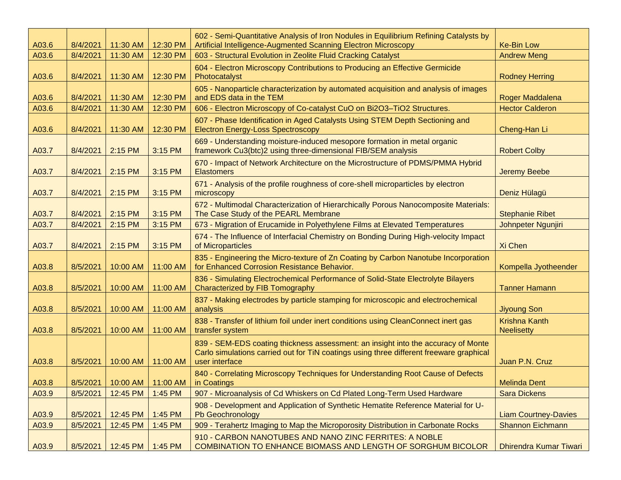| A03.6 | 8/4/2021 | 11:30 AM | 12:30 PM | 602 - Semi-Quantitative Analysis of Iron Nodules in Equilibrium Refining Catalysts by<br>Artificial Intelligence-Augmented Scanning Electron Microscopy                                        | <b>Ke-Bin Low</b>                         |
|-------|----------|----------|----------|------------------------------------------------------------------------------------------------------------------------------------------------------------------------------------------------|-------------------------------------------|
| A03.6 | 8/4/2021 | 11:30 AM | 12:30 PM | 603 - Structural Evolution in Zeolite Fluid Cracking Catalyst                                                                                                                                  | <b>Andrew Meng</b>                        |
| A03.6 | 8/4/2021 | 11:30 AM | 12:30 PM | 604 - Electron Microscopy Contributions to Producing an Effective Germicide<br>Photocatalyst                                                                                                   | <b>Rodney Herring</b>                     |
| A03.6 | 8/4/2021 | 11:30 AM | 12:30 PM | 605 - Nanoparticle characterization by automated acquisition and analysis of images<br>and EDS data in the TEM                                                                                 | Roger Maddalena                           |
| A03.6 | 8/4/2021 | 11:30 AM | 12:30 PM | 606 - Electron Microscopy of Co-catalyst CuO on Bi2O3-TiO2 Structures.                                                                                                                         | <b>Hector Calderon</b>                    |
| A03.6 | 8/4/2021 | 11:30 AM | 12:30 PM | 607 - Phase Identification in Aged Catalysts Using STEM Depth Sectioning and<br><b>Electron Energy-Loss Spectroscopy</b>                                                                       | Cheng-Han Li                              |
| A03.7 | 8/4/2021 | 2:15 PM  | 3:15 PM  | 669 - Understanding moisture-induced mesopore formation in metal organic<br>framework Cu3(btc)2 using three-dimensional FIB/SEM analysis                                                       | <b>Robert Colby</b>                       |
| A03.7 | 8/4/2021 | 2:15 PM  | 3:15 PM  | 670 - Impact of Network Architecture on the Microstructure of PDMS/PMMA Hybrid<br><b>Elastomers</b>                                                                                            | <b>Jeremy Beebe</b>                       |
| A03.7 | 8/4/2021 | 2:15 PM  | 3:15 PM  | 671 - Analysis of the profile roughness of core-shell microparticles by electron<br>microscopy                                                                                                 | Deniz Hülagü                              |
| A03.7 | 8/4/2021 | 2:15 PM  | 3:15 PM  | 672 - Multimodal Characterization of Hierarchically Porous Nanocomposite Materials:<br>The Case Study of the PEARL Membrane                                                                    | <b>Stephanie Ribet</b>                    |
| A03.7 | 8/4/2021 | 2:15 PM  | 3:15 PM  | 673 - Migration of Erucamide in Polyethylene Films at Elevated Temperatures                                                                                                                    | Johnpeter Ngunjiri                        |
| A03.7 | 8/4/2021 | 2:15 PM  | 3:15 PM  | 674 - The Influence of Interfacial Chemistry on Bonding During High-velocity Impact<br>of Microparticles                                                                                       | Xi Chen                                   |
| A03.8 | 8/5/2021 | 10:00 AM | 11:00 AM | 835 - Engineering the Micro-texture of Zn Coating by Carbon Nanotube Incorporation<br>for Enhanced Corrosion Resistance Behavior.                                                              | Kompella Jyotheender                      |
| A03.8 | 8/5/2021 | 10:00 AM | 11:00 AM | 836 - Simulating Electrochemical Performance of Solid-State Electrolyte Bilayers<br>Characterized by FIB Tomography                                                                            | <b>Tanner Hamann</b>                      |
| A03.8 | 8/5/2021 | 10:00 AM | 11:00 AM | 837 - Making electrodes by particle stamping for microscopic and electrochemical<br>analysis                                                                                                   | <b>Jiyoung Son</b>                        |
| A03.8 | 8/5/2021 | 10:00 AM | 11:00 AM | 838 - Transfer of lithium foil under inert conditions using CleanConnect inert gas<br>transfer system                                                                                          | <b>Krishna Kanth</b><br><b>Neelisetty</b> |
| A03.8 | 8/5/2021 | 10:00 AM | 11:00 AM | 839 - SEM-EDS coating thickness assessment: an insight into the accuracy of Monte<br>Carlo simulations carried out for TiN coatings using three different freeware graphical<br>user interface | Juan P.N. Cruz                            |
| A03.8 | 8/5/2021 | 10:00 AM | 11:00 AM | 840 - Correlating Microscopy Techniques for Understanding Root Cause of Defects<br>in Coatings                                                                                                 | <b>Melinda Dent</b>                       |
| A03.9 | 8/5/2021 | 12:45 PM | 1:45 PM  | 907 - Microanalysis of Cd Whiskers on Cd Plated Long-Term Used Hardware                                                                                                                        | <b>Sara Dickens</b>                       |
| A03.9 | 8/5/2021 | 12:45 PM | 1:45 PM  | 908 - Development and Application of Synthetic Hematite Reference Material for U-<br>Pb Geochronology                                                                                          | <b>Liam Courtney-Davies</b>               |
| A03.9 | 8/5/2021 | 12:45 PM | 1:45 PM  | 909 - Terahertz Imaging to Map the Microporosity Distribution in Carbonate Rocks                                                                                                               | <b>Shannon Eichmann</b>                   |
| A03.9 | 8/5/2021 | 12:45 PM | 1:45 PM  | 910 - CARBON NANOTUBES AND NANO ZINC FERRITES: A NOBLE<br><b>COMBINATION TO ENHANCE BIOMASS AND LENGTH OF SORGHUM BICOLOR</b>                                                                  | <b>Dhirendra Kumar Tiwari</b>             |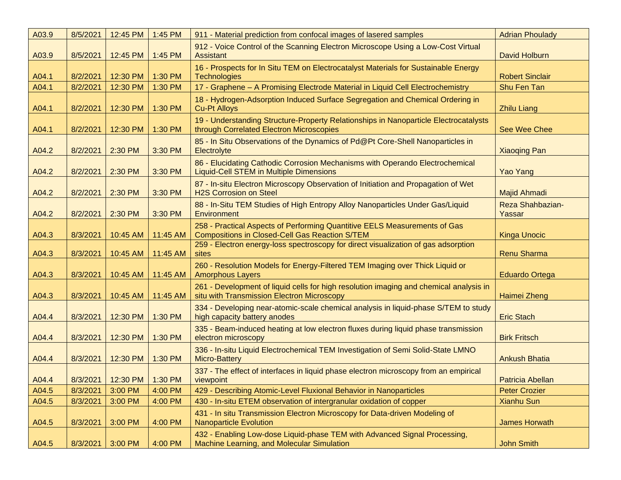| A03.9 | 8/5/2021 | 12:45 PM | 1:45 PM  | 911 - Material prediction from confocal images of lasered samples                                                                    | <b>Adrian Phoulady</b>     |
|-------|----------|----------|----------|--------------------------------------------------------------------------------------------------------------------------------------|----------------------------|
| A03.9 | 8/5/2021 | 12:45 PM | 1:45 PM  | 912 - Voice Control of the Scanning Electron Microscope Using a Low-Cost Virtual<br><b>Assistant</b>                                 | <b>David Holburn</b>       |
| A04.1 | 8/2/2021 | 12:30 PM | 1:30 PM  | 16 - Prospects for In Situ TEM on Electrocatalyst Materials for Sustainable Energy<br><b>Technologies</b>                            | <b>Robert Sinclair</b>     |
| A04.1 | 8/2/2021 | 12:30 PM | 1:30 PM  | 17 - Graphene - A Promising Electrode Material in Liquid Cell Electrochemistry                                                       | Shu Fen Tan                |
| A04.1 | 8/2/2021 | 12:30 PM | 1:30 PM  | 18 - Hydrogen-Adsorption Induced Surface Segregation and Chemical Ordering in<br><b>Cu-Pt Alloys</b>                                 | <b>Zhilu Liang</b>         |
| A04.1 | 8/2/2021 | 12:30 PM | 1:30 PM  | 19 - Understanding Structure-Property Relationships in Nanoparticle Electrocatalysts<br>through Correlated Electron Microscopies     | See Wee Chee               |
| A04.2 | 8/2/2021 | 2:30 PM  | 3:30 PM  | 85 - In Situ Observations of the Dynamics of Pd@Pt Core-Shell Nanoparticles in<br>Electrolyte                                        | <b>Xiaoqing Pan</b>        |
| A04.2 | 8/2/2021 | 2:30 PM  | 3:30 PM  | 86 - Elucidating Cathodic Corrosion Mechanisms with Operando Electrochemical<br><b>Liquid-Cell STEM in Multiple Dimensions</b>       | Yao Yang                   |
| A04.2 | 8/2/2021 | 2:30 PM  | 3:30 PM  | 87 - In-situ Electron Microscopy Observation of Initiation and Propagation of Wet<br><b>H2S Corrosion on Steel</b>                   | Majid Ahmadi               |
| A04.2 | 8/2/2021 | 2:30 PM  | 3:30 PM  | 88 - In-Situ TEM Studies of High Entropy Alloy Nanoparticles Under Gas/Liquid<br>Environment                                         | Reza Shahbazian-<br>Yassar |
| A04.3 | 8/3/2021 | 10:45 AM | 11:45 AM | 258 - Practical Aspects of Performing Quantitive EELS Measurements of Gas<br><b>Compositions in Closed-Cell Gas Reaction S/TEM</b>   | <b>Kinga Unocic</b>        |
| A04.3 | 8/3/2021 | 10:45 AM | 11:45 AM | 259 - Electron energy-loss spectroscopy for direct visualization of gas adsorption<br>sites                                          | <b>Renu Sharma</b>         |
| A04.3 | 8/3/2021 | 10:45 AM | 11:45 AM | 260 - Resolution Models for Energy-Filtered TEM Imaging over Thick Liquid or<br><b>Amorphous Layers</b>                              | <b>Eduardo Ortega</b>      |
| A04.3 | 8/3/2021 | 10:45 AM | 11:45 AM | 261 - Development of liquid cells for high resolution imaging and chemical analysis in<br>situ with Transmission Electron Microscopy | Haimei Zheng               |
| A04.4 | 8/3/2021 | 12:30 PM | 1:30 PM  | 334 - Developing near-atomic-scale chemical analysis in liquid-phase S/TEM to study<br>high capacity battery anodes                  | <b>Eric Stach</b>          |
| A04.4 | 8/3/2021 | 12:30 PM | 1:30 PM  | 335 - Beam-induced heating at low electron fluxes during liquid phase transmission<br>electron microscopy                            | <b>Birk Fritsch</b>        |
| A04.4 | 8/3/2021 | 12:30 PM | 1:30 PM  | 336 - In-situ Liquid Electrochemical TEM Investigation of Semi Solid-State LMNO<br><b>Micro-Battery</b>                              | <b>Ankush Bhatia</b>       |
| A04.4 | 8/3/2021 | 12:30 PM | 1:30 PM  | 337 - The effect of interfaces in liquid phase electron microscopy from an empirical<br>viewpoint                                    | Patricia Abellan           |
| A04.5 | 8/3/2021 | 3:00 PM  | 4:00 PM  | 429 - Describing Atomic-Level Fluxional Behavior in Nanoparticles                                                                    | <b>Peter Crozier</b>       |
| A04.5 | 8/3/2021 | 3:00 PM  | 4:00 PM  | 430 - In-situ ETEM observation of intergranular oxidation of copper                                                                  | <b>Xianhu Sun</b>          |
| A04.5 | 8/3/2021 | 3:00 PM  | 4:00 PM  | 431 - In situ Transmission Electron Microscopy for Data-driven Modeling of<br><b>Nanoparticle Evolution</b>                          | <b>James Horwath</b>       |
| A04.5 | 8/3/2021 | 3:00 PM  | 4:00 PM  | 432 - Enabling Low-dose Liquid-phase TEM with Advanced Signal Processing,<br>Machine Learning, and Molecular Simulation              | <b>John Smith</b>          |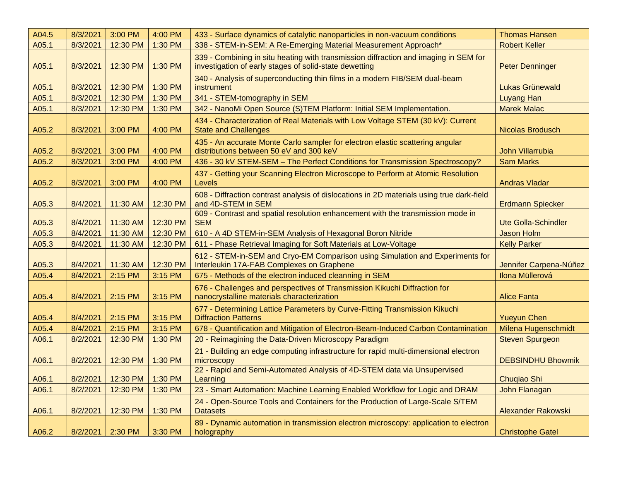| A04.5 | 8/3/2021 | 3:00 PM  | 4:00 PM  | 433 - Surface dynamics of catalytic nanoparticles in non-vacuum conditions                                                                     | <b>Thomas Hansen</b>       |
|-------|----------|----------|----------|------------------------------------------------------------------------------------------------------------------------------------------------|----------------------------|
| A05.1 | 8/3/2021 | 12:30 PM | 1:30 PM  | 338 - STEM-in-SEM: A Re-Emerging Material Measurement Approach*                                                                                | <b>Robert Keller</b>       |
| A05.1 | 8/3/2021 | 12:30 PM | 1:30 PM  | 339 - Combining in situ heating with transmission diffraction and imaging in SEM for<br>investigation of early stages of solid-state dewetting | <b>Peter Denninger</b>     |
| A05.1 | 8/3/2021 | 12:30 PM | 1:30 PM  | 340 - Analysis of superconducting thin films in a modern FIB/SEM dual-beam<br>instrument                                                       | <b>Lukas Grünewald</b>     |
| A05.1 | 8/3/2021 | 12:30 PM | 1:30 PM  | 341 - STEM-tomography in SEM                                                                                                                   | <b>Luyang Han</b>          |
| A05.1 | 8/3/2021 | 12:30 PM | 1:30 PM  | 342 - NanoMi Open Source (S)TEM Platform: Initial SEM Implementation.                                                                          | <b>Marek Malac</b>         |
| A05.2 | 8/3/2021 | 3:00 PM  | 4:00 PM  | 434 - Characterization of Real Materials with Low Voltage STEM (30 kV): Current<br><b>State and Challenges</b>                                 | Nicolas Brodusch           |
| A05.2 | 8/3/2021 | 3:00 PM  | 4:00 PM  | 435 - An accurate Monte Carlo sampler for electron elastic scattering angular<br>distributions between 50 eV and 300 keV                       | <b>John Villarrubia</b>    |
| A05.2 | 8/3/2021 | 3:00 PM  | 4:00 PM  | 436 - 30 kV STEM-SEM - The Perfect Conditions for Transmission Spectroscopy?                                                                   | <b>Sam Marks</b>           |
| A05.2 | 8/3/2021 | 3:00 PM  | 4:00 PM  | 437 - Getting your Scanning Electron Microscope to Perform at Atomic Resolution<br>Levels                                                      | <b>Andras Vladar</b>       |
| A05.3 | 8/4/2021 | 11:30 AM | 12:30 PM | 608 - Diffraction contrast analysis of dislocations in 2D materials using true dark-field<br>and 4D-STEM in SEM                                | <b>Erdmann Spiecker</b>    |
| A05.3 | 8/4/2021 | 11:30 AM | 12:30 PM | 609 - Contrast and spatial resolution enhancement with the transmission mode in<br><b>SEM</b>                                                  | <b>Ute Golla-Schindler</b> |
| A05.3 | 8/4/2021 | 11:30 AM | 12:30 PM | 610 - A 4D STEM-in-SEM Analysis of Hexagonal Boron Nitride                                                                                     | <b>Jason Holm</b>          |
| A05.3 | 8/4/2021 | 11:30 AM | 12:30 PM | 611 - Phase Retrieval Imaging for Soft Materials at Low-Voltage                                                                                | <b>Kelly Parker</b>        |
| A05.3 | 8/4/2021 | 11:30 AM | 12:30 PM | 612 - STEM-in-SEM and Cryo-EM Comparison using Simulation and Experiments for<br>Interleukin 17A-FAB Complexes on Graphene                     | Jennifer Carpena-Núñez     |
| A05.4 | 8/4/2021 | 2:15 PM  | 3:15 PM  | 675 - Methods of the electron induced cleanning in SEM                                                                                         | <b>Ilona Müllerová</b>     |
| A05.4 | 8/4/2021 | 2:15 PM  | 3:15 PM  | 676 - Challenges and perspectives of Transmission Kikuchi Diffraction for<br>nanocrystalline materials characterization                        | <b>Alice Fanta</b>         |
| A05.4 | 8/4/2021 | 2:15 PM  | 3:15 PM  | 677 - Determining Lattice Parameters by Curve-Fitting Transmission Kikuchi<br><b>Diffraction Patterns</b>                                      | <b>Yueyun Chen</b>         |
| A05.4 | 8/4/2021 | 2:15 PM  | 3:15 PM  | 678 - Quantification and Mitigation of Electron-Beam-Induced Carbon Contamination                                                              | Milena Hugenschmidt        |
| A06.1 | 8/2/2021 | 12:30 PM | 1:30 PM  | 20 - Reimagining the Data-Driven Microscopy Paradigm                                                                                           | <b>Steven Spurgeon</b>     |
| A06.1 | 8/2/2021 | 12:30 PM | 1:30 PM  | 21 - Building an edge computing infrastructure for rapid multi-dimensional electron<br>microscopy                                              | <b>DEBSINDHU Bhowmik</b>   |
| A06.1 | 8/2/2021 | 12:30 PM | 1:30 PM  | 22 - Rapid and Semi-Automated Analysis of 4D-STEM data via Unsupervised<br>Learning                                                            | Chuqiao Shi                |
| A06.1 | 8/2/2021 | 12:30 PM | 1:30 PM  | 23 - Smart Automation: Machine Learning Enabled Workflow for Logic and DRAM                                                                    | John Flanagan              |
| A06.1 | 8/2/2021 | 12:30 PM | 1:30 PM  | 24 - Open-Source Tools and Containers for the Production of Large-Scale S/TEM<br><b>Datasets</b>                                               | <b>Alexander Rakowski</b>  |
| A06.2 | 8/2/2021 | 2:30 PM  | 3:30 PM  | 89 - Dynamic automation in transmission electron microscopy: application to electron<br>holography                                             | <b>Christophe Gatel</b>    |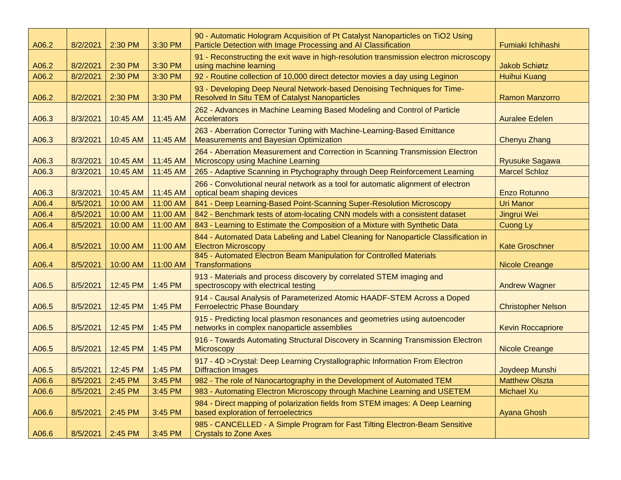| A06.2 | 8/2/2021 | 2:30 PM  | 3:30 PM  | 90 - Automatic Hologram Acquisition of Pt Catalyst Nanoparticles on TiO2 Using<br>Particle Detection with Image Processing and AI Classification | Fumiaki Ichihashi         |
|-------|----------|----------|----------|--------------------------------------------------------------------------------------------------------------------------------------------------|---------------------------|
| A06.2 | 8/2/2021 | 2:30 PM  | 3:30 PM  | 91 - Reconstructing the exit wave in high-resolution transmission electron microscopy<br>using machine learning                                  | <b>Jakob Schiøtz</b>      |
| A06.2 | 8/2/2021 | 2:30 PM  | 3:30 PM  | 92 - Routine collection of 10,000 direct detector movies a day using Leginon                                                                     | <b>Huihui Kuang</b>       |
| A06.2 | 8/2/2021 | 2:30 PM  | 3:30 PM  | 93 - Developing Deep Neural Network-based Denoising Techniques for Time-<br>Resolved In Situ TEM of Catalyst Nanoparticles                       | <b>Ramon Manzorro</b>     |
| A06.3 | 8/3/2021 | 10:45 AM | 11:45 AM | 262 - Advances in Machine Learning Based Modeling and Control of Particle<br>Accelerators                                                        | <b>Auralee Edelen</b>     |
| A06.3 | 8/3/2021 | 10:45 AM | 11:45 AM | 263 - Aberration Corrector Tuning with Machine-Learning-Based Emittance<br><b>Measurements and Bayesian Optimization</b>                         | <b>Chenyu Zhang</b>       |
| A06.3 | 8/3/2021 | 10:45 AM | 11:45 AM | 264 - Aberration Measurement and Correction in Scanning Transmission Electron<br><b>Microscopy using Machine Learning</b>                        | <b>Ryusuke Sagawa</b>     |
| A06.3 | 8/3/2021 | 10:45 AM | 11:45 AM | 265 - Adaptive Scanning in Ptychography through Deep Reinforcement Learning                                                                      | <b>Marcel Schloz</b>      |
| A06.3 | 8/3/2021 | 10:45 AM | 11:45 AM | 266 - Convolutional neural network as a tool for automatic alignment of electron<br>optical beam shaping devices                                 | Enzo Rotunno              |
| A06.4 | 8/5/2021 | 10:00 AM | 11:00 AM | 841 - Deep Learning-Based Point-Scanning Super-Resolution Microscopy                                                                             | <b>Uri Manor</b>          |
| A06.4 | 8/5/2021 | 10:00 AM | 11:00 AM | 842 - Benchmark tests of atom-locating CNN models with a consistent dataset                                                                      | Jingrui Wei               |
| A06.4 | 8/5/2021 | 10:00 AM | 11:00 AM | 843 - Learning to Estimate the Composition of a Mixture with Synthetic Data                                                                      | Cuong Ly                  |
| A06.4 | 8/5/2021 | 10:00 AM | 11:00 AM | 844 - Automated Data Labeling and Label Cleaning for Nanoparticle Classification in<br><b>Electron Microscopy</b>                                | <b>Kate Groschner</b>     |
| A06.4 | 8/5/2021 | 10:00 AM | 11:00 AM | 845 - Automated Electron Beam Manipulation for Controlled Materials<br><b>Transformations</b>                                                    | <b>Nicole Creange</b>     |
| A06.5 | 8/5/2021 | 12:45 PM | 1:45 PM  | 913 - Materials and process discovery by correlated STEM imaging and<br>spectroscopy with electrical testing                                     | <b>Andrew Wagner</b>      |
| A06.5 | 8/5/2021 | 12:45 PM | 1:45 PM  | 914 - Causal Analysis of Parameterized Atomic HAADF-STEM Across a Doped<br><b>Ferroelectric Phase Boundary</b>                                   | <b>Christopher Nelson</b> |
| A06.5 | 8/5/2021 | 12:45 PM | 1:45 PM  | 915 - Predicting local plasmon resonances and geometries using autoencoder<br>networks in complex nanoparticle assemblies                        | <b>Kevin Roccapriore</b>  |
| A06.5 | 8/5/2021 | 12:45 PM | 1:45 PM  | 916 - Towards Automating Structural Discovery in Scanning Transmission Electron<br><b>Microscopy</b>                                             | <b>Nicole Creange</b>     |
| A06.5 | 8/5/2021 | 12:45 PM | 1:45 PM  | 917 - 4D > Crystal: Deep Learning Crystallographic Information From Electron<br><b>Diffraction Images</b>                                        | Joydeep Munshi            |
| A06.6 | 8/5/2021 | 2:45 PM  | 3:45 PM  | 982 - The role of Nanocartography in the Development of Automated TEM                                                                            | <b>Matthew Olszta</b>     |
| A06.6 | 8/5/2021 | 2:45 PM  | 3:45 PM  | 983 - Automating Electron Microscopy through Machine Learning and USETEM                                                                         | <b>Michael Xu</b>         |
| A06.6 | 8/5/2021 | 2:45 PM  | 3:45 PM  | 984 - Direct mapping of polarization fields from STEM images: A Deep Learning<br>based exploration of ferroelectrics                             | <b>Ayana Ghosh</b>        |
| A06.6 | 8/5/2021 | 2:45 PM  | 3:45 PM  | 985 - CANCELLED - A Simple Program for Fast Tilting Electron-Beam Sensitive<br><b>Crystals to Zone Axes</b>                                      |                           |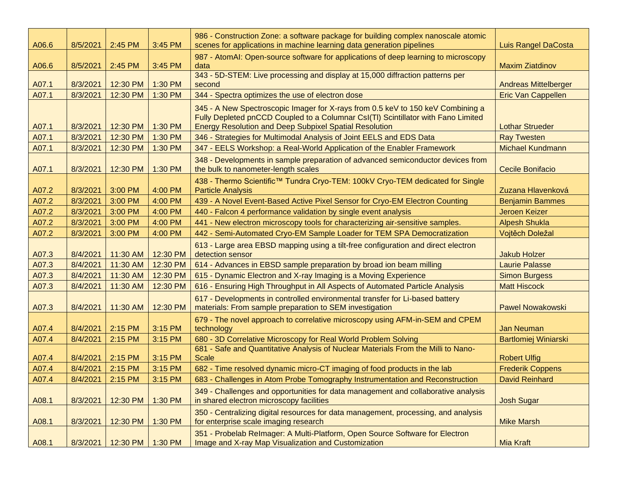| A06.6 | 8/5/2021 | 2:45 PM  | 3:45 PM  | 986 - Construction Zone: a software package for building complex nanoscale atomic<br>scenes for applications in machine learning data generation pipelines                                                                            | <b>Luis Rangel DaCosta</b>  |
|-------|----------|----------|----------|---------------------------------------------------------------------------------------------------------------------------------------------------------------------------------------------------------------------------------------|-----------------------------|
| A06.6 | 8/5/2021 | 2:45 PM  | 3:45 PM  | 987 - AtomAI: Open-source software for applications of deep learning to microscopy<br>data                                                                                                                                            | <b>Maxim Ziatdinov</b>      |
| A07.1 | 8/3/2021 | 12:30 PM | 1:30 PM  | 343 - 5D-STEM: Live processing and display at 15,000 diffraction patterns per<br>second                                                                                                                                               | <b>Andreas Mittelberger</b> |
| A07.1 | 8/3/2021 | 12:30 PM | 1:30 PM  | 344 - Spectra optimizes the use of electron dose                                                                                                                                                                                      | <b>Eric Van Cappellen</b>   |
| A07.1 | 8/3/2021 | 12:30 PM | 1:30 PM  | 345 - A New Spectroscopic Imager for X-rays from 0.5 keV to 150 keV Combining a<br>Fully Depleted pnCCD Coupled to a Columnar CsI(TI) Scintillator with Fano Limited<br><b>Energy Resolution and Deep Subpixel Spatial Resolution</b> | <b>Lothar Strueder</b>      |
| A07.1 | 8/3/2021 | 12:30 PM | 1:30 PM  | 346 - Strategies for Multimodal Analysis of Joint EELS and EDS Data                                                                                                                                                                   | <b>Ray Twesten</b>          |
| A07.1 | 8/3/2021 | 12:30 PM | 1:30 PM  | 347 - EELS Workshop: a Real-World Application of the Enabler Framework                                                                                                                                                                | <b>Michael Kundmann</b>     |
| A07.1 | 8/3/2021 | 12:30 PM | 1:30 PM  | 348 - Developments in sample preparation of advanced semiconductor devices from<br>the bulk to nanometer-length scales                                                                                                                | <b>Cecile Bonifacio</b>     |
| A07.2 | 8/3/2021 | 3:00 PM  | 4:00 PM  | 438 - Thermo Scientific™ Tundra Cryo-TEM: 100kV Cryo-TEM dedicated for Single<br><b>Particle Analysis</b>                                                                                                                             | Zuzana Hlavenková           |
| A07.2 | 8/3/2021 | 3:00 PM  | 4:00 PM  | 439 - A Novel Event-Based Active Pixel Sensor for Cryo-EM Electron Counting                                                                                                                                                           | <b>Benjamin Bammes</b>      |
| A07.2 | 8/3/2021 | 3:00 PM  | 4:00 PM  | 440 - Falcon 4 performance validation by single event analysis                                                                                                                                                                        | Jeroen Keizer               |
| A07.2 | 8/3/2021 | 3:00 PM  | 4:00 PM  | 441 - New electron microscopy tools for characterizing air-sensitive samples.                                                                                                                                                         | <b>Alpesh Shukla</b>        |
| A07.2 | 8/3/2021 | 3:00 PM  | 4:00 PM  | 442 - Semi-Automated Cryo-EM Sample Loader for TEM SPA Democratization                                                                                                                                                                | Vojtěch Doležal             |
| A07.3 | 8/4/2021 | 11:30 AM | 12:30 PM | 613 - Large area EBSD mapping using a tilt-free configuration and direct electron<br>detection sensor                                                                                                                                 | <b>Jakub Holzer</b>         |
| A07.3 | 8/4/2021 | 11:30 AM | 12:30 PM | 614 - Advances in EBSD sample preparation by broad ion beam milling                                                                                                                                                                   | <b>Laurie Palasse</b>       |
| A07.3 | 8/4/2021 | 11:30 AM | 12:30 PM | 615 - Dynamic Electron and X-ray Imaging is a Moving Experience                                                                                                                                                                       | <b>Simon Burgess</b>        |
| A07.3 | 8/4/2021 | 11:30 AM | 12:30 PM | 616 - Ensuring High Throughput in All Aspects of Automated Particle Analysis                                                                                                                                                          | <b>Matt Hiscock</b>         |
| A07.3 | 8/4/2021 | 11:30 AM | 12:30 PM | 617 - Developments in controlled environmental transfer for Li-based battery<br>materials: From sample preparation to SEM investigation                                                                                               | <b>Pawel Nowakowski</b>     |
| A07.4 | 8/4/2021 | 2:15 PM  | 3:15 PM  | 679 - The novel approach to correlative microscopy using AFM-in-SEM and CPEM<br>technology                                                                                                                                            | <b>Jan Neuman</b>           |
| A07.4 | 8/4/2021 | 2:15 PM  | 3:15 PM  | 680 - 3D Correlative Microscopy for Real World Problem Solving                                                                                                                                                                        | <b>Bartlomiej Winiarski</b> |
| A07.4 | 8/4/2021 | 2:15 PM  | 3:15 PM  | 681 - Safe and Quantitative Analysis of Nuclear Materials From the Milli to Nano-<br><b>Scale</b>                                                                                                                                     | <b>Robert Ulfig</b>         |
| A07.4 | 8/4/2021 | 2:15 PM  | 3:15 PM  | 682 - Time resolved dynamic micro-CT imaging of food products in the lab                                                                                                                                                              | <b>Frederik Coppens</b>     |
| A07.4 | 8/4/2021 | 2:15 PM  | 3:15 PM  | 683 - Challenges in Atom Probe Tomography Instrumentation and Reconstruction                                                                                                                                                          | David Reinhard              |
| A08.1 | 8/3/2021 | 12:30 PM | 1:30 PM  | 349 - Challenges and opportunities for data management and collaborative analysis<br>in shared electron microscopy facilities                                                                                                         | <b>Josh Sugar</b>           |
| A08.1 | 8/3/2021 | 12:30 PM | 1:30 PM  | 350 - Centralizing digital resources for data management, processing, and analysis<br>for enterprise scale imaging research                                                                                                           | <b>Mike Marsh</b>           |
| A08.1 | 8/3/2021 | 12:30 PM | 1:30 PM  | 351 - Probelab Relmager: A Multi-Platform, Open Source Software for Electron<br>Image and X-ray Map Visualization and Customization                                                                                                   | <b>Mia Kraft</b>            |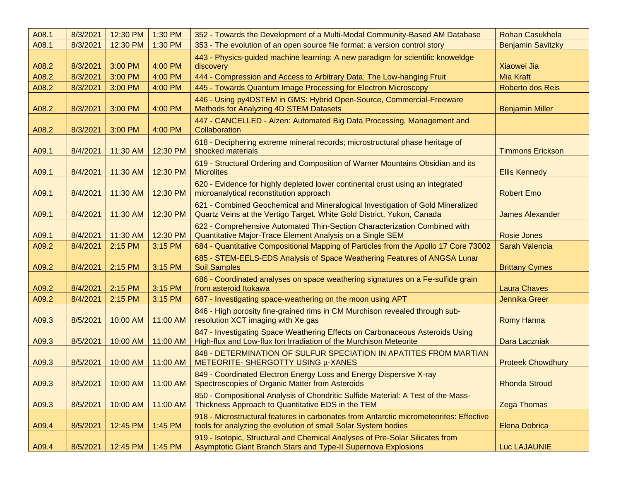| A08.1 | 8/3/2021 | 12:30 PM | 1:30 PM  | 352 - Towards the Development of a Multi-Modal Community-Based AM Database                                                                               | <b>Rohan Casukhela</b>   |
|-------|----------|----------|----------|----------------------------------------------------------------------------------------------------------------------------------------------------------|--------------------------|
| A08.1 | 8/3/2021 | 12:30 PM | 1:30 PM  | 353 - The evolution of an open source file format: a version control story                                                                               | <b>Benjamin Savitzky</b> |
| A08.2 | 8/3/2021 | 3:00 PM  | 4:00 PM  | 443 - Physics-guided machine learning: A new paradigm for scientific knoweldge<br>discovery                                                              | Xiaowei Jia              |
| A08.2 | 8/3/2021 | 3:00 PM  | 4:00 PM  | 444 - Compression and Access to Arbitrary Data: The Low-hanging Fruit                                                                                    | <b>Mia Kraft</b>         |
| A08.2 | 8/3/2021 | 3:00 PM  | 4:00 PM  | 445 - Towards Quantum Image Processing for Electron Microscopy                                                                                           | Roberto dos Reis         |
| A08.2 | 8/3/2021 | 3:00 PM  | 4:00 PM  | 446 - Using py4DSTEM in GMS: Hybrid Open-Source, Commercial-Freeware<br>Methods for Analyzing 4D STEM Datasets                                           | <b>Benjamin Miller</b>   |
| A08.2 | 8/3/2021 | 3:00 PM  | 4:00 PM  | 447 - CANCELLED - Aizen: Automated Big Data Processing, Management and<br>Collaboration                                                                  |                          |
| A09.1 | 8/4/2021 | 11:30 AM | 12:30 PM | 618 - Deciphering extreme mineral records; microstructural phase heritage of<br>shocked materials                                                        | <b>Timmons Erickson</b>  |
| A09.1 | 8/4/2021 | 11:30 AM | 12:30 PM | 619 - Structural Ordering and Composition of Warner Mountains Obsidian and its<br><b>Microlites</b>                                                      | <b>Ellis Kennedy</b>     |
| A09.1 | 8/4/2021 | 11:30 AM | 12:30 PM | 620 - Evidence for highly depleted lower continental crust using an integrated<br>microanalytical reconstitution approach                                | <b>Robert Emo</b>        |
| A09.1 | 8/4/2021 | 11:30 AM | 12:30 PM | 621 - Combined Geochemical and Mineralogical Investigation of Gold Mineralized<br>Quartz Veins at the Vertigo Target, White Gold District, Yukon, Canada | <b>James Alexander</b>   |
| A09.1 | 8/4/2021 | 11:30 AM | 12:30 PM | 622 - Comprehensive Automated Thin-Section Characterization Combined with<br>Quantitative Major-Trace Element Analysis on a Single SEM                   | <b>Rosie Jones</b>       |
| A09.2 | 8/4/2021 | 2:15 PM  | 3:15 PM  | 684 - Quantitative Compositional Mapping of Particles from the Apollo 17 Core 73002                                                                      | Sarah Valencia           |
| A09.2 | 8/4/2021 | 2:15 PM  | 3:15 PM  | 685 - STEM-EELS-EDS Analysis of Space Weathering Features of ANGSA Lunar<br><b>Soil Samples</b>                                                          | <b>Brittany Cymes</b>    |
| A09.2 | 8/4/2021 | 2:15 PM  | 3:15 PM  | 686 - Coordinated analyses on space weathering signatures on a Fe-sulfide grain<br>from asteroid Itokawa                                                 | <b>Laura Chaves</b>      |
| A09.2 | 8/4/2021 | 2:15 PM  | 3:15 PM  | 687 - Investigating space-weathering on the moon using APT                                                                                               | Jennika Greer            |
| A09.3 | 8/5/2021 | 10:00 AM | 11:00 AM | 846 - High porosity fine-grained rims in CM Murchison revealed through sub-<br>resolution XCT imaging with Xe gas                                        | <b>Romy Hanna</b>        |
| A09.3 | 8/5/2021 | 10:00 AM | 11:00 AM | 847 - Investigating Space Weathering Effects on Carbonaceous Asteroids Using<br>High-flux and Low-flux Ion Irradiation of the Murchison Meteorite        | Dara Laczniak            |
| A09.3 | 8/5/2021 | 10:00 AM | 11:00 AM | 848 - DETERMINATION OF SULFUR SPECIATION IN APATITES FROM MARTIAN<br>METEORITE- SHERGOTTY USING µ-XANES                                                  | <b>Proteek Chowdhury</b> |
| A09.3 | 8/5/2021 | 10:00 AM | 11:00 AM | 849 - Coordinated Electron Energy Loss and Energy Dispersive X-ray<br>Spectroscopies of Organic Matter from Asteroids                                    | <b>Rhonda Stroud</b>     |
| A09.3 | 8/5/2021 | 10:00 AM | 11:00 AM | 850 - Compositional Analysis of Chondritic Sulfide Material: A Test of the Mass-<br>Thickness Approach to Quantitative EDS in the TEM                    | <b>Zega Thomas</b>       |
| A09.4 | 8/5/2021 | 12:45 PM | 1:45 PM  | 918 - Microstructural features in carbonates from Antarctic micrometeorites: Effective<br>tools for analyzing the evolution of small Solar System bodies | Elena Dobrica            |
| A09.4 | 8/5/2021 | 12:45 PM | 1:45 PM  | 919 - Isotopic, Structural and Chemical Analyses of Pre-Solar Silicates from<br>Asymptotic Giant Branch Stars and Type-II Supernova Explosions           | <b>Luc LAJAUNIE</b>      |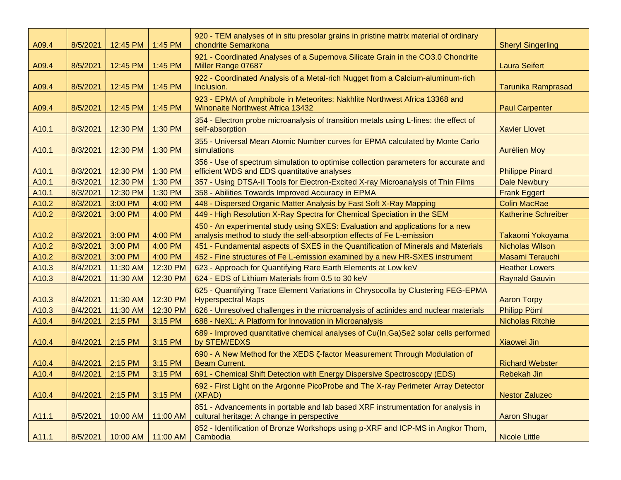| A09.4             | 8/5/2021 | 12:45 PM | 1:45 PM  | 920 - TEM analyses of in situ presolar grains in pristine matrix material of ordinary<br>chondrite Semarkona                                           | <b>Sheryl Singerling</b>   |
|-------------------|----------|----------|----------|--------------------------------------------------------------------------------------------------------------------------------------------------------|----------------------------|
| A09.4             | 8/5/2021 | 12:45 PM | 1:45 PM  | 921 - Coordinated Analyses of a Supernova Silicate Grain in the CO3.0 Chondrite<br>Miller Range 07687                                                  | <b>Laura Seifert</b>       |
| A09.4             | 8/5/2021 | 12:45 PM | 1:45 PM  | 922 - Coordinated Analysis of a Metal-rich Nugget from a Calcium-aluminum-rich<br>Inclusion.                                                           | <b>Tarunika Ramprasad</b>  |
| A09.4             | 8/5/2021 | 12:45 PM | 1:45 PM  | 923 - EPMA of Amphibole in Meteorites: Nakhlite Northwest Africa 13368 and<br><b>Winonaite Northwest Africa 13432</b>                                  | <b>Paul Carpenter</b>      |
| A <sub>10.1</sub> | 8/3/2021 | 12:30 PM | 1:30 PM  | 354 - Electron probe microanalysis of transition metals using L-lines: the effect of<br>self-absorption                                                | <b>Xavier Llovet</b>       |
| A10.1             | 8/3/2021 | 12:30 PM | 1:30 PM  | 355 - Universal Mean Atomic Number curves for EPMA calculated by Monte Carlo<br>simulations                                                            | <b>Aurélien Moy</b>        |
| A10.1             | 8/3/2021 | 12:30 PM | 1:30 PM  | 356 - Use of spectrum simulation to optimise collection parameters for accurate and<br>efficient WDS and EDS quantitative analyses                     | <b>Philippe Pinard</b>     |
| A10.1             | 8/3/2021 | 12:30 PM | 1:30 PM  | 357 - Using DTSA-II Tools for Electron-Excited X-ray Microanalysis of Thin Films                                                                       | <b>Dale Newbury</b>        |
| A10.1             | 8/3/2021 | 12:30 PM | 1:30 PM  | 358 - Abilities Towards Improved Accuracy in EPMA                                                                                                      | <b>Frank Eggert</b>        |
| A10.2             | 8/3/2021 | 3:00 PM  | 4:00 PM  | 448 - Dispersed Organic Matter Analysis by Fast Soft X-Ray Mapping                                                                                     | <b>Colin MacRae</b>        |
| A10.2             | 8/3/2021 | 3:00 PM  | 4:00 PM  | 449 - High Resolution X-Ray Spectra for Chemical Speciation in the SEM                                                                                 | <b>Katherine Schreiber</b> |
| A10.2             | 8/3/2021 | 3:00 PM  | 4:00 PM  | 450 - An experimental study using SXES: Evaluation and applications for a new<br>analysis method to study the self-absorption effects of Fe L-emission | Takaomi Yokoyama           |
| A10.2             | 8/3/2021 | 3:00 PM  | 4:00 PM  | 451 - Fundamental aspects of SXES in the Quantification of Minerals and Materials                                                                      | <b>Nicholas Wilson</b>     |
| A10.2             | 8/3/2021 | 3:00 PM  | 4:00 PM  | 452 - Fine structures of Fe L-emission examined by a new HR-SXES instrument                                                                            | Masami Terauchi            |
| A10.3             | 8/4/2021 | 11:30 AM | 12:30 PM | 623 - Approach for Quantifying Rare Earth Elements at Low keV                                                                                          | <b>Heather Lowers</b>      |
| A10.3             | 8/4/2021 | 11:30 AM | 12:30 PM | 624 - EDS of Lithium Materials from 0.5 to 30 keV                                                                                                      | <b>Raynald Gauvin</b>      |
| A10.3             | 8/4/2021 | 11:30 AM | 12:30 PM | 625 - Quantifying Trace Element Variations in Chrysocolla by Clustering FEG-EPMA<br><b>Hyperspectral Maps</b>                                          | <b>Aaron Torpy</b>         |
| A10.3             | 8/4/2021 | 11:30 AM | 12:30 PM | 626 - Unresolved challenges in the microanalysis of actinides and nuclear materials                                                                    | <b>Philipp Pöml</b>        |
| A10.4             | 8/4/2021 | 2:15 PM  | 3:15 PM  | 688 - NeXL: A Platform for Innovation in Microanalysis                                                                                                 | <b>Nicholas Ritchie</b>    |
| A10.4             | 8/4/2021 | 2:15 PM  | 3:15 PM  | 689 - Improved quantitative chemical analyses of Cu(In, Ga)Se2 solar cells performed<br>by STEM/EDXS                                                   | Xiaowei Jin                |
| A10.4             | 8/4/2021 | 2:15 PM  | 3:15 PM  | 690 - A New Method for the XEDS Z-factor Measurement Through Modulation of<br><b>Beam Current.</b>                                                     | <b>Richard Webster</b>     |
| A10.4             | 8/4/2021 | 2:15 PM  | 3:15 PM  | 691 - Chemical Shift Detection with Energy Dispersive Spectroscopy (EDS)                                                                               | Rebekah Jin                |
| A10.4             | 8/4/2021 | 2:15 PM  | 3:15 PM  | 692 - First Light on the Argonne PicoProbe and The X-ray Perimeter Array Detector<br>(XPAD)                                                            | <b>Nestor Zaluzec</b>      |
| A11.1             | 8/5/2021 | 10:00 AM | 11:00 AM | 851 - Advancements in portable and lab based XRF instrumentation for analysis in<br>cultural heritage: A change in perspective                         | <b>Aaron Shugar</b>        |
| A11.1             | 8/5/2021 | 10:00 AM | 11:00 AM | 852 - Identification of Bronze Workshops using p-XRF and ICP-MS in Angkor Thom,<br>Cambodia                                                            | <b>Nicole Little</b>       |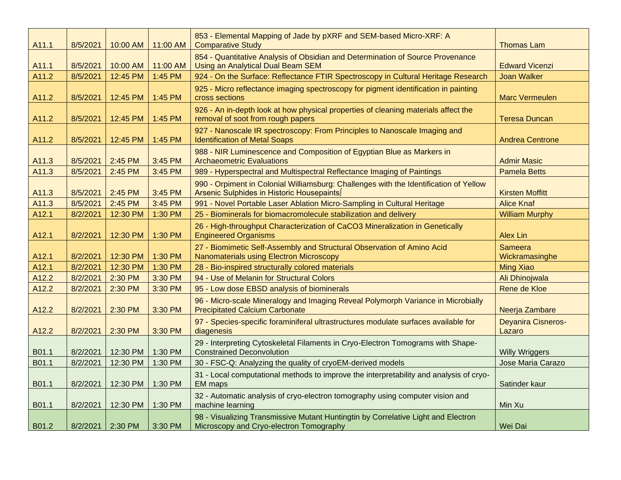| A11.1 | 8/5/2021 | 10:00 AM | 11:00 AM | 853 - Elemental Mapping of Jade by pXRF and SEM-based Micro-XRF: A<br><b>Comparative Study</b>                                     | <b>Thomas Lam</b>                   |
|-------|----------|----------|----------|------------------------------------------------------------------------------------------------------------------------------------|-------------------------------------|
|       |          |          |          | 854 - Quantitative Analysis of Obsidian and Determination of Source Provenance                                                     |                                     |
| A11.1 | 8/5/2021 | 10:00 AM | 11:00 AM | <b>Using an Analytical Dual Beam SEM</b>                                                                                           | <b>Edward Vicenzi</b>               |
| A11.2 | 8/5/2021 | 12:45 PM | 1:45 PM  | 924 - On the Surface: Reflectance FTIR Spectroscopy in Cultural Heritage Research                                                  | <b>Joan Walker</b>                  |
| A11.2 | 8/5/2021 | 12:45 PM | 1:45 PM  | 925 - Micro reflectance imaging spectroscopy for pigment identification in painting<br>cross sections                              | <b>Marc Vermeulen</b>               |
| A11.2 | 8/5/2021 | 12:45 PM | 1:45 PM  | 926 - An in-depth look at how physical properties of cleaning materials affect the<br>removal of soot from rough papers            | <b>Teresa Duncan</b>                |
| A11.2 | 8/5/2021 | 12:45 PM | 1:45 PM  | 927 - Nanoscale IR spectroscopy: From Principles to Nanoscale Imaging and<br><b>Identification of Metal Soaps</b>                  | <b>Andrea Centrone</b>              |
| A11.3 | 8/5/2021 | 2:45 PM  | 3:45 PM  | 988 - NIR Luminescence and Composition of Egyptian Blue as Markers in<br><b>Archaeometric Evaluations</b>                          | <b>Admir Masic</b>                  |
| A11.3 | 8/5/2021 | 2:45 PM  | 3:45 PM  | 989 - Hyperspectral and Multispectral Reflectance Imaging of Paintings                                                             | <b>Pamela Betts</b>                 |
| A11.3 | 8/5/2021 | 2:45 PM  | 3:45 PM  | 990 - Orpiment in Colonial Williamsburg: Challenges with the Identification of Yellow<br>Arsenic Sulphides in Historic Housepaints | <b>Kirsten Moffitt</b>              |
| A11.3 | 8/5/2021 | 2:45 PM  | 3:45 PM  | 991 - Novel Portable Laser Ablation Micro-Sampling in Cultural Heritage                                                            | <b>Alice Knaf</b>                   |
| A12.1 | 8/2/2021 | 12:30 PM | 1:30 PM  | 25 - Biominerals for biomacromolecule stabilization and delivery                                                                   | <b>William Murphy</b>               |
| A12.1 | 8/2/2021 | 12:30 PM | 1:30 PM  | 26 - High-throughput Characterization of CaCO3 Mineralization in Genetically<br><b>Engineered Organisms</b>                        | Alex Lin                            |
| A12.1 | 8/2/2021 | 12:30 PM | 1:30 PM  | 27 - Biomimetic Self-Assembly and Structural Observation of Amino Acid<br>Nanomaterials using Electron Microscopy                  | <b>Sameera</b><br>Wickramasinghe    |
| A12.1 | 8/2/2021 | 12:30 PM | 1:30 PM  | 28 - Bio-inspired structurally colored materials                                                                                   | <b>Ming Xiao</b>                    |
| A12.2 | 8/2/2021 | 2:30 PM  | 3:30 PM  | 94 - Use of Melanin for Structural Colors                                                                                          | Ali Dhinojwala                      |
| A12.2 | 8/2/2021 | 2:30 PM  | 3:30 PM  | 95 - Low dose EBSD analysis of biominerals                                                                                         | Rene de Kloe                        |
| A12.2 | 8/2/2021 | 2:30 PM  | 3:30 PM  | 96 - Micro-scale Mineralogy and Imaging Reveal Polymorph Variance in Microbially<br><b>Precipitated Calcium Carbonate</b>          | Neerja Zambare                      |
| A12.2 | 8/2/2021 | 2:30 PM  | 3:30 PM  | 97 - Species-specific foraminiferal ultrastructures modulate surfaces available for<br>diagenesis                                  | <b>Deyanira Cisneros-</b><br>Lazaro |
| B01.1 | 8/2/2021 | 12:30 PM | 1:30 PM  | 29 - Interpreting Cytoskeletal Filaments in Cryo-Electron Tomograms with Shape-<br><b>Constrained Deconvolution</b>                | <b>Willy Wriggers</b>               |
| B01.1 | 8/2/2021 | 12:30 PM | 1:30 PM  | 30 - FSC-Q: Analyzing the quality of cryoEM-derived models                                                                         | Jose Maria Carazo                   |
| B01.1 | 8/2/2021 | 12:30 PM | 1:30 PM  | 31 - Local computational methods to improve the interpretability and analysis of cryo-<br>EM maps                                  | Satinder kaur                       |
| B01.1 | 8/2/2021 | 12:30 PM | 1:30 PM  | 32 - Automatic analysis of cryo-electron tomography using computer vision and<br>machine learning                                  | Min Xu                              |
| B01.2 | 8/2/2021 | 2:30 PM  | 3:30 PM  | 98 - Visualizing Transmissive Mutant Huntingtin by Correlative Light and Electron<br>Microscopy and Cryo-electron Tomography       | Wei Dai                             |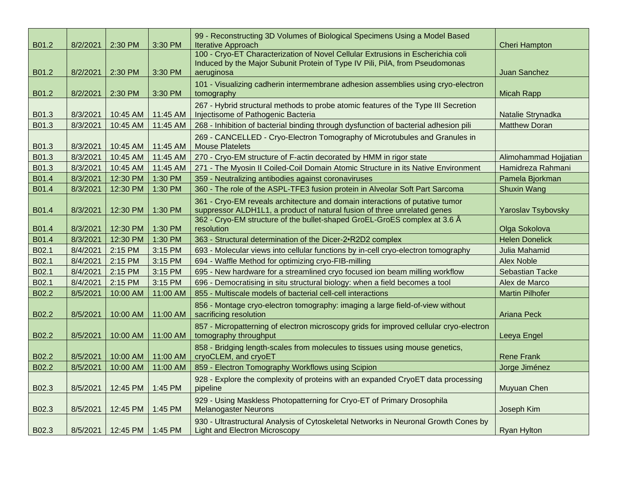| B01.2 | 8/2/2021 | 2:30 PM            | 3:30 PM  | 99 - Reconstructing 3D Volumes of Biological Specimens Using a Model Based<br><b>Iterative Approach</b>                                                                       | <b>Cheri Hampton</b>      |
|-------|----------|--------------------|----------|-------------------------------------------------------------------------------------------------------------------------------------------------------------------------------|---------------------------|
| B01.2 | 8/2/2021 | 2:30 PM            | 3:30 PM  | 100 - Cryo-ET Characterization of Novel Cellular Extrusions in Escherichia coli<br>Induced by the Major Subunit Protein of Type IV Pili, PilA, from Pseudomonas<br>aeruginosa | <b>Juan Sanchez</b>       |
| B01.2 | 8/2/2021 | 2:30 PM            | 3:30 PM  | 101 - Visualizing cadherin intermembrane adhesion assemblies using cryo-electron<br>tomography                                                                                | <b>Micah Rapp</b>         |
| B01.3 | 8/3/2021 | 10:45 AM           | 11:45 AM | 267 - Hybrid structural methods to probe atomic features of the Type III Secretion<br>Injectisome of Pathogenic Bacteria                                                      | Natalie Strynadka         |
| B01.3 | 8/3/2021 | 10:45 AM           | 11:45 AM | 268 - Inhibition of bacterial binding through dysfunction of bacterial adhesion pili                                                                                          | <b>Matthew Doran</b>      |
| B01.3 | 8/3/2021 | 10:45 AM           | 11:45 AM | 269 - CANCELLED - Cryo-Electron Tomography of Microtubules and Granules in<br><b>Mouse Platelets</b>                                                                          |                           |
| B01.3 | 8/3/2021 | 10:45 AM           | 11:45 AM | 270 - Cryo-EM structure of F-actin decorated by HMM in rigor state                                                                                                            | Alimohammad Hojjatian     |
| B01.3 | 8/3/2021 | 10:45 AM           | 11:45 AM | 271 - The Myosin II Coiled-Coil Domain Atomic Structure in its Native Environment                                                                                             | Hamidreza Rahmani         |
| B01.4 | 8/3/2021 | 12:30 PM           | 1:30 PM  | 359 - Neutralizing antibodies against coronaviruses                                                                                                                           | Pamela Bjorkman           |
| B01.4 | 8/3/2021 | 12:30 PM           | 1:30 PM  | 360 - The role of the ASPL-TFE3 fusion protein in Alveolar Soft Part Sarcoma                                                                                                  | <b>Shuxin Wang</b>        |
| B01.4 | 8/3/2021 | 12:30 PM           | 1:30 PM  | 361 - Cryo-EM reveals architecture and domain interactions of putative tumor<br>suppressor ALDH1L1, a product of natural fusion of three unrelated genes                      | <b>Yaroslav Tsybovsky</b> |
| B01.4 | 8/3/2021 | 12:30 PM           | 1:30 PM  | 362 - Cryo-EM structure of the bullet-shaped GroEL-GroES complex at 3.6 Å<br>resolution                                                                                       | Olga Sokolova             |
| B01.4 | 8/3/2021 | 12:30 PM           | 1:30 PM  | 363 - Structural determination of the Dicer-2•R2D2 complex                                                                                                                    | <b>Helen Donelick</b>     |
| B02.1 | 8/4/2021 | 2:15 PM            | 3:15 PM  | 693 - Molecular views into cellular functions by in-cell cryo-electron tomography                                                                                             | Julia Mahamid             |
| B02.1 | 8/4/2021 | 2:15 PM            | 3:15 PM  | 694 - Waffle Method for optimizing cryo-FIB-milling                                                                                                                           | <b>Alex Noble</b>         |
| B02.1 | 8/4/2021 | 2:15 PM            | 3:15 PM  | 695 - New hardware for a streamlined cryo focused ion beam milling workflow                                                                                                   | <b>Sebastian Tacke</b>    |
| B02.1 | 8/4/2021 | 2:15 PM            | 3:15 PM  | 696 - Democratising in situ structural biology: when a field becomes a tool                                                                                                   | Alex de Marco             |
| B02.2 | 8/5/2021 | 10:00 AM           | 11:00 AM | 855 - Multiscale models of bacterial cell-cell interactions                                                                                                                   | <b>Martin Pilhofer</b>    |
| B02.2 | 8/5/2021 | 10:00 AM           | 11:00 AM | 856 - Montage cryo-electron tomography: imaging a large field-of-view without<br>sacrificing resolution                                                                       | <b>Ariana Peck</b>        |
| B02.2 | 8/5/2021 | 10:00 AM           | 11:00 AM | 857 - Micropatterning of electron microscopy grids for improved cellular cryo-electron<br>tomography throughput                                                               | Leeya Engel               |
| B02.2 | 8/5/2021 | 10:00 AM           | 11:00 AM | 858 - Bridging length-scales from molecules to tissues using mouse genetics,<br>cryoCLEM, and cryoET                                                                          | <b>Rene Frank</b>         |
| B02.2 | 8/5/2021 | 10:00 AM           | 11:00 AM | 859 - Electron Tomography Workflows using Scipion                                                                                                                             | Jorge Jiménez             |
| B02.3 | 8/5/2021 | 12:45 PM           | 1:45 PM  | 928 - Explore the complexity of proteins with an expanded CryoET data processing<br>pipeline                                                                                  | Muyuan Chen               |
| B02.3 | 8/5/2021 | 12:45 PM           | 1:45 PM  | 929 - Using Maskless Photopatterning for Cryo-ET of Primary Drosophila<br><b>Melanogaster Neurons</b>                                                                         | Joseph Kim                |
| B02.3 | 8/5/2021 | 12:45 PM   1:45 PM |          | 930 - Ultrastructural Analysis of Cytoskeletal Networks in Neuronal Growth Cones by<br><b>Light and Electron Microscopy</b>                                                   | <b>Ryan Hylton</b>        |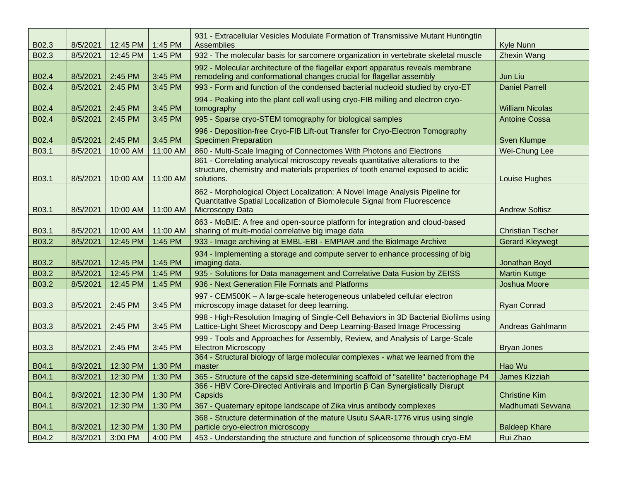| B02.3 | 8/5/2021 | 12:45 PM | 1:45 PM  | 931 - Extracellular Vesicles Modulate Formation of Transmissive Mutant Huntingtin<br>Assemblies                                                                                  | <b>Kyle Nunn</b>         |
|-------|----------|----------|----------|----------------------------------------------------------------------------------------------------------------------------------------------------------------------------------|--------------------------|
| B02.3 | 8/5/2021 | 12:45 PM | 1:45 PM  | 932 - The molecular basis for sarcomere organization in vertebrate skeletal muscle                                                                                               | <b>Zhexin Wang</b>       |
| B02.4 | 8/5/2021 | 2:45 PM  | 3:45 PM  | 992 - Molecular architecture of the flagellar export apparatus reveals membrane<br>remodeling and conformational changes crucial for flagellar assembly                          | Jun Liu                  |
| B02.4 | 8/5/2021 | 2:45 PM  | 3:45 PM  | 993 - Form and function of the condensed bacterial nucleoid studied by cryo-ET                                                                                                   | <b>Daniel Parrell</b>    |
| B02.4 | 8/5/2021 | 2:45 PM  | 3:45 PM  | 994 - Peaking into the plant cell wall using cryo-FIB milling and electron cryo-<br>tomography                                                                                   | <b>William Nicolas</b>   |
| B02.4 | 8/5/2021 | 2:45 PM  | 3:45 PM  | 995 - Sparse cryo-STEM tomography for biological samples                                                                                                                         | <b>Antoine Cossa</b>     |
| B02.4 | 8/5/2021 | 2:45 PM  | 3:45 PM  | 996 - Deposition-free Cryo-FIB Lift-out Transfer for Cryo-Electron Tomography<br><b>Specimen Preparation</b>                                                                     | <b>Sven Klumpe</b>       |
| B03.1 | 8/5/2021 | 10:00 AM | 11:00 AM | 860 - Multi-Scale Imaging of Connectomes With Photons and Electrons                                                                                                              | Wei-Chung Lee            |
| B03.1 | 8/5/2021 | 10:00 AM | 11:00 AM | 861 - Correlating analytical microscopy reveals quantitative alterations to the<br>structure, chemistry and materials properties of tooth enamel exposed to acidic<br>solutions. | Louise Hughes            |
| B03.1 | 8/5/2021 | 10:00 AM | 11:00 AM | 862 - Morphological Object Localization: A Novel Image Analysis Pipeline for<br>Quantitative Spatial Localization of Biomolecule Signal from Fluorescence<br>Microscopy Data     | <b>Andrew Soltisz</b>    |
| B03.1 | 8/5/2021 | 10:00 AM | 11:00 AM | 863 - MoBIE: A free and open-source platform for integration and cloud-based<br>sharing of multi-modal correlative big image data                                                | <b>Christian Tischer</b> |
| B03.2 | 8/5/2021 | 12:45 PM | 1:45 PM  | 933 - Image archiving at EMBL-EBI - EMPIAR and the Biolmage Archive                                                                                                              | <b>Gerard Kleywegt</b>   |
| B03.2 | 8/5/2021 | 12:45 PM | 1:45 PM  | 934 - Implementing a storage and compute server to enhance processing of big<br>imaging data.                                                                                    | Jonathan Boyd            |
| B03.2 | 8/5/2021 | 12:45 PM | 1:45 PM  | 935 - Solutions for Data management and Correlative Data Fusion by ZEISS                                                                                                         | <b>Martin Kuttge</b>     |
| B03.2 | 8/5/2021 | 12:45 PM | 1:45 PM  | 936 - Next Generation File Formats and Platforms                                                                                                                                 | Joshua Moore             |
| B03.3 | 8/5/2021 | 2:45 PM  | 3:45 PM  | 997 - CEM500K - A large-scale heterogeneous unlabeled cellular electron<br>microscopy image dataset for deep learning.                                                           | <b>Ryan Conrad</b>       |
| B03.3 | 8/5/2021 | 2:45 PM  | 3:45 PM  | 998 - High-Resolution Imaging of Single-Cell Behaviors in 3D Bacterial Biofilms using<br>Lattice-Light Sheet Microscopy and Deep Learning-Based Image Processing                 | Andreas Gahlmann         |
| B03.3 | 8/5/2021 | 2:45 PM  | 3:45 PM  | 999 - Tools and Approaches for Assembly, Review, and Analysis of Large-Scale<br><b>Electron Microscopy</b>                                                                       | <b>Bryan Jones</b>       |
| B04.1 | 8/3/2021 | 12:30 PM | 1:30 PM  | 364 - Structural biology of large molecular complexes - what we learned from the<br>master                                                                                       | Hao Wu                   |
| B04.1 | 8/3/2021 | 12:30 PM | 1:30 PM  | 365 - Structure of the capsid size-determining scaffold of "satellite" bacteriophage P4                                                                                          | James Kizziah            |
| B04.1 | 8/3/2021 | 12:30 PM | 1:30 PM  | 366 - HBV Core-Directed Antivirals and Importin β Can Synergistically Disrupt<br>Capsids                                                                                         | <b>Christine Kim</b>     |
| B04.1 | 8/3/2021 | 12:30 PM | 1:30 PM  | 367 - Quaternary epitope landscape of Zika virus antibody complexes                                                                                                              | Madhumati Sevvana        |
| B04.1 | 8/3/2021 | 12:30 PM | 1:30 PM  | 368 - Structure determination of the mature Usutu SAAR-1776 virus using single<br>particle cryo-electron microscopy                                                              | <b>Baldeep Khare</b>     |
| B04.2 | 8/3/2021 | 3:00 PM  | 4:00 PM  | 453 - Understanding the structure and function of spliceosome through cryo-EM                                                                                                    | Rui Zhao                 |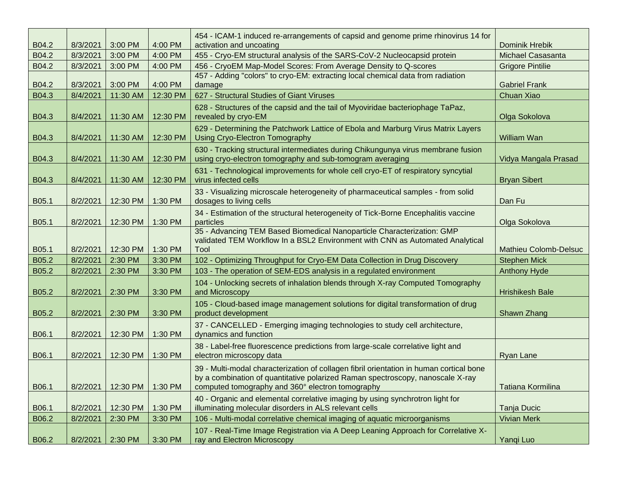| B04.2 | 8/3/2021 | 3:00 PM  | 4:00 PM  | 454 - ICAM-1 induced re-arrangements of capsid and genome prime rhinovirus 14 for<br>activation and uncoating                                                                                                                 | <b>Dominik Hrebik</b>        |
|-------|----------|----------|----------|-------------------------------------------------------------------------------------------------------------------------------------------------------------------------------------------------------------------------------|------------------------------|
| B04.2 | 8/3/2021 | 3:00 PM  | 4:00 PM  | 455 - Cryo-EM structural analysis of the SARS-CoV-2 Nucleocapsid protein                                                                                                                                                      | Michael Casasanta            |
| B04.2 | 8/3/2021 | 3:00 PM  | 4:00 PM  | 456 - CryoEM Map-Model Scores: From Average Density to Q-scores                                                                                                                                                               | <b>Grigore Pintilie</b>      |
|       |          |          |          | 457 - Adding "colors" to cryo-EM: extracting local chemical data from radiation                                                                                                                                               |                              |
| B04.2 | 8/3/2021 | 3:00 PM  | 4:00 PM  | damage                                                                                                                                                                                                                        | <b>Gabriel Frank</b>         |
| B04.3 | 8/4/2021 | 11:30 AM | 12:30 PM | 627 - Structural Studies of Giant Viruses                                                                                                                                                                                     | Chuan Xiao                   |
| B04.3 | 8/4/2021 | 11:30 AM | 12:30 PM | 628 - Structures of the capsid and the tail of Myoviridae bacteriophage TaPaz,<br>revealed by cryo-EM                                                                                                                         | Olga Sokolova                |
| B04.3 | 8/4/2021 | 11:30 AM | 12:30 PM | 629 - Determining the Patchwork Lattice of Ebola and Marburg Virus Matrix Layers<br><b>Using Cryo-Electron Tomography</b>                                                                                                     | William Wan                  |
| B04.3 | 8/4/2021 | 11:30 AM | 12:30 PM | 630 - Tracking structural intermediates during Chikungunya virus membrane fusion<br>using cryo-electron tomography and sub-tomogram averaging                                                                                 | Vidya Mangala Prasad         |
| B04.3 | 8/4/2021 | 11:30 AM | 12:30 PM | 631 - Technological improvements for whole cell cryo-ET of respiratory syncytial<br>virus infected cells                                                                                                                      | <b>Bryan Sibert</b>          |
| B05.1 | 8/2/2021 | 12:30 PM | 1:30 PM  | 33 - Visualizing microscale heterogeneity of pharmaceutical samples - from solid<br>dosages to living cells                                                                                                                   | Dan Fu                       |
| B05.1 | 8/2/2021 | 12:30 PM | 1:30 PM  | 34 - Estimation of the structural heterogeneity of Tick-Borne Encephalitis vaccine<br>particles                                                                                                                               | Olga Sokolova                |
| B05.1 | 8/2/2021 | 12:30 PM | 1:30 PM  | 35 - Advancing TEM Based Biomedical Nanoparticle Characterization: GMP<br>validated TEM Workflow In a BSL2 Environment with CNN as Automated Analytical<br>Tool                                                               | <b>Mathieu Colomb-Delsuc</b> |
| B05.2 | 8/2/2021 | 2:30 PM  | 3:30 PM  | 102 - Optimizing Throughput for Cryo-EM Data Collection in Drug Discovery                                                                                                                                                     | <b>Stephen Mick</b>          |
| B05.2 | 8/2/2021 | 2:30 PM  | 3:30 PM  | 103 - The operation of SEM-EDS analysis in a regulated environment                                                                                                                                                            | <b>Anthony Hyde</b>          |
| B05.2 | 8/2/2021 | 2:30 PM  | 3:30 PM  | 104 - Unlocking secrets of inhalation blends through X-ray Computed Tomography<br>and Microscopy                                                                                                                              | <b>Hrishikesh Bale</b>       |
| B05.2 | 8/2/2021 | 2:30 PM  | 3:30 PM  | 105 - Cloud-based image management solutions for digital transformation of drug<br>product development                                                                                                                        | Shawn Zhang                  |
| B06.1 | 8/2/2021 | 12:30 PM | 1:30 PM  | 37 - CANCELLED - Emerging imaging technologies to study cell architecture,<br>dynamics and function                                                                                                                           |                              |
| B06.1 | 8/2/2021 | 12:30 PM | 1:30 PM  | 38 - Label-free fluorescence predictions from large-scale correlative light and<br>electron microscopy data                                                                                                                   | Ryan Lane                    |
| B06.1 | 8/2/2021 | 12:30 PM | 1:30 PM  | 39 - Multi-modal characterization of collagen fibril orientation in human cortical bone<br>by a combination of quantitative polarized Raman spectroscopy, nanoscale X-ray<br>computed tomography and 360° electron tomography | Tatiana Kormilina            |
| B06.1 | 8/2/2021 | 12:30 PM | 1:30 PM  | 40 - Organic and elemental correlative imaging by using synchrotron light for<br>illuminating molecular disorders in ALS relevant cells                                                                                       | Tanja Ducic                  |
| B06.2 | 8/2/2021 | 2:30 PM  | 3:30 PM  | 106 - Multi-modal correlative chemical imaging of aquatic microorganisms                                                                                                                                                      | <b>Vivian Merk</b>           |
| B06.2 | 8/2/2021 | 2:30 PM  | 3:30 PM  | 107 - Real-Time Image Registration via A Deep Leaning Approach for Correlative X-<br>ray and Electron Microscopy                                                                                                              | Yangi Luo                    |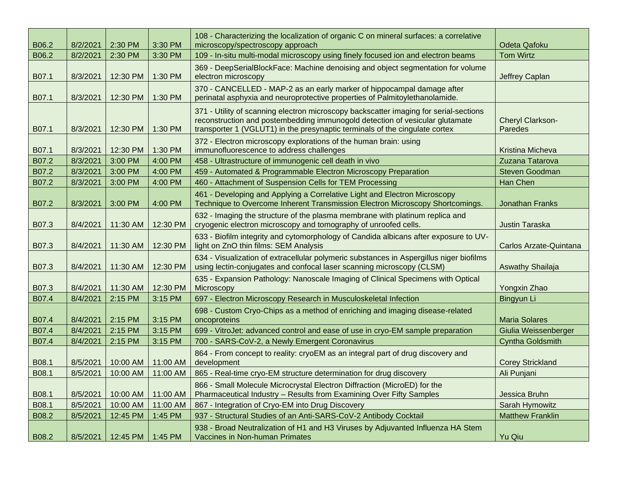| B06.2 | 8/2/2021 | 2:30 PM  | 3:30 PM  | 108 - Characterizing the localization of organic C on mineral surfaces: a correlative<br>microscopy/spectroscopy approach                                                                                                                            | <b>Odeta Qafoku</b>                |
|-------|----------|----------|----------|------------------------------------------------------------------------------------------------------------------------------------------------------------------------------------------------------------------------------------------------------|------------------------------------|
| B06.2 | 8/2/2021 | 2:30 PM  | 3:30 PM  | 109 - In-situ multi-modal microscopy using finely focused ion and electron beams                                                                                                                                                                     | <b>Tom Wirtz</b>                   |
| B07.1 | 8/3/2021 | 12:30 PM | 1:30 PM  | 369 - DeepSerialBlockFace: Machine denoising and object segmentation for volume<br>electron microscopy                                                                                                                                               | Jeffrey Caplan                     |
| B07.1 | 8/3/2021 | 12:30 PM | 1:30 PM  | 370 - CANCELLED - MAP-2 as an early marker of hippocampal damage after<br>perinatal asphyxia and neuroprotective properties of Palmitoylethanolamide.                                                                                                |                                    |
| B07.1 | 8/3/2021 | 12:30 PM | 1:30 PM  | 371 - Utility of scanning electron microscopy backscatter imaging for serial-sections<br>reconstruction and postembedding immunogold detection of vesicular glutamate<br>transporter 1 (VGLUT1) in the presynaptic terminals of the cingulate cortex | <b>Cheryl Clarkson-</b><br>Paredes |
| B07.1 | 8/3/2021 | 12:30 PM | 1:30 PM  | 372 - Electron microscopy explorations of the human brain: using<br>immunofluorescence to address challenges                                                                                                                                         | Kristina Micheva                   |
| B07.2 | 8/3/2021 | 3:00 PM  | 4:00 PM  | 458 - Ultrastructure of immunogenic cell death in vivo                                                                                                                                                                                               | Zuzana Tatarova                    |
| B07.2 | 8/3/2021 | 3:00 PM  | 4:00 PM  | 459 - Automated & Programmable Electron Microscopy Preparation                                                                                                                                                                                       | <b>Steven Goodman</b>              |
| B07.2 | 8/3/2021 | 3:00 PM  | 4:00 PM  | 460 - Attachment of Suspension Cells for TEM Processing                                                                                                                                                                                              | Han Chen                           |
| B07.2 | 8/3/2021 | 3:00 PM  | 4:00 PM  | 461 - Developing and Applying a Correlative Light and Electron Microscopy<br>Technique to Overcome Inherent Transmission Electron Microscopy Shortcomings.                                                                                           | <b>Jonathan Franks</b>             |
| B07.3 | 8/4/2021 | 11:30 AM | 12:30 PM | 632 - Imaging the structure of the plasma membrane with platinum replica and<br>cryogenic electron microscopy and tomography of unroofed cells.                                                                                                      | <b>Justin Taraska</b>              |
| B07.3 | 8/4/2021 | 11:30 AM | 12:30 PM | 633 - Biofilm integrity and cytomorphology of Candida albicans after exposure to UV-<br>light on ZnO thin films: SEM Analysis                                                                                                                        | Carlos Arzate-Quintana             |
| B07.3 | 8/4/2021 | 11:30 AM | 12:30 PM | 634 - Visualization of extracellular polymeric substances in Aspergillus niger biofilms<br>using lectin-conjugates and confocal laser scanning microscopy (CLSM)                                                                                     | Aswathy Shailaja                   |
| B07.3 | 8/4/2021 | 11:30 AM | 12:30 PM | 635 - Expansion Pathology: Nanoscale Imaging of Clinical Specimens with Optical<br>Microscopy                                                                                                                                                        | Yongxin Zhao                       |
| B07.4 | 8/4/2021 | 2:15 PM  | 3:15 PM  | 697 - Electron Microscopy Research in Musculoskeletal Infection                                                                                                                                                                                      | Bingyun Li                         |
| B07.4 | 8/4/2021 | 2:15 PM  | 3:15 PM  | 698 - Custom Cryo-Chips as a method of enriching and imaging disease-related<br>oncoproteins                                                                                                                                                         | <b>Maria Solares</b>               |
| B07.4 | 8/4/2021 | 2:15 PM  | 3:15 PM  | 699 - VitroJet: advanced control and ease of use in cryo-EM sample preparation                                                                                                                                                                       | Giulia Weissenberger               |
| B07.4 | 8/4/2021 | 2:15 PM  | 3:15 PM  | 700 - SARS-CoV-2, a Newly Emergent Coronavirus                                                                                                                                                                                                       | <b>Cyntha Goldsmith</b>            |
| B08.1 | 8/5/2021 | 10:00 AM | 11:00 AM | 864 - From concept to reality: cryoEM as an integral part of drug discovery and<br>development                                                                                                                                                       | <b>Corey Strickland</b>            |
| B08.1 | 8/5/2021 | 10:00 AM | 11:00 AM | 865 - Real-time cryo-EM structure determination for drug discovery                                                                                                                                                                                   | Ali Punjani                        |
| B08.1 | 8/5/2021 | 10:00 AM | 11:00 AM | 866 - Small Molecule Microcrystal Electron Diffraction (MicroED) for the<br>Pharmaceutical Industry - Results from Examining Over Fifty Samples                                                                                                      | Jessica Bruhn                      |
| B08.1 | 8/5/2021 | 10:00 AM | 11:00 AM | 867 - Integration of Cryo-EM into Drug Discovery                                                                                                                                                                                                     | Sarah Hymowitz                     |
| B08.2 | 8/5/2021 | 12:45 PM | 1:45 PM  | 937 - Structural Studies of an Anti-SARS-CoV-2 Antibody Cocktail                                                                                                                                                                                     | <b>Matthew Franklin</b>            |
| B08.2 | 8/5/2021 | 12:45 PM | 1:45 PM  | 938 - Broad Neutralization of H1 and H3 Viruses by Adjuvanted Influenza HA Stem<br>Vaccines in Non-human Primates                                                                                                                                    | Yu Qiu                             |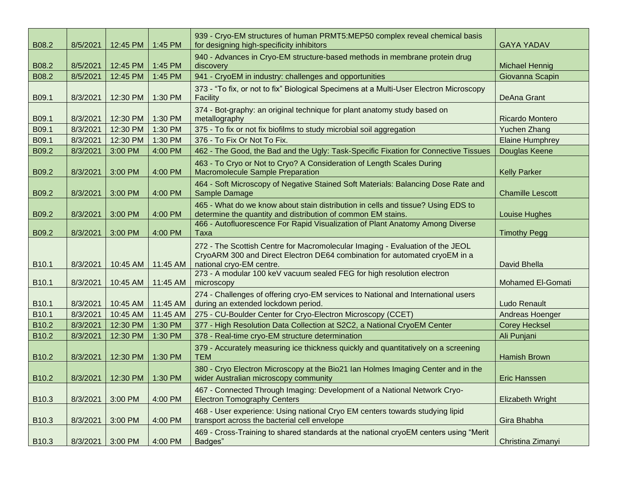| B08.2             | 8/5/2021 | 12:45 PM                      | 1:45 PM  | 939 - Cryo-EM structures of human PRMT5:MEP50 complex reveal chemical basis<br>for designing high-specificity inhibitors                                                                | <b>GAYA YADAV</b>       |
|-------------------|----------|-------------------------------|----------|-----------------------------------------------------------------------------------------------------------------------------------------------------------------------------------------|-------------------------|
| B08.2             | 8/5/2021 | 12:45 PM                      | 1:45 PM  | 940 - Advances in Cryo-EM structure-based methods in membrane protein drug<br>discovery                                                                                                 | <b>Michael Hennig</b>   |
| B08.2             | 8/5/2021 | 12:45 PM                      | 1:45 PM  | 941 - CryoEM in industry: challenges and opportunities                                                                                                                                  | Giovanna Scapin         |
| B09.1             | 8/3/2021 | 12:30 PM                      | 1:30 PM  | 373 - "To fix, or not to fix" Biological Specimens at a Multi-User Electron Microscopy<br>Facility                                                                                      | <b>DeAna Grant</b>      |
| B09.1             | 8/3/2021 | 12:30 PM                      | 1:30 PM  | 374 - Bot-graphy: an original technique for plant anatomy study based on<br>metallography                                                                                               | Ricardo Montero         |
| B09.1             | 8/3/2021 | 12:30 PM                      | 1:30 PM  | 375 - To fix or not fix biofilms to study microbial soil aggregation                                                                                                                    | Yuchen Zhang            |
| B09.1             | 8/3/2021 | 12:30 PM                      | 1:30 PM  | 376 - To Fix Or Not To Fix.                                                                                                                                                             | <b>Elaine Humphrey</b>  |
| B09.2             | 8/3/2021 | 3:00 PM                       | 4:00 PM  | 462 - The Good, the Bad and the Ugly: Task-Specific Fixation for Connective Tissues                                                                                                     | Douglas Keene           |
| B09.2             | 8/3/2021 | 3:00 PM                       | 4:00 PM  | 463 - To Cryo or Not to Cryo? A Consideration of Length Scales During<br><b>Macromolecule Sample Preparation</b>                                                                        | <b>Kelly Parker</b>     |
| B09.2             | 8/3/2021 | 3:00 PM                       | 4:00 PM  | 464 - Soft Microscopy of Negative Stained Soft Materials: Balancing Dose Rate and<br>Sample Damage                                                                                      | <b>Chamille Lescott</b> |
| B09.2             | 8/3/2021 | 3:00 PM                       | 4:00 PM  | 465 - What do we know about stain distribution in cells and tissue? Using EDS to<br>determine the quantity and distribution of common EM stains.                                        | <b>Louise Hughes</b>    |
| B09.2             | 8/3/2021 | 3:00 PM                       | 4:00 PM  | 466 - Autofluorescence For Rapid Visualization of Plant Anatomy Among Diverse<br>Taxa                                                                                                   | <b>Timothy Pegg</b>     |
| B <sub>10.1</sub> | 8/3/2021 | 10:45 AM                      | 11:45 AM | 272 - The Scottish Centre for Macromolecular Imaging - Evaluation of the JEOL<br>CryoARM 300 and Direct Electron DE64 combination for automated cryoEM in a<br>national cryo-EM centre. | David Bhella            |
| B <sub>10.1</sub> | 8/3/2021 | 10:45 AM                      | 11:45 AM | 273 - A modular 100 keV vacuum sealed FEG for high resolution electron<br>microscopy                                                                                                    | Mohamed El-Gomati       |
| B <sub>10.1</sub> | 8/3/2021 | 10:45 AM                      | 11:45 AM | 274 - Challenges of offering cryo-EM services to National and International users<br>during an extended lockdown period.                                                                | <b>Ludo Renault</b>     |
| B10.1             | 8/3/2021 | 10:45 AM                      | 11:45 AM | 275 - CU-Boulder Center for Cryo-Electron Microscopy (CCET)                                                                                                                             | Andreas Hoenger         |
| B <sub>10.2</sub> | 8/3/2021 | 12:30 PM                      | 1:30 PM  | 377 - High Resolution Data Collection at S2C2, a National CryoEM Center                                                                                                                 | <b>Corey Hecksel</b>    |
| B <sub>10.2</sub> | 8/3/2021 | 12:30 PM                      | 1:30 PM  | 378 - Real-time cryo-EM structure determination                                                                                                                                         | Ali Punjani             |
| B <sub>10.2</sub> | 8/3/2021 | 12:30 PM                      | 1:30 PM  | 379 - Accurately measuring ice thickness quickly and quantitatively on a screening<br><b>TEM</b>                                                                                        | <b>Hamish Brown</b>     |
| B <sub>10.2</sub> |          | 8/3/2021   12:30 PM   1:30 PM |          | 380 - Cryo Electron Microscopy at the Bio21 Ian Holmes Imaging Center and in the<br>wider Australian microscopy community                                                               | <b>Eric Hanssen</b>     |
| B <sub>10.3</sub> | 8/3/2021 | 3:00 PM                       | 4:00 PM  | 467 - Connected Through Imaging: Development of a National Network Cryo-<br><b>Electron Tomography Centers</b>                                                                          | <b>Elizabeth Wright</b> |
| B <sub>10.3</sub> | 8/3/2021 | 3:00 PM                       | 4:00 PM  | 468 - User experience: Using national Cryo EM centers towards studying lipid<br>transport across the bacterial cell envelope                                                            | Gira Bhabha             |
| B <sub>10.3</sub> | 8/3/2021 | 3:00 PM                       | 4:00 PM  | 469 - Cross-Training to shared standards at the national cryoEM centers using "Merit<br>Badges"                                                                                         | Christina Zimanyi       |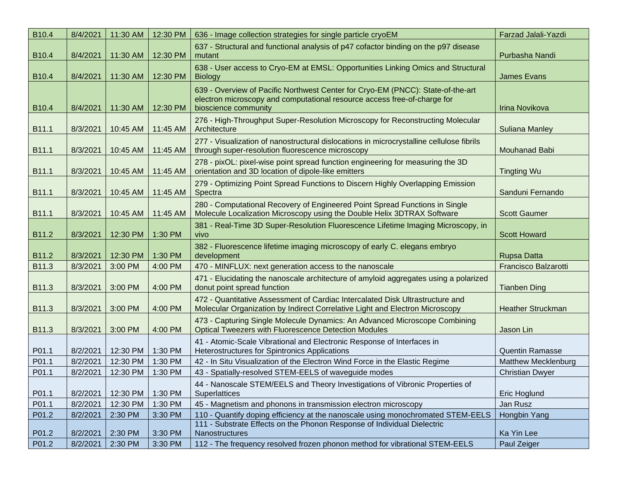| B <sub>10.4</sub> | 8/4/2021 | 11:30 AM | 12:30 PM | 636 - Image collection strategies for single particle cryoEM                                                                                                                        | <b>Farzad Jalali-Yazdi</b>  |
|-------------------|----------|----------|----------|-------------------------------------------------------------------------------------------------------------------------------------------------------------------------------------|-----------------------------|
| B10.4             | 8/4/2021 | 11:30 AM | 12:30 PM | 637 - Structural and functional analysis of p47 cofactor binding on the p97 disease<br>mutant                                                                                       | Purbasha Nandi              |
| B <sub>10.4</sub> | 8/4/2021 | 11:30 AM | 12:30 PM | 638 - User access to Cryo-EM at EMSL: Opportunities Linking Omics and Structural<br><b>Biology</b>                                                                                  | <b>James Evans</b>          |
| B <sub>10.4</sub> | 8/4/2021 | 11:30 AM | 12:30 PM | 639 - Overview of Pacific Northwest Center for Cryo-EM (PNCC): State-of-the-art<br>electron microscopy and computational resource access free-of-charge for<br>bioscience community | Irina Novikova              |
| B11.1             | 8/3/2021 | 10:45 AM | 11:45 AM | 276 - High-Throughput Super-Resolution Microscopy for Reconstructing Molecular<br>Architecture                                                                                      | <b>Suliana Manley</b>       |
| B11.1             | 8/3/2021 | 10:45 AM | 11:45 AM | 277 - Visualization of nanostructural dislocations in microcrystalline cellulose fibrils<br>through super-resolution fluorescence microscopy                                        | <b>Mouhanad Babi</b>        |
| B11.1             | 8/3/2021 | 10:45 AM | 11:45 AM | 278 - pixOL: pixel-wise point spread function engineering for measuring the 3D<br>orientation and 3D location of dipole-like emitters                                               | <b>Tingting Wu</b>          |
| B11.1             | 8/3/2021 | 10:45 AM | 11:45 AM | 279 - Optimizing Point Spread Functions to Discern Highly Overlapping Emission<br>Spectra                                                                                           | Sanduni Fernando            |
| B11.1             | 8/3/2021 | 10:45 AM | 11:45 AM | 280 - Computational Recovery of Engineered Point Spread Functions in Single<br>Molecule Localization Microscopy using the Double Helix 3DTRAX Software                              | <b>Scott Gaumer</b>         |
| B11.2             | 8/3/2021 | 12:30 PM | 1:30 PM  | 381 - Real-Time 3D Super-Resolution Fluorescence Lifetime Imaging Microscopy, in<br>vivo                                                                                            | <b>Scott Howard</b>         |
| B11.2             | 8/3/2021 | 12:30 PM | 1:30 PM  | 382 - Fluorescence lifetime imaging microscopy of early C. elegans embryo<br>development                                                                                            | <b>Rupsa Datta</b>          |
| B11.3             | 8/3/2021 | 3:00 PM  | 4:00 PM  | 470 - MINFLUX: next generation access to the nanoscale                                                                                                                              | <b>Francisco Balzarotti</b> |
| B11.3             | 8/3/2021 | 3:00 PM  | 4:00 PM  | 471 - Elucidating the nanoscale architecture of amyloid aggregates using a polarized<br>donut point spread function                                                                 | <b>Tianben Ding</b>         |
| B11.3             | 8/3/2021 | 3:00 PM  | 4:00 PM  | 472 - Quantitative Assessment of Cardiac Intercalated Disk Ultrastructure and<br>Molecular Organization by Indirect Correlative Light and Electron Microscopy                       | <b>Heather Struckman</b>    |
| B11.3             | 8/3/2021 | 3:00 PM  | 4:00 PM  | 473 - Capturing Single Molecule Dynamics: An Advanced Microscope Combining<br><b>Optical Tweezers with Fluorescence Detection Modules</b>                                           | Jason Lin                   |
| P01.1             | 8/2/2021 | 12:30 PM | 1:30 PM  | 41 - Atomic-Scale Vibrational and Electronic Response of Interfaces in<br>Heterostructures for Spintronics Applications                                                             | <b>Quentin Ramasse</b>      |
| P01.1             | 8/2/2021 | 12:30 PM | 1:30 PM  | 42 - In Situ Visualization of the Electron Wind Force in the Elastic Regime                                                                                                         | <b>Matthew Mecklenburg</b>  |
| P01.1             | 8/2/2021 | 12:30 PM | 1:30 PM  | 43 - Spatially-resolved STEM-EELS of waveguide modes                                                                                                                                | <b>Christian Dwyer</b>      |
| P01.1             | 8/2/2021 | 12:30 PM | 1:30 PM  | 44 - Nanoscale STEM/EELS and Theory Investigations of Vibronic Properties of<br>Superlattices                                                                                       | Eric Hoglund                |
| P01.1             | 8/2/2021 | 12:30 PM | 1:30 PM  | 45 - Magnetism and phonons in transmission electron microscopy                                                                                                                      | Jan Rusz                    |
| P01.2             | 8/2/2021 | 2:30 PM  | 3:30 PM  | 110 - Quantify doping efficiency at the nanoscale using monochromated STEM-EELS                                                                                                     | Hongbin Yang                |
| P01.2             | 8/2/2021 | 2:30 PM  | 3:30 PM  | 111 - Substrate Effects on the Phonon Response of Individual Dielectric<br>Nanostructures                                                                                           | Ka Yin Lee                  |
| P01.2             | 8/2/2021 | 2:30 PM  | 3:30 PM  | 112 - The frequency resolved frozen phonon method for vibrational STEM-EELS                                                                                                         | Paul Zeiger                 |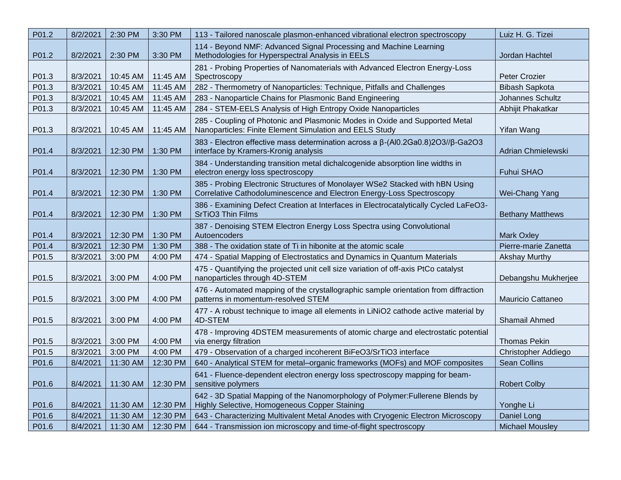| P01.2 | 8/2/2021 | 2:30 PM  | 3:30 PM  | 113 - Tailored nanoscale plasmon-enhanced vibrational electron spectroscopy                                                                           | Luiz H. G. Tizei          |
|-------|----------|----------|----------|-------------------------------------------------------------------------------------------------------------------------------------------------------|---------------------------|
| P01.2 | 8/2/2021 | 2:30 PM  | 3:30 PM  | 114 - Beyond NMF: Advanced Signal Processing and Machine Learning<br>Methodologies for Hyperspectral Analysis in EELS                                 | Jordan Hachtel            |
| P01.3 | 8/3/2021 | 10:45 AM | 11:45 AM | 281 - Probing Properties of Nanomaterials with Advanced Electron Energy-Loss<br>Spectroscopy                                                          | Peter Crozier             |
| P01.3 | 8/3/2021 | 10:45 AM | 11:45 AM | 282 - Thermometry of Nanoparticles: Technique, Pitfalls and Challenges                                                                                | <b>Bibash Sapkota</b>     |
| P01.3 | 8/3/2021 | 10:45 AM | 11:45 AM | 283 - Nanoparticle Chains for Plasmonic Band Engineering                                                                                              | Johannes Schultz          |
| P01.3 | 8/3/2021 | 10:45 AM | 11:45 AM | 284 - STEM-EELS Analysis of High Entropy Oxide Nanoparticles                                                                                          | Abhijit Phakatkar         |
| P01.3 | 8/3/2021 | 10:45 AM | 11:45 AM | 285 - Coupling of Photonic and Plasmonic Modes in Oxide and Supported Metal<br>Nanoparticles: Finite Element Simulation and EELS Study                | Yifan Wang                |
| P01.4 | 8/3/2021 | 12:30 PM | 1:30 PM  | 383 - Electron effective mass determination across a $\beta$ -(Al0.2Ga0.8)2O3// $\beta$ -Ga2O3<br>interface by Kramers-Kronig analysis                | <b>Adrian Chmielewski</b> |
| P01.4 | 8/3/2021 | 12:30 PM | 1:30 PM  | 384 - Understanding transition metal dichalcogenide absorption line widths in<br>electron energy loss spectroscopy                                    | Fuhui SHAO                |
| P01.4 | 8/3/2021 | 12:30 PM | 1:30 PM  | 385 - Probing Electronic Structures of Monolayer WSe2 Stacked with hBN Using<br>Correlative Cathodoluminescence and Electron Energy-Loss Spectroscopy | Wei-Chang Yang            |
| P01.4 | 8/3/2021 | 12:30 PM | 1:30 PM  | 386 - Examining Defect Creation at Interfaces in Electrocatalytically Cycled LaFeO3-<br>SrTiO3 Thin Films                                             | <b>Bethany Matthews</b>   |
| P01.4 | 8/3/2021 | 12:30 PM | 1:30 PM  | 387 - Denoising STEM Electron Energy Loss Spectra using Convolutional<br>Autoencoders                                                                 | <b>Mark Oxley</b>         |
| P01.4 | 8/3/2021 | 12:30 PM | 1:30 PM  | 388 - The oxidation state of Ti in hibonite at the atomic scale                                                                                       | Pierre-marie Zanetta      |
| P01.5 | 8/3/2021 | 3:00 PM  | 4:00 PM  | 474 - Spatial Mapping of Electrostatics and Dynamics in Quantum Materials                                                                             | <b>Akshay Murthy</b>      |
| P01.5 | 8/3/2021 | 3:00 PM  | 4:00 PM  | 475 - Quantifying the projected unit cell size variation of off-axis PtCo catalyst<br>nanoparticles through 4D-STEM                                   | Debangshu Mukherjee       |
| P01.5 | 8/3/2021 | 3:00 PM  | 4:00 PM  | 476 - Automated mapping of the crystallographic sample orientation from diffraction<br>patterns in momentum-resolved STEM                             | Mauricio Cattaneo         |
| P01.5 | 8/3/2021 | 3:00 PM  | 4:00 PM  | 477 - A robust technique to image all elements in LiNiO2 cathode active material by<br>4D-STEM                                                        | Shamail Ahmed             |
| P01.5 | 8/3/2021 | 3:00 PM  | 4:00 PM  | 478 - Improving 4DSTEM measurements of atomic charge and electrostatic potential<br>via energy filtration                                             | <b>Thomas Pekin</b>       |
| P01.5 | 8/3/2021 | 3:00 PM  | 4:00 PM  | 479 - Observation of a charged incoherent BiFeO3/SrTiO3 interface                                                                                     | Christopher Addiego       |
| P01.6 | 8/4/2021 | 11:30 AM | 12:30 PM | 640 - Analytical STEM for metal–organic frameworks (MOFs) and MOF composites                                                                          | <b>Sean Collins</b>       |
| P01.6 | 8/4/2021 | 11:30 AM | 12:30 PM | 641 - Fluence-dependent electron energy loss spectroscopy mapping for beam-<br>sensitive polymers                                                     | <b>Robert Colby</b>       |
| P01.6 | 8/4/2021 | 11:30 AM | 12:30 PM | 642 - 3D Spatial Mapping of the Nanomorphology of Polymer: Fullerene Blends by<br>Highly Selective, Homogeneous Copper Staining                       | Yonghe Li                 |
| P01.6 | 8/4/2021 | 11:30 AM | 12:30 PM | 643 - Characterizing Multivalent Metal Anodes with Cryogenic Electron Microscopy                                                                      | Daniel Long               |
| P01.6 | 8/4/2021 | 11:30 AM | 12:30 PM | 644 - Transmission ion microscopy and time-of-flight spectroscopy                                                                                     | <b>Michael Mousley</b>    |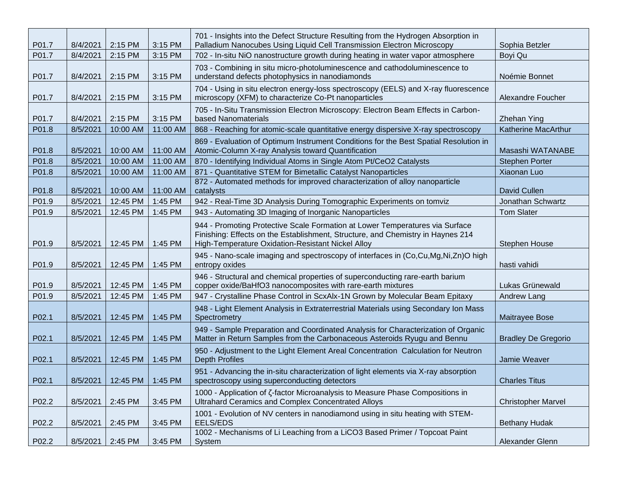| P01.7 | 8/4/2021 | 2:15 PM            | 3:15 PM  | 701 - Insights into the Defect Structure Resulting from the Hydrogen Absorption in<br>Palladium Nanocubes Using Liquid Cell Transmission Electron Microscopy                                                         | Sophia Betzler             |
|-------|----------|--------------------|----------|----------------------------------------------------------------------------------------------------------------------------------------------------------------------------------------------------------------------|----------------------------|
| P01.7 | 8/4/2021 | 2:15 PM            | 3:15 PM  | 702 - In-situ NiO nanostructure growth during heating in water vapor atmosphere                                                                                                                                      | Boyi Qu                    |
| P01.7 | 8/4/2021 | 2:15 PM            | 3:15 PM  | 703 - Combining in situ micro-photoluminescence and cathodoluminescence to<br>understand defects photophysics in nanodiamonds                                                                                        | Noémie Bonnet              |
| P01.7 | 8/4/2021 | 2:15 PM            | 3:15 PM  | 704 - Using in situ electron energy-loss spectroscopy (EELS) and X-ray fluorescence<br>microscopy (XFM) to characterize Co-Pt nanoparticles                                                                          | Alexandre Foucher          |
| P01.7 | 8/4/2021 | 2:15 PM            | 3:15 PM  | 705 - In-Situ Transmission Electron Microscopy: Electron Beam Effects in Carbon-<br>based Nanomaterials                                                                                                              | <b>Zhehan Ying</b>         |
| P01.8 | 8/5/2021 | 10:00 AM           | 11:00 AM | 868 - Reaching for atomic-scale quantitative energy dispersive X-ray spectroscopy                                                                                                                                    | Katherine MacArthur        |
| P01.8 | 8/5/2021 | 10:00 AM           | 11:00 AM | 869 - Evaluation of Optimum Instrument Conditions for the Best Spatial Resolution in<br>Atomic-Column X-ray Analysis toward Quantification                                                                           | Masashi WATANABE           |
| P01.8 | 8/5/2021 | 10:00 AM           | 11:00 AM | 870 - Identifying Individual Atoms in Single Atom Pt/CeO2 Catalysts                                                                                                                                                  | <b>Stephen Porter</b>      |
| P01.8 | 8/5/2021 | 10:00 AM           | 11:00 AM | 871 - Quantitative STEM for Bimetallic Catalyst Nanoparticles                                                                                                                                                        | Xiaonan Luo                |
| P01.8 | 8/5/2021 | 10:00 AM           | 11:00 AM | 872 - Automated methods for improved characterization of alloy nanoparticle<br>catalysts                                                                                                                             | David Cullen               |
| P01.9 | 8/5/2021 | 12:45 PM           | 1:45 PM  | 942 - Real-Time 3D Analysis During Tomographic Experiments on tomviz                                                                                                                                                 | Jonathan Schwartz          |
| P01.9 | 8/5/2021 | 12:45 PM           | 1:45 PM  | 943 - Automating 3D Imaging of Inorganic Nanoparticles                                                                                                                                                               | <b>Tom Slater</b>          |
| P01.9 | 8/5/2021 | 12:45 PM           | 1:45 PM  | 944 - Promoting Protective Scale Formation at Lower Temperatures via Surface<br>Finishing: Effects on the Establishment, Structure, and Chemistry in Haynes 214<br>High-Temperature Oxidation-Resistant Nickel Alloy | Stephen House              |
| P01.9 | 8/5/2021 | 12:45 PM           | 1:45 PM  | 945 - Nano-scale imaging and spectroscopy of interfaces in (Co,Cu,Mg,Ni,Zn)O high<br>entropy oxides                                                                                                                  | hasti vahidi               |
| P01.9 | 8/5/2021 | 12:45 PM           | 1:45 PM  | 946 - Structural and chemical properties of superconducting rare-earth barium<br>copper oxide/BaHfO3 nanocomposites with rare-earth mixtures                                                                         | Lukas Grünewald            |
| P01.9 | 8/5/2021 | 12:45 PM           | 1:45 PM  | 947 - Crystalline Phase Control in ScxAlx-1N Grown by Molecular Beam Epitaxy                                                                                                                                         | Andrew Lang                |
| P02.1 | 8/5/2021 | 12:45 PM           | 1:45 PM  | 948 - Light Element Analysis in Extraterrestrial Materials using Secondary Ion Mass<br>Spectrometry                                                                                                                  | Maitrayee Bose             |
| P02.1 | 8/5/2021 | 12:45 PM           | 1:45 PM  | 949 - Sample Preparation and Coordinated Analysis for Characterization of Organic<br>Matter in Return Samples from the Carbonaceous Asteroids Ryugu and Bennu                                                        | <b>Bradley De Gregorio</b> |
| P02.1 | 8/5/2021 | 12:45 PM           | 1:45 PM  | 950 - Adjustment to the Light Element Areal Concentration Calculation for Neutron<br><b>Depth Profiles</b>                                                                                                           | Jamie Weaver               |
| P02.1 | 8/5/2021 | 12:45 PM   1:45 PM |          | 951 - Advancing the in-situ characterization of light elements via X-ray absorption<br>spectroscopy using superconducting detectors                                                                                  | <b>Charles Titus</b>       |
| P02.2 | 8/5/2021 | 2:45 PM            | 3:45 PM  | 1000 - Application of Z-factor Microanalysis to Measure Phase Compositions in<br>Ultrahard Ceramics and Complex Concentrated Alloys                                                                                  | <b>Christopher Marvel</b>  |
| P02.2 | 8/5/2021 | 2:45 PM            | 3:45 PM  | 1001 - Evolution of NV centers in nanodiamond using in situ heating with STEM-<br>EELS/EDS                                                                                                                           | <b>Bethany Hudak</b>       |
| P02.2 | 8/5/2021 | 2:45 PM            | 3:45 PM  | 1002 - Mechanisms of Li Leaching from a LiCO3 Based Primer / Topcoat Paint<br>System                                                                                                                                 | Alexander Glenn            |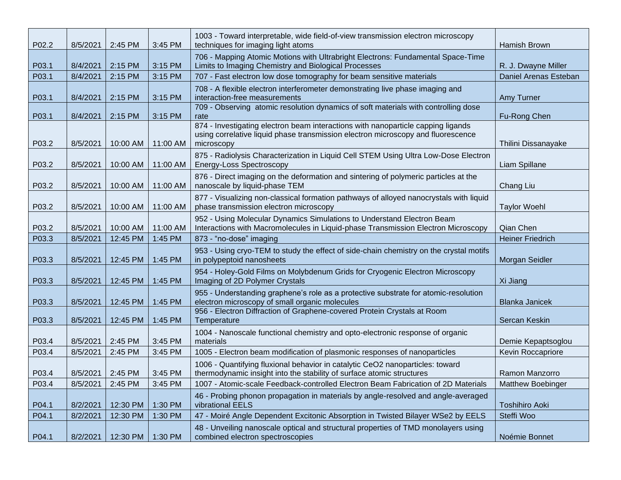| P02.2 | 8/5/2021         | 2:45 PM  | 3:45 PM  | 1003 - Toward interpretable, wide field-of-view transmission electron microscopy<br>techniques for imaging light atoms                                                             | Hamish Brown             |
|-------|------------------|----------|----------|------------------------------------------------------------------------------------------------------------------------------------------------------------------------------------|--------------------------|
| P03.1 | 8/4/2021         | 2:15 PM  | 3:15 PM  | 706 - Mapping Atomic Motions with Ultrabright Electrons: Fundamental Space-Time<br>Limits to Imaging Chemistry and Biological Processes                                            | R. J. Dwayne Miller      |
| P03.1 | 8/4/2021         | 2:15 PM  | 3:15 PM  | 707 - Fast electron low dose tomography for beam sensitive materials                                                                                                               | Daniel Arenas Esteban    |
| P03.1 | 8/4/2021         | 2:15 PM  | 3:15 PM  | 708 - A flexible electron interferometer demonstrating live phase imaging and<br>interaction-free measurements                                                                     | Amy Turner               |
| P03.1 | 8/4/2021         | 2:15 PM  | 3:15 PM  | 709 - Observing atomic resolution dynamics of soft materials with controlling dose<br>rate                                                                                         | Fu-Rong Chen             |
| P03.2 | 8/5/2021         | 10:00 AM | 11:00 AM | 874 - Investigating electron beam interactions with nanoparticle capping ligands<br>using correlative liquid phase transmission electron microscopy and fluorescence<br>microscopy | Thilini Dissanayake      |
| P03.2 | 8/5/2021         | 10:00 AM | 11:00 AM | 875 - Radiolysis Characterization in Liquid Cell STEM Using Ultra Low-Dose Electron<br><b>Energy-Loss Spectroscopy</b>                                                             | Liam Spillane            |
| P03.2 | 8/5/2021         | 10:00 AM | 11:00 AM | 876 - Direct imaging on the deformation and sintering of polymeric particles at the<br>nanoscale by liquid-phase TEM                                                               | Chang Liu                |
| P03.2 | 8/5/2021         | 10:00 AM | 11:00 AM | 877 - Visualizing non-classical formation pathways of alloyed nanocrystals with liquid<br>phase transmission electron microscopy                                                   | <b>Taylor Woehl</b>      |
| P03.2 | 8/5/2021         | 10:00 AM | 11:00 AM | 952 - Using Molecular Dynamics Simulations to Understand Electron Beam<br>Interactions with Macromolecules in Liquid-phase Transmission Electron Microscopy                        | Qian Chen                |
| P03.3 | 8/5/2021         | 12:45 PM | 1:45 PM  | 873 - "no-dose" imaging                                                                                                                                                            | <b>Heiner Friedrich</b>  |
| P03.3 | 8/5/2021         | 12:45 PM | 1:45 PM  | 953 - Using cryo-TEM to study the effect of side-chain chemistry on the crystal motifs<br>in polypeptoid nanosheets                                                                | Morgan Seidler           |
| P03.3 | 8/5/2021         | 12:45 PM | 1:45 PM  | 954 - Holey-Gold Films on Molybdenum Grids for Cryogenic Electron Microscopy<br>Imaging of 2D Polymer Crystals                                                                     | Xi Jiang                 |
| P03.3 | 8/5/2021         | 12:45 PM | 1:45 PM  | 955 - Understanding graphene's role as a protective substrate for atomic-resolution<br>electron microscopy of small organic molecules                                              | <b>Blanka Janicek</b>    |
| P03.3 | 8/5/2021         | 12:45 PM | 1:45 PM  | 956 - Electron Diffraction of Graphene-covered Protein Crystals at Room<br>Temperature                                                                                             | Sercan Keskin            |
| P03.4 | 8/5/2021         | 2:45 PM  | 3:45 PM  | 1004 - Nanoscale functional chemistry and opto-electronic response of organic<br>materials                                                                                         | Demie Kepaptsoglou       |
| P03.4 | 8/5/2021         | 2:45 PM  | 3:45 PM  | 1005 - Electron beam modification of plasmonic responses of nanoparticles                                                                                                          | Kevin Roccapriore        |
| P03.4 | 8/5/2021 2:45 PM |          | 3:45 PM  | 1006 - Quantifying fluxional behavior in catalytic CeO2 nanoparticles: toward<br>thermodynamic insight into the stability of surface atomic structures                             | Ramon Manzorro           |
| P03.4 | 8/5/2021         | 2:45 PM  | 3:45 PM  | 1007 - Atomic-scale Feedback-controlled Electron Beam Fabrication of 2D Materials                                                                                                  | <b>Matthew Boebinger</b> |
| P04.1 | 8/2/2021         | 12:30 PM | 1:30 PM  | 46 - Probing phonon propagation in materials by angle-resolved and angle-averaged<br>vibrational EELS                                                                              | <b>Toshihiro Aoki</b>    |
| P04.1 | 8/2/2021         | 12:30 PM | 1:30 PM  | 47 - Moiré Angle Dependent Excitonic Absorption in Twisted Bilayer WSe2 by EELS                                                                                                    | Steffi Woo               |
| P04.1 | 8/2/2021         | 12:30 PM | 1:30 PM  | 48 - Unveiling nanoscale optical and structural properties of TMD monolayers using<br>combined electron spectroscopies                                                             | Noémie Bonnet            |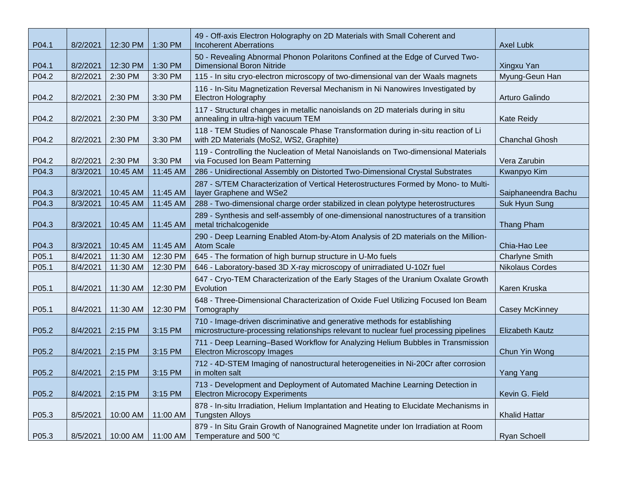| P04.1 | 8/2/2021 | 12:30 PM | 1:30 PM  | 49 - Off-axis Electron Holography on 2D Materials with Small Coherent and<br><b>Incoherent Aberrations</b>                                                         | <b>Axel Lubk</b>       |
|-------|----------|----------|----------|--------------------------------------------------------------------------------------------------------------------------------------------------------------------|------------------------|
| P04.1 | 8/2/2021 | 12:30 PM | 1:30 PM  | 50 - Revealing Abnormal Phonon Polaritons Confined at the Edge of Curved Two-<br><b>Dimensional Boron Nitride</b>                                                  | Xingxu Yan             |
| P04.2 | 8/2/2021 | 2:30 PM  | 3:30 PM  | 115 - In situ cryo-electron microscopy of two-dimensional van der Waals magnets                                                                                    | Myung-Geun Han         |
| P04.2 | 8/2/2021 | 2:30 PM  | 3:30 PM  | 116 - In-Situ Magnetization Reversal Mechanism in Ni Nanowires Investigated by<br><b>Electron Holography</b>                                                       | Arturo Galindo         |
| P04.2 | 8/2/2021 | 2:30 PM  | 3:30 PM  | 117 - Structural changes in metallic nanoislands on 2D materials during in situ<br>annealing in ultra-high vacuum TEM                                              | <b>Kate Reidy</b>      |
| P04.2 | 8/2/2021 | 2:30 PM  | 3:30 PM  | 118 - TEM Studies of Nanoscale Phase Transformation during in-situ reaction of Li<br>with 2D Materials (MoS2, WS2, Graphite)                                       | <b>Chanchal Ghosh</b>  |
| P04.2 | 8/2/2021 | 2:30 PM  | 3:30 PM  | 119 - Controlling the Nucleation of Metal Nanoislands on Two-dimensional Materials<br>via Focused Ion Beam Patterning                                              | Vera Zarubin           |
| P04.3 | 8/3/2021 | 10:45 AM | 11:45 AM | 286 - Unidirectional Assembly on Distorted Two-Dimensional Crystal Substrates                                                                                      | Kwanpyo Kim            |
| P04.3 | 8/3/2021 | 10:45 AM | 11:45 AM | 287 - S/TEM Characterization of Vertical Heterostructures Formed by Mono- to Multi-<br>layer Graphene and WSe2                                                     | Saiphaneendra Bachu    |
| P04.3 | 8/3/2021 | 10:45 AM | 11:45 AM | 288 - Two-dimensional charge order stabilized in clean polytype heterostructures                                                                                   | Suk Hyun Sung          |
| P04.3 | 8/3/2021 | 10:45 AM | 11:45 AM | 289 - Synthesis and self-assembly of one-dimensional nanostructures of a transition<br>metal trichalcogenide                                                       | Thang Pham             |
| P04.3 | 8/3/2021 | 10:45 AM | 11:45 AM | 290 - Deep Learning Enabled Atom-by-Atom Analysis of 2D materials on the Million-<br><b>Atom Scale</b>                                                             | Chia-Hao Lee           |
| P05.1 | 8/4/2021 | 11:30 AM | 12:30 PM | 645 - The formation of high burnup structure in U-Mo fuels                                                                                                         | <b>Charlyne Smith</b>  |
| P05.1 | 8/4/2021 | 11:30 AM | 12:30 PM | 646 - Laboratory-based 3D X-ray microscopy of unirradiated U-10Zr fuel                                                                                             | <b>Nikolaus Cordes</b> |
| P05.1 | 8/4/2021 | 11:30 AM | 12:30 PM | 647 - Cryo-TEM Characterization of the Early Stages of the Uranium Oxalate Growth<br>Evolution                                                                     | Karen Kruska           |
| P05.1 | 8/4/2021 | 11:30 AM | 12:30 PM | 648 - Three-Dimensional Characterization of Oxide Fuel Utilizing Focused Ion Beam<br>Tomography                                                                    | <b>Casey McKinney</b>  |
| P05.2 | 8/4/2021 | 2:15 PM  | 3:15 PM  | 710 - Image-driven discriminative and generative methods for establishing<br>microstructure-processing relationships relevant to nuclear fuel processing pipelines | <b>Elizabeth Kautz</b> |
| P05.2 | 8/4/2021 | 2:15 PM  | 3:15 PM  | 711 - Deep Learning-Based Workflow for Analyzing Helium Bubbles in Transmission<br><b>Electron Microscopy Images</b>                                               | Chun Yin Wong          |
| P05.2 | 8/4/2021 | 2:15 PM  | 3:15 PM  | 712 - 4D-STEM Imaging of nanostructural heterogeneities in Ni-20Cr after corrosion<br>in molten salt                                                               | Yang Yang              |
| P05.2 | 8/4/2021 | 2:15 PM  | 3:15 PM  | 713 - Development and Deployment of Automated Machine Learning Detection in<br><b>Electron Microcopy Experiments</b>                                               | Kevin G. Field         |
| P05.3 | 8/5/2021 | 10:00 AM | 11:00 AM | 878 - In-situ Irradiation, Helium Implantation and Heating to Elucidate Mechanisms in<br><b>Tungsten Alloys</b>                                                    | <b>Khalid Hattar</b>   |
| P05.3 | 8/5/2021 | 10:00 AM | 11:00 AM | 879 - In Situ Grain Growth of Nanograined Magnetite under Ion Irradiation at Room<br>Temperature and 500 °C                                                        | Ryan Schoell           |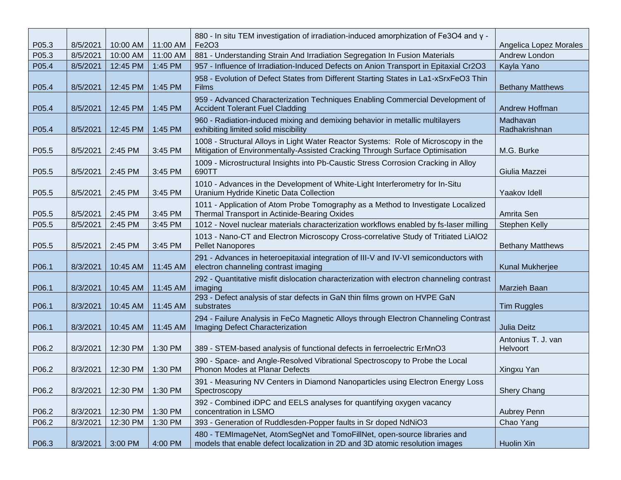| P05.3 | 8/5/2021 | 10:00 AM | 11:00 AM | 880 - In situ TEM investigation of irradiation-induced amorphization of Fe3O4 and y -<br>Fe2O3                                                                     | Angelica Lopez Morales         |
|-------|----------|----------|----------|--------------------------------------------------------------------------------------------------------------------------------------------------------------------|--------------------------------|
| P05.3 | 8/5/2021 | 10:00 AM | 11:00 AM | 881 - Understanding Strain And Irradiation Segregation In Fusion Materials                                                                                         | Andrew London                  |
| P05.4 | 8/5/2021 | 12:45 PM | 1:45 PM  | 957 - Influence of Irradiation-Induced Defects on Anion Transport in Epitaxial Cr2O3                                                                               | Kayla Yano                     |
| P05.4 | 8/5/2021 | 12:45 PM | 1:45 PM  | 958 - Evolution of Defect States from Different Starting States in La1-xSrxFeO3 Thin<br><b>Films</b>                                                               | <b>Bethany Matthews</b>        |
| P05.4 | 8/5/2021 | 12:45 PM | 1:45 PM  | 959 - Advanced Characterization Techniques Enabling Commercial Development of<br><b>Accident Tolerant Fuel Cladding</b>                                            | Andrew Hoffman                 |
| P05.4 | 8/5/2021 | 12:45 PM | 1:45 PM  | 960 - Radiation-induced mixing and demixing behavior in metallic multilayers<br>exhibiting limited solid miscibility                                               | Madhavan<br>Radhakrishnan      |
| P05.5 | 8/5/2021 | 2:45 PM  | 3:45 PM  | 1008 - Structural Alloys in Light Water Reactor Systems: Role of Microscopy in the<br>Mitigation of Environmentally-Assisted Cracking Through Surface Optimisation | M.G. Burke                     |
| P05.5 | 8/5/2021 | 2:45 PM  | 3:45 PM  | 1009 - Microstructural Insights into Pb-Caustic Stress Corrosion Cracking in Alloy<br>690TT                                                                        | Giulia Mazzei                  |
| P05.5 | 8/5/2021 | 2:45 PM  | 3:45 PM  | 1010 - Advances in the Development of White-Light Interferometry for In-Situ<br>Uranium Hydride Kinetic Data Collection                                            | Yaakov Idell                   |
| P05.5 | 8/5/2021 | 2:45 PM  | 3:45 PM  | 1011 - Application of Atom Probe Tomography as a Method to Investigate Localized<br>Thermal Transport in Actinide-Bearing Oxides                                   | Amrita Sen                     |
| P05.5 | 8/5/2021 | 2:45 PM  | 3:45 PM  | 1012 - Novel nuclear materials characterization workflows enabled by fs-laser milling                                                                              | <b>Stephen Kelly</b>           |
| P05.5 | 8/5/2021 | 2:45 PM  | 3:45 PM  | 1013 - Nano-CT and Electron Microscopy Cross-correlative Study of Tritiated LiAIO2<br><b>Pellet Nanopores</b>                                                      | <b>Bethany Matthews</b>        |
| P06.1 | 8/3/2021 | 10:45 AM | 11:45 AM | 291 - Advances in heteroepitaxial integration of III-V and IV-VI semiconductors with<br>electron channeling contrast imaging                                       | Kunal Mukherjee                |
| P06.1 | 8/3/2021 | 10:45 AM | 11:45 AM | 292 - Quantitative misfit dislocation characterization with electron channeling contrast<br>imaging                                                                | Marzieh Baan                   |
| P06.1 | 8/3/2021 | 10:45 AM | 11:45 AM | 293 - Defect analysis of star defects in GaN thin films grown on HVPE GaN<br>substrates                                                                            | <b>Tim Ruggles</b>             |
| P06.1 | 8/3/2021 | 10:45 AM | 11:45 AM | 294 - Failure Analysis in FeCo Magnetic Alloys through Electron Channeling Contrast<br>Imaging Defect Characterization                                             | <b>Julia Deitz</b>             |
| P06.2 | 8/3/2021 | 12:30 PM | 1:30 PM  | 389 - STEM-based analysis of functional defects in ferroelectric ErMnO3                                                                                            | Antonius T. J. van<br>Helvoort |
| P06.2 | 8/3/2021 | 12:30 PM | 1:30 PM  | 390 - Space- and Angle-Resolved Vibrational Spectroscopy to Probe the Local<br>Phonon Modes at Planar Defects                                                      | Xingxu Yan                     |
| P06.2 | 8/3/2021 | 12:30 PM | 1:30 PM  | 391 - Measuring NV Centers in Diamond Nanoparticles using Electron Energy Loss<br>Spectroscopy                                                                     | <b>Shery Chang</b>             |
| P06.2 | 8/3/2021 | 12:30 PM | 1:30 PM  | 392 - Combined iDPC and EELS analyses for quantifying oxygen vacancy<br>concentration in LSMO                                                                      | Aubrey Penn                    |
| P06.2 | 8/3/2021 | 12:30 PM | 1:30 PM  | 393 - Generation of Ruddlesden-Popper faults in Sr doped NdNiO3                                                                                                    | Chao Yang                      |
| P06.3 | 8/3/2021 | 3:00 PM  | 4:00 PM  | 480 - TEMImageNet, AtomSegNet and TomoFillNet, open-source libraries and<br>models that enable defect localization in 2D and 3D atomic resolution images           | Huolin Xin                     |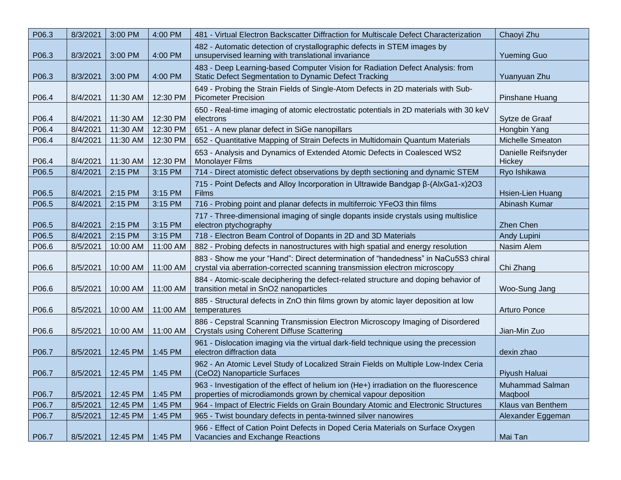| P06.3 | 8/3/2021 | 3:00 PM  | 4:00 PM  | 481 - Virtual Electron Backscatter Diffraction for Multiscale Defect Characterization                                                                           | Chaoyi Zhu                        |
|-------|----------|----------|----------|-----------------------------------------------------------------------------------------------------------------------------------------------------------------|-----------------------------------|
| P06.3 | 8/3/2021 | 3:00 PM  | 4:00 PM  | 482 - Automatic detection of crystallographic defects in STEM images by<br>unsupervised learning with translational invariance                                  | <b>Yueming Guo</b>                |
| P06.3 | 8/3/2021 | 3:00 PM  | 4:00 PM  | 483 - Deep Learning-based Computer Vision for Radiation Defect Analysis: from<br>Static Defect Segmentation to Dynamic Defect Tracking                          | Yuanyuan Zhu                      |
| P06.4 | 8/4/2021 | 11:30 AM | 12:30 PM | 649 - Probing the Strain Fields of Single-Atom Defects in 2D materials with Sub-<br><b>Picometer Precision</b>                                                  | Pinshane Huang                    |
|       |          |          |          | 650 - Real-time imaging of atomic electrostatic potentials in 2D materials with 30 keV                                                                          |                                   |
| P06.4 | 8/4/2021 | 11:30 AM | 12:30 PM | electrons                                                                                                                                                       | Sytze de Graaf                    |
| P06.4 | 8/4/2021 | 11:30 AM | 12:30 PM | 651 - A new planar defect in SiGe nanopillars                                                                                                                   | Hongbin Yang                      |
| P06.4 | 8/4/2021 | 11:30 AM | 12:30 PM | 652 - Quantitative Mapping of Strain Defects in Multidomain Quantum Materials                                                                                   | Michelle Smeaton                  |
| P06.4 | 8/4/2021 | 11:30 AM | 12:30 PM | 653 - Analysis and Dynamics of Extended Atomic Defects in Coalesced WS2<br><b>Monolayer Films</b>                                                               | Danielle Reifsnyder<br>Hickey     |
| P06.5 | 8/4/2021 | 2:15 PM  | 3:15 PM  | 714 - Direct atomistic defect observations by depth sectioning and dynamic STEM                                                                                 | Ryo Ishikawa                      |
| P06.5 | 8/4/2021 | 2:15 PM  | 3:15 PM  | 715 - Point Defects and Alloy Incorporation in Ultrawide Bandgap β-(AlxGa1-x)2O3<br>Films                                                                       | Hsien-Lien Huang                  |
| P06.5 | 8/4/2021 | 2:15 PM  | 3:15 PM  | 716 - Probing point and planar defects in multiferroic YFeO3 thin films                                                                                         | Abinash Kumar                     |
| P06.5 | 8/4/2021 | 2:15 PM  | 3:15 PM  | 717 - Three-dimensional imaging of single dopants inside crystals using multislice<br>electron ptychography                                                     | <b>Zhen Chen</b>                  |
| P06.5 | 8/4/2021 | 2:15 PM  | 3:15 PM  | 718 - Electron Beam Control of Dopants in 2D and 3D Materials                                                                                                   | Andy Lupini                       |
| P06.6 | 8/5/2021 | 10:00 AM | 11:00 AM | 882 - Probing defects in nanostructures with high spatial and energy resolution                                                                                 | Nasim Alem                        |
| P06.6 | 8/5/2021 | 10:00 AM | 11:00 AM | 883 - Show me your "Hand": Direct determination of "handedness" in NaCu5S3 chiral<br>crystal via aberration-corrected scanning transmission electron microscopy | Chi Zhang                         |
| P06.6 | 8/5/2021 | 10:00 AM | 11:00 AM | 884 - Atomic-scale deciphering the defect-related structure and doping behavior of<br>transition metal in SnO2 nanoparticles                                    | Woo-Sung Jang                     |
| P06.6 | 8/5/2021 | 10:00 AM | 11:00 AM | 885 - Structural defects in ZnO thin films grown by atomic layer deposition at low<br>temperatures                                                              | <b>Arturo Ponce</b>               |
| P06.6 | 8/5/2021 | 10:00 AM | 11:00 AM | 886 - Cepstral Scanning Transmission Electron Microscopy Imaging of Disordered<br><b>Crystals using Coherent Diffuse Scattering</b>                             | Jian-Min Zuo                      |
| P06.7 | 8/5/2021 | 12:45 PM | 1:45 PM  | 961 - Dislocation imaging via the virtual dark-field technique using the precession<br>electron diffraction data                                                | dexin zhao                        |
| P06.7 | 8/5/2021 | 12:45 PM | 1:45 PM  | 962 - An Atomic Level Study of Localized Strain Fields on Multiple Low-Index Ceria<br>(CeO2) Nanoparticle Surfaces                                              | Piyush Haluai                     |
| P06.7 | 8/5/2021 | 12:45 PM | 1:45 PM  | 963 - Investigation of the effect of helium ion (He+) irradiation on the fluorescence<br>properties of microdiamonds grown by chemical vapour deposition        | <b>Muhammad Salman</b><br>Maqbool |
| P06.7 | 8/5/2021 | 12:45 PM | 1:45 PM  | 964 - Impact of Electric Fields on Grain Boundary Atomic and Electronic Structures                                                                              | Klaus van Benthem                 |
| P06.7 | 8/5/2021 | 12:45 PM | 1:45 PM  | 965 - Twist boundary defects in penta-twinned silver nanowires                                                                                                  | Alexander Eggeman                 |
| P06.7 | 8/5/2021 | 12:45 PM | 1:45 PM  | 966 - Effect of Cation Point Defects in Doped Ceria Materials on Surface Oxygen<br>Vacancies and Exchange Reactions                                             | Mai Tan                           |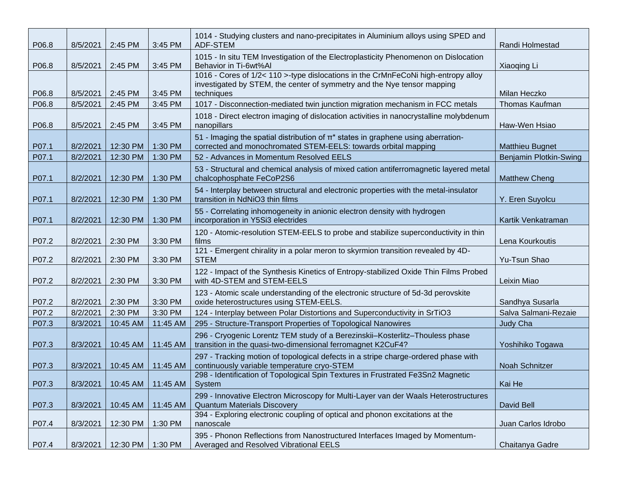| P06.8 | 8/5/2021 | 2:45 PM  | 3:45 PM  | 1014 - Studying clusters and nano-precipitates in Aluminium alloys using SPED and<br>ADF-STEM                                                                              | Randi Holmestad        |
|-------|----------|----------|----------|----------------------------------------------------------------------------------------------------------------------------------------------------------------------------|------------------------|
| P06.8 | 8/5/2021 | 2:45 PM  | 3:45 PM  | 1015 - In situ TEM Investigation of the Electroplasticity Phenomenon on Dislocation<br>Behavior in Ti-6wt%Al                                                               | Xiaoqing Li            |
| P06.8 | 8/5/2021 | 2:45 PM  | 3:45 PM  | 1016 - Cores of 1/2< 110 >-type dislocations in the CrMnFeCoNi high-entropy alloy<br>investigated by STEM, the center of symmetry and the Nye tensor mapping<br>techniques | Milan Heczko           |
| P06.8 | 8/5/2021 | 2:45 PM  | 3:45 PM  | 1017 - Disconnection-mediated twin junction migration mechanism in FCC metals                                                                                              | Thomas Kaufman         |
| P06.8 | 8/5/2021 | 2:45 PM  | 3:45 PM  | 1018 - Direct electron imaging of dislocation activities in nanocrystalline molybdenum<br>nanopillars                                                                      | Haw-Wen Hsiao          |
| P07.1 | 8/2/2021 | 12:30 PM | 1:30 PM  | 51 - Imaging the spatial distribution of $\pi^*$ states in graphene using aberration-<br>corrected and monochromated STEM-EELS: towards orbital mapping                    | <b>Matthieu Bugnet</b> |
| P07.1 | 8/2/2021 | 12:30 PM | 1:30 PM  | 52 - Advances in Momentum Resolved EELS                                                                                                                                    | Benjamin Plotkin-Swing |
| P07.1 | 8/2/2021 | 12:30 PM | 1:30 PM  | 53 - Structural and chemical analysis of mixed cation antiferromagnetic layered metal<br>chalcophosphate FeCoP2S6                                                          | <b>Matthew Cheng</b>   |
| P07.1 | 8/2/2021 | 12:30 PM | 1:30 PM  | 54 - Interplay between structural and electronic properties with the metal-insulator<br>transition in NdNiO3 thin films                                                    | Y. Eren Suyolcu        |
| P07.1 | 8/2/2021 | 12:30 PM | 1:30 PM  | 55 - Correlating inhomogeneity in anionic electron density with hydrogen<br>incorporation in Y5Si3 electrides                                                              | Kartik Venkatraman     |
| P07.2 | 8/2/2021 | 2:30 PM  | 3:30 PM  | 120 - Atomic-resolution STEM-EELS to probe and stabilize superconductivity in thin<br>films                                                                                | Lena Kourkoutis        |
| P07.2 | 8/2/2021 | 2:30 PM  | 3:30 PM  | 121 - Emergent chirality in a polar meron to skyrmion transition revealed by 4D-<br><b>STEM</b>                                                                            | Yu-Tsun Shao           |
| P07.2 | 8/2/2021 | 2:30 PM  | 3:30 PM  | 122 - Impact of the Synthesis Kinetics of Entropy-stabilized Oxide Thin Films Probed<br>with 4D-STEM and STEM-EELS                                                         | Leixin Miao            |
| P07.2 | 8/2/2021 | 2:30 PM  | 3:30 PM  | 123 - Atomic scale understanding of the electronic structure of 5d-3d perovskite<br>oxide heterostructures using STEM-EELS.                                                | Sandhya Susarla        |
| P07.2 | 8/2/2021 | 2:30 PM  | 3:30 PM  | 124 - Interplay between Polar Distortions and Superconductivity in SrTiO3                                                                                                  | Salva Salmani-Rezaie   |
| P07.3 | 8/3/2021 | 10:45 AM | 11:45 AM | 295 - Structure-Transport Properties of Topological Nanowires                                                                                                              | Judy Cha               |
| P07.3 | 8/3/2021 | 10:45 AM | 11:45 AM | 296 - Cryogenic Lorentz TEM study of a Berezinskii-Kosterlitz-Thouless phase<br>transition in the quasi-two-dimensional ferromagnet K2CuF4?                                | Yoshihiko Togawa       |
| P07.3 | 8/3/2021 | 10:45 AM | 11:45 AM | 297 - Tracking motion of topological defects in a stripe charge-ordered phase with<br>continuously variable temperature cryo-STEM                                          | Noah Schnitzer         |
| P07.3 | 8/3/2021 | 10:45 AM | 11:45 AM | 298 - Identification of Topological Spin Textures in Frustrated Fe3Sn2 Magnetic<br>System                                                                                  | Kai He                 |
| P07.3 | 8/3/2021 | 10:45 AM | 11:45 AM | 299 - Innovative Electron Microscopy for Multi-Layer van der Waals Heterostructures<br><b>Quantum Materials Discovery</b>                                                  | David Bell             |
| P07.4 | 8/3/2021 | 12:30 PM | 1:30 PM  | 394 - Exploring electronic coupling of optical and phonon excitations at the<br>nanoscale                                                                                  | Juan Carlos Idrobo     |
| P07.4 | 8/3/2021 | 12:30 PM | 1:30 PM  | 395 - Phonon Reflections from Nanostructured Interfaces Imaged by Momentum-<br>Averaged and Resolved Vibrational EELS                                                      | Chaitanya Gadre        |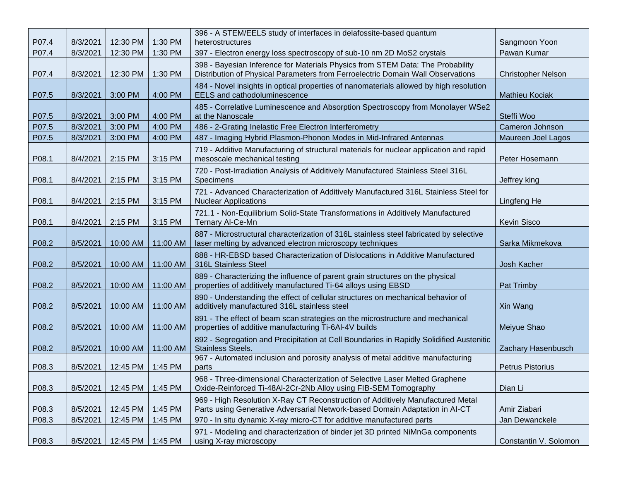| P07.4 | 8/3/2021 | 12:30 PM | 1:30 PM  | 396 - A STEM/EELS study of interfaces in delafossite-based quantum<br>heterostructures                                                                            | Sangmoon Yoon             |
|-------|----------|----------|----------|-------------------------------------------------------------------------------------------------------------------------------------------------------------------|---------------------------|
| P07.4 | 8/3/2021 | 12:30 PM | 1:30 PM  | 397 - Electron energy loss spectroscopy of sub-10 nm 2D MoS2 crystals                                                                                             | Pawan Kumar               |
| P07.4 | 8/3/2021 | 12:30 PM | 1:30 PM  | 398 - Bayesian Inference for Materials Physics from STEM Data: The Probability<br>Distribution of Physical Parameters from Ferroelectric Domain Wall Observations | <b>Christopher Nelson</b> |
| P07.5 | 8/3/2021 | 3:00 PM  | 4:00 PM  | 484 - Novel insights in optical properties of nanomaterials allowed by high resolution<br><b>EELS</b> and cathodoluminescence                                     | <b>Mathieu Kociak</b>     |
| P07.5 | 8/3/2021 | 3:00 PM  | 4:00 PM  | 485 - Correlative Luminescence and Absorption Spectroscopy from Monolayer WSe2<br>at the Nanoscale                                                                | Steffi Woo                |
| P07.5 | 8/3/2021 | 3:00 PM  | 4:00 PM  | 486 - 2-Grating Inelastic Free Electron Interferometry                                                                                                            | Cameron Johnson           |
| P07.5 | 8/3/2021 | 3:00 PM  | 4:00 PM  | 487 - Imaging Hybrid Plasmon-Phonon Modes in Mid-Infrared Antennas                                                                                                | Maureen Joel Lagos        |
| P08.1 | 8/4/2021 | 2:15 PM  | 3:15 PM  | 719 - Additive Manufacturing of structural materials for nuclear application and rapid<br>mesoscale mechanical testing                                            | Peter Hosemann            |
| P08.1 | 8/4/2021 | 2:15 PM  | 3:15 PM  | 720 - Post-Irradiation Analysis of Additively Manufactured Stainless Steel 316L<br>Specimens                                                                      | Jeffrey king              |
| P08.1 | 8/4/2021 | 2:15 PM  | 3:15 PM  | 721 - Advanced Characterization of Additively Manufactured 316L Stainless Steel for<br><b>Nuclear Applications</b>                                                | Lingfeng He               |
| P08.1 | 8/4/2021 | 2:15 PM  | 3:15 PM  | 721.1 - Non-Equilibrium Solid-State Transformations in Additively Manufactured<br>Ternary Al-Ce-Mn                                                                | <b>Kevin Sisco</b>        |
| P08.2 | 8/5/2021 | 10:00 AM | 11:00 AM | 887 - Microstructural characterization of 316L stainless steel fabricated by selective<br>laser melting by advanced electron microscopy techniques                | Sarka Mikmekova           |
| P08.2 | 8/5/2021 | 10:00 AM | 11:00 AM | 888 - HR-EBSD based Characterization of Dislocations in Additive Manufactured<br>316L Stainless Steel                                                             | Josh Kacher               |
| P08.2 | 8/5/2021 | 10:00 AM | 11:00 AM | 889 - Characterizing the influence of parent grain structures on the physical<br>properties of additively manufactured Ti-64 alloys using EBSD                    | Pat Trimby                |
| P08.2 | 8/5/2021 | 10:00 AM | 11:00 AM | 890 - Understanding the effect of cellular structures on mechanical behavior of<br>additively manufactured 316L stainless steel                                   | Xin Wang                  |
| P08.2 | 8/5/2021 | 10:00 AM | 11:00 AM | 891 - The effect of beam scan strategies on the microstructure and mechanical<br>properties of additive manufacturing Ti-6AI-4V builds                            | Meiyue Shao               |
| P08.2 | 8/5/2021 | 10:00 AM | 11:00 AM | 892 - Segregation and Precipitation at Cell Boundaries in Rapidly Solidified Austenitic<br><b>Stainless Steels.</b>                                               | Zachary Hasenbusch        |
| P08.3 | 8/5/2021 | 12:45 PM | 1:45 PM  | 967 - Automated inclusion and porosity analysis of metal additive manufacturing<br>parts                                                                          | Petrus Pistorius          |
| P08.3 | 8/5/2021 | 12:45 PM | 1:45 PM  | 968 - Three-dimensional Characterization of Selective Laser Melted Graphene<br>Oxide-Reinforced Ti-48Al-2Cr-2Nb Alloy using FIB-SEM Tomography                    | Dian Li                   |
| P08.3 | 8/5/2021 | 12:45 PM | 1:45 PM  | 969 - High Resolution X-Ray CT Reconstruction of Additively Manufactured Metal<br>Parts using Generative Adversarial Network-based Domain Adaptation in Al-CT     | Amir Ziabari              |
| P08.3 | 8/5/2021 | 12:45 PM | 1:45 PM  | 970 - In situ dynamic X-ray micro-CT for additive manufactured parts                                                                                              | Jan Dewanckele            |
| P08.3 | 8/5/2021 | 12:45 PM | 1:45 PM  | 971 - Modeling and characterization of binder jet 3D printed NiMnGa components<br>using X-ray microscopy                                                          | Constantin V. Solomon     |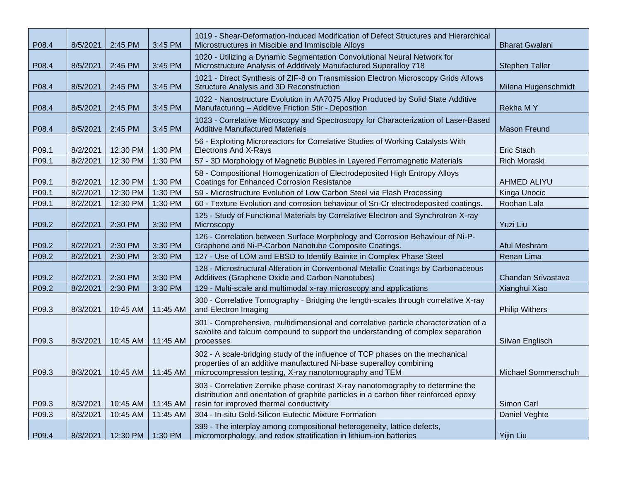| P08.4 | 8/5/2021 | 2:45 PM  | 3:45 PM  | 1019 - Shear-Deformation-Induced Modification of Defect Structures and Hierarchical<br>Microstructures in Miscible and Immiscible Alloys                                                                           | <b>Bharat Gwalani</b> |
|-------|----------|----------|----------|--------------------------------------------------------------------------------------------------------------------------------------------------------------------------------------------------------------------|-----------------------|
| P08.4 | 8/5/2021 | 2:45 PM  | 3:45 PM  | 1020 - Utilizing a Dynamic Segmentation Convolutional Neural Network for<br>Microstructure Analysis of Additively Manufactured Superalloy 718                                                                      | <b>Stephen Taller</b> |
| P08.4 | 8/5/2021 | 2:45 PM  | 3:45 PM  | 1021 - Direct Synthesis of ZIF-8 on Transmission Electron Microscopy Grids Allows<br>Structure Analysis and 3D Reconstruction                                                                                      | Milena Hugenschmidt   |
| P08.4 | 8/5/2021 | 2:45 PM  | 3:45 PM  | 1022 - Nanostructure Evolution in AA7075 Alloy Produced by Solid State Additive<br>Manufacturing - Additive Friction Stir - Deposition                                                                             | <b>Rekha MY</b>       |
| P08.4 | 8/5/2021 | 2:45 PM  | 3:45 PM  | 1023 - Correlative Microscopy and Spectroscopy for Characterization of Laser-Based<br><b>Additive Manufactured Materials</b>                                                                                       | <b>Mason Freund</b>   |
| P09.1 | 8/2/2021 | 12:30 PM | 1:30 PM  | 56 - Exploiting Microreactors for Correlative Studies of Working Catalysts With<br><b>Electrons And X-Rays</b>                                                                                                     | Eric Stach            |
| P09.1 | 8/2/2021 | 12:30 PM | 1:30 PM  | 57 - 3D Morphology of Magnetic Bubbles in Layered Ferromagnetic Materials                                                                                                                                          | <b>Rich Moraski</b>   |
| P09.1 | 8/2/2021 | 12:30 PM | 1:30 PM  | 58 - Compositional Homogenization of Electrodeposited High Entropy Alloys<br><b>Coatings for Enhanced Corrosion Resistance</b>                                                                                     | AHMED ALIYU           |
| P09.1 | 8/2/2021 | 12:30 PM | 1:30 PM  | 59 - Microstructure Evolution of Low Carbon Steel via Flash Processing                                                                                                                                             | Kinga Unocic          |
| P09.1 | 8/2/2021 | 12:30 PM | 1:30 PM  | 60 - Texture Evolution and corrosion behaviour of Sn-Cr electrodeposited coatings.                                                                                                                                 | Roohan Lala           |
| P09.2 | 8/2/2021 | 2:30 PM  | 3:30 PM  | 125 - Study of Functional Materials by Correlative Electron and Synchrotron X-ray<br>Microscopy                                                                                                                    | <b>Yuzi Liu</b>       |
| P09.2 | 8/2/2021 | 2:30 PM  | 3:30 PM  | 126 - Correlation between Surface Morphology and Corrosion Behaviour of Ni-P-<br>Graphene and Ni-P-Carbon Nanotube Composite Coatings.                                                                             | <b>Atul Meshram</b>   |
| P09.2 | 8/2/2021 | 2:30 PM  | 3:30 PM  | 127 - Use of LOM and EBSD to Identify Bainite in Complex Phase Steel                                                                                                                                               | Renan Lima            |
| P09.2 | 8/2/2021 | 2:30 PM  | 3:30 PM  | 128 - Microstructural Alteration in Conventional Metallic Coatings by Carbonaceous<br>Additives (Graphene Oxide and Carbon Nanotubes)                                                                              | Chandan Srivastava    |
| P09.2 | 8/2/2021 | 2:30 PM  | 3:30 PM  | 129 - Multi-scale and multimodal x-ray microscopy and applications                                                                                                                                                 | Xianghui Xiao         |
| P09.3 | 8/3/2021 | 10:45 AM | 11:45 AM | 300 - Correlative Tomography - Bridging the length-scales through correlative X-ray<br>and Electron Imaging                                                                                                        | <b>Philip Withers</b> |
| P09.3 | 8/3/2021 | 10:45 AM | 11:45 AM | 301 - Comprehensive, multidimensional and correlative particle characterization of a<br>saxolite and talcum compound to support the understanding of complex separation<br>processes                               | Silvan Englisch       |
| P09.3 | 8/3/2021 | 10:45 AM | 11:45 AM | 302 - A scale-bridging study of the influence of TCP phases on the mechanical<br>properties of an additive manufactured Ni-base superalloy combining<br>microcompression testing, X-ray nanotomography and TEM     | Michael Sommerschuh   |
| P09.3 | 8/3/2021 | 10:45 AM | 11:45 AM | 303 - Correlative Zernike phase contrast X-ray nanotomography to determine the<br>distribution and orientation of graphite particles in a carbon fiber reinforced epoxy<br>resin for improved thermal conductivity | Simon Carl            |
| P09.3 | 8/3/2021 | 10:45 AM | 11:45 AM | 304 - In-situ Gold-Silicon Eutectic Mixture Formation                                                                                                                                                              | Daniel Veghte         |
| P09.4 | 8/3/2021 | 12:30 PM | 1:30 PM  | 399 - The interplay among compositional heterogeneity, lattice defects,<br>micromorphology, and redox stratification in lithium-ion batteries                                                                      | <b>Yijin Liu</b>      |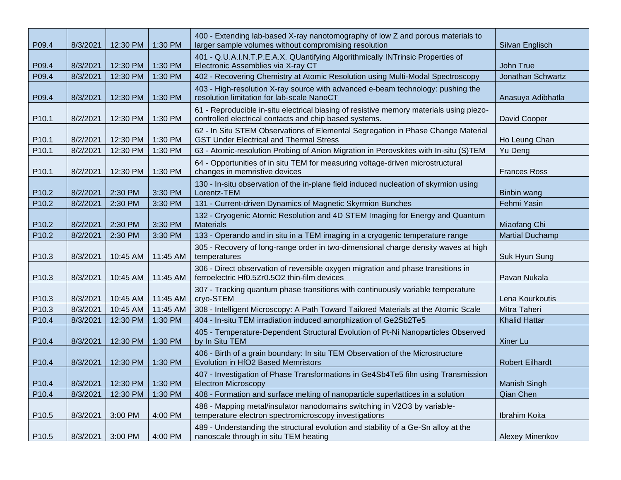| P09.4             | 8/3/2021 | 12:30 PM | 1:30 PM  | 400 - Extending lab-based X-ray nanotomography of low Z and porous materials to<br>larger sample volumes without compromising resolution          | Silvan Englisch        |
|-------------------|----------|----------|----------|---------------------------------------------------------------------------------------------------------------------------------------------------|------------------------|
| P09.4             | 8/3/2021 | 12:30 PM | 1:30 PM  | 401 - Q.U.A.I.N.T.P.E.A.X. QUantifying Algorithmically INTrinsic Properties of<br>Electronic Assemblies via X-ray CT                              | John True              |
| P09.4             | 8/3/2021 | 12:30 PM | 1:30 PM  | 402 - Recovering Chemistry at Atomic Resolution using Multi-Modal Spectroscopy                                                                    | Jonathan Schwartz      |
| P09.4             | 8/3/2021 | 12:30 PM | 1:30 PM  | 403 - High-resolution X-ray source with advanced e-beam technology: pushing the<br>resolution limitation for lab-scale NanoCT                     | Anasuya Adibhatla      |
| P <sub>10.1</sub> | 8/2/2021 | 12:30 PM | 1:30 PM  | 61 - Reproducible in-situ electrical biasing of resistive memory materials using piezo-<br>controlled electrical contacts and chip based systems. | David Cooper           |
| P <sub>10.1</sub> | 8/2/2021 | 12:30 PM | 1:30 PM  | 62 - In Situ STEM Observations of Elemental Segregation in Phase Change Material<br><b>GST Under Electrical and Thermal Stress</b>                | Ho Leung Chan          |
| P <sub>10.1</sub> | 8/2/2021 | 12:30 PM | 1:30 PM  | 63 - Atomic-resolution Probing of Anion Migration in Perovskites with In-situ (S)TEM                                                              | Yu Deng                |
| P <sub>10.1</sub> | 8/2/2021 | 12:30 PM | 1:30 PM  | 64 - Opportunities of in situ TEM for measuring voltage-driven microstructural<br>changes in memristive devices                                   | <b>Frances Ross</b>    |
| P10.2             | 8/2/2021 | 2:30 PM  | 3:30 PM  | 130 - In-situ observation of the in-plane field induced nucleation of skyrmion using<br>Lorentz-TEM                                               | Binbin wang            |
| P10.2             | 8/2/2021 | 2:30 PM  | 3:30 PM  | 131 - Current-driven Dynamics of Magnetic Skyrmion Bunches                                                                                        | Fehmi Yasin            |
| P10.2             | 8/2/2021 | 2:30 PM  | 3:30 PM  | 132 - Cryogenic Atomic Resolution and 4D STEM Imaging for Energy and Quantum<br><b>Materials</b>                                                  | Miaofang Chi           |
| P10.2             | 8/2/2021 | 2:30 PM  | 3:30 PM  | 133 - Operando and in situ in a TEM imaging in a cryogenic temperature range                                                                      | <b>Martial Duchamp</b> |
| P10.3             | 8/3/2021 | 10:45 AM | 11:45 AM | 305 - Recovery of long-range order in two-dimensional charge density waves at high<br>temperatures                                                | Suk Hyun Sung          |
| P <sub>10.3</sub> | 8/3/2021 | 10:45 AM | 11:45 AM | 306 - Direct observation of reversible oxygen migration and phase transitions in<br>ferroelectric Hf0.5Zr0.5O2 thin-film devices                  | Pavan Nukala           |
| P <sub>10.3</sub> | 8/3/2021 | 10:45 AM | 11:45 AM | 307 - Tracking quantum phase transitions with continuously variable temperature<br>cryo-STEM                                                      | Lena Kourkoutis        |
| P10.3             | 8/3/2021 | 10:45 AM | 11:45 AM | 308 - Intelligent Microscopy: A Path Toward Tailored Materials at the Atomic Scale                                                                | Mitra Taheri           |
| P10.4             | 8/3/2021 | 12:30 PM | 1:30 PM  | 404 - In-situ TEM irradiation induced amorphization of Ge2Sb2Te5                                                                                  | <b>Khalid Hattar</b>   |
| P <sub>10.4</sub> | 8/3/2021 | 12:30 PM | 1:30 PM  | 405 - Temperature-Dependent Structural Evolution of Pt-Ni Nanoparticles Observed<br>by In Situ TEM                                                | Xiner Lu               |
| P <sub>10.4</sub> | 8/3/2021 | 12:30 PM | 1:30 PM  | 406 - Birth of a grain boundary: In situ TEM Observation of the Microstructure<br>Evolution in HfO2 Based Memristors                              | <b>Robert Eilhardt</b> |
| P10.4             | 8/3/2021 | 12:30 PM | 1:30 PM  | 407 - Investigation of Phase Transformations in Ge4Sb4Te5 film using Transmission<br><b>Electron Microscopy</b>                                   | Manish Singh           |
| P10.4             | 8/3/2021 | 12:30 PM | 1:30 PM  | 408 - Formation and surface melting of nanoparticle superlattices in a solution                                                                   | Qian Chen              |
| P <sub>10.5</sub> | 8/3/2021 | 3:00 PM  | 4:00 PM  | 488 - Mapping metal/insulator nanodomains switching in V2O3 by variable-<br>temperature electron spectromicroscopy investigations                 | Ibrahim Koita          |
| P <sub>10.5</sub> | 8/3/2021 | 3:00 PM  | 4:00 PM  | 489 - Understanding the structural evolution and stability of a Ge-Sn alloy at the<br>nanoscale through in situ TEM heating                       | <b>Alexey Minenkov</b> |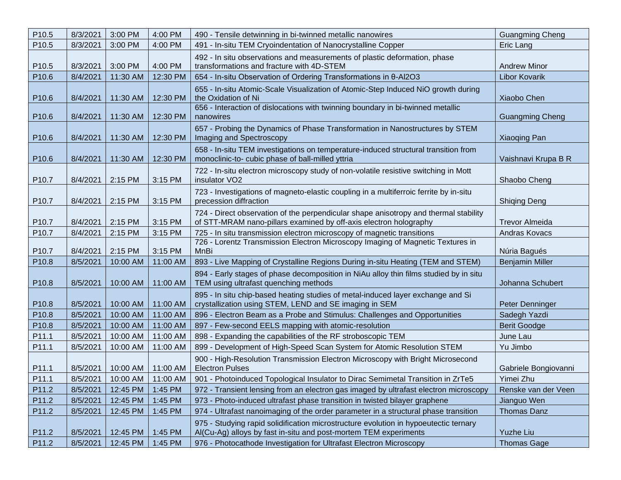| P10.5             | 8/3/2021 | 3:00 PM  | 4:00 PM  | 490 - Tensile detwinning in bi-twinned metallic nanowires                                                                                                 | <b>Guangming Cheng</b> |
|-------------------|----------|----------|----------|-----------------------------------------------------------------------------------------------------------------------------------------------------------|------------------------|
| P <sub>10.5</sub> | 8/3/2021 | 3:00 PM  | 4:00 PM  | 491 - In-situ TEM Cryoindentation of Nanocrystalline Copper                                                                                               | Eric Lang              |
|                   |          |          |          | 492 - In situ observations and measurements of plastic deformation, phase                                                                                 |                        |
| P <sub>10.5</sub> | 8/3/2021 | 3:00 PM  | 4:00 PM  | transformations and fracture with 4D-STEM                                                                                                                 | <b>Andrew Minor</b>    |
| P10.6             | 8/4/2021 | 11:30 AM | 12:30 PM | 654 - In-situ Observation of Ordering Transformations in 0-Al2O3                                                                                          | <b>Libor Kovarik</b>   |
| P <sub>10.6</sub> | 8/4/2021 | 11:30 AM | 12:30 PM | 655 - In-situ Atomic-Scale Visualization of Atomic-Step Induced NiO growth during<br>the Oxidation of Ni                                                  | Xiaobo Chen            |
| P10.6             | 8/4/2021 | 11:30 AM | 12:30 PM | 656 - Interaction of dislocations with twinning boundary in bi-twinned metallic<br>nanowires                                                              | <b>Guangming Cheng</b> |
| P <sub>10.6</sub> | 8/4/2021 | 11:30 AM | 12:30 PM | 657 - Probing the Dynamics of Phase Transformation in Nanostructures by STEM<br>Imaging and Spectroscopy                                                  | Xiaoqing Pan           |
| P <sub>10.6</sub> | 8/4/2021 | 11:30 AM | 12:30 PM | 658 - In-situ TEM investigations on temperature-induced structural transition from<br>monoclinic-to- cubic phase of ball-milled yttria                    | Vaishnavi Krupa B R    |
| P <sub>10.7</sub> | 8/4/2021 | 2:15 PM  | 3:15 PM  | 722 - In-situ electron microscopy study of non-volatile resistive switching in Mott<br>insulator VO <sub>2</sub>                                          | Shaobo Cheng           |
| P10.7             | 8/4/2021 | 2:15 PM  | 3:15 PM  | 723 - Investigations of magneto-elastic coupling in a multiferroic ferrite by in-situ<br>precession diffraction                                           | <b>Shiqing Deng</b>    |
| P <sub>10.7</sub> | 8/4/2021 | 2:15 PM  | 3:15 PM  | 724 - Direct observation of the perpendicular shape anisotropy and thermal stability<br>of STT-MRAM nano-pillars examined by off-axis electron holography | <b>Trevor Almeida</b>  |
| P10.7             | 8/4/2021 | 2:15 PM  | 3:15 PM  | 725 - In situ transmission electron microscopy of magnetic transitions                                                                                    | Andras Kovacs          |
| P <sub>10.7</sub> | 8/4/2021 | 2:15 PM  | 3:15 PM  | 726 - Lorentz Transmission Electron Microscopy Imaging of Magnetic Textures in<br>MnBi                                                                    | Núria Bagués           |
| P10.8             | 8/5/2021 | 10:00 AM | 11:00 AM | 893 - Live Mapping of Crystalline Regions During in-situ Heating (TEM and STEM)                                                                           | <b>Benjamin Miller</b> |
| P10.8             | 8/5/2021 | 10:00 AM | 11:00 AM | 894 - Early stages of phase decomposition in NiAu alloy thin films studied by in situ<br>TEM using ultrafast quenching methods                            | Johanna Schubert       |
| P10.8             | 8/5/2021 | 10:00 AM | 11:00 AM | 895 - In situ chip-based heating studies of metal-induced layer exchange and Si<br>crystallization using STEM, LEND and SE imaging in SEM                 | Peter Denninger        |
| P10.8             | 8/5/2021 | 10:00 AM | 11:00 AM | 896 - Electron Beam as a Probe and Stimulus: Challenges and Opportunities                                                                                 | Sadegh Yazdi           |
| P10.8             | 8/5/2021 | 10:00 AM | 11:00 AM | 897 - Few-second EELS mapping with atomic-resolution                                                                                                      | <b>Berit Goodge</b>    |
| P11.1             | 8/5/2021 | 10:00 AM | 11:00 AM | 898 - Expanding the capabilities of the RF stroboscopic TEM                                                                                               | June Lau               |
| P11.1             | 8/5/2021 | 10:00 AM | 11:00 AM | 899 - Development of High-Speed Scan System for Atomic Resolution STEM                                                                                    | Yu Jimbo               |
| P11.1             | 8/5/2021 | 10:00 AM | 11:00 AM | 900 - High-Resolution Transmission Electron Microscopy with Bright Microsecond<br><b>Electron Pulses</b>                                                  | Gabriele Bongiovanni   |
| P11.1             | 8/5/2021 | 10:00 AM | 11:00 AM | 901 - Photoinduced Topological Insulator to Dirac Semimetal Transition in ZrTe5                                                                           | Yimei Zhu              |
| P11.2             | 8/5/2021 | 12:45 PM | 1:45 PM  | 972 - Transient lensing from an electron gas imaged by ultrafast electron microscopy                                                                      | Renske van der Veen    |
| P11.2             | 8/5/2021 | 12:45 PM | 1:45 PM  | 973 - Photo-induced ultrafast phase transition in twisted bilayer graphene                                                                                | Jianguo Wen            |
| P11.2             | 8/5/2021 | 12:45 PM | 1:45 PM  | 974 - Ultrafast nanoimaging of the order parameter in a structural phase transition                                                                       | Thomas Danz            |
| P11.2             | 8/5/2021 | 12:45 PM | 1:45 PM  | 975 - Studying rapid solidification microstructure evolution in hypoeutectic ternary<br>Al(Cu-Ag) alloys by fast in-situ and post-mortem TEM experiments  | Yuzhe Liu              |
| P11.2             | 8/5/2021 | 12:45 PM | 1:45 PM  | 976 - Photocathode Investigation for Ultrafast Electron Microscopy                                                                                        | <b>Thomas Gage</b>     |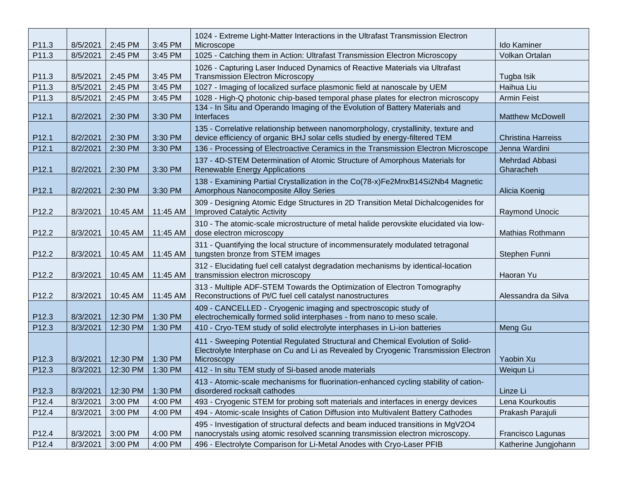| P11.3             | 8/5/2021 | 2:45 PM  | 3:45 PM  | 1024 - Extreme Light-Matter Interactions in the Ultrafast Transmission Electron<br>Microscope                                                                                      | <b>Ido Kaminer</b>          |
|-------------------|----------|----------|----------|------------------------------------------------------------------------------------------------------------------------------------------------------------------------------------|-----------------------------|
| P11.3             | 8/5/2021 | 2:45 PM  | 3:45 PM  | 1025 - Catching them in Action: Ultrafast Transmission Electron Microscopy                                                                                                         | Volkan Ortalan              |
| P11.3             | 8/5/2021 | 2:45 PM  | 3:45 PM  | 1026 - Capturing Laser Induced Dynamics of Reactive Materials via Ultrafast<br><b>Transmission Electron Microscopy</b>                                                             | Tugba Isik                  |
| P11.3             | 8/5/2021 | 2:45 PM  | 3:45 PM  | 1027 - Imaging of localized surface plasmonic field at nanoscale by UEM                                                                                                            | Haihua Liu                  |
| P11.3             | 8/5/2021 | 2:45 PM  | 3:45 PM  | 1028 - High-Q photonic chip-based temporal phase plates for electron microscopy                                                                                                    | <b>Armin Feist</b>          |
| P12.1             | 8/2/2021 | 2:30 PM  | 3:30 PM  | 134 - In Situ and Operando Imaging of the Evolution of Battery Materials and<br>Interfaces                                                                                         | <b>Matthew McDowell</b>     |
| P12.1             | 8/2/2021 | 2:30 PM  | 3:30 PM  | 135 - Correlative relationship between nanomorphology, crystallinity, texture and<br>device efficiency of organic BHJ solar cells studied by energy-filtered TEM                   | <b>Christina Harreiss</b>   |
| P12.1             | 8/2/2021 | 2:30 PM  | 3:30 PM  | 136 - Processing of Electroactive Ceramics in the Transmission Electron Microscope                                                                                                 | Jenna Wardini               |
| P <sub>12.1</sub> | 8/2/2021 | 2:30 PM  | 3:30 PM  | 137 - 4D-STEM Determination of Atomic Structure of Amorphous Materials for<br><b>Renewable Energy Applications</b>                                                                 | Mehrdad Abbasi<br>Gharacheh |
| P <sub>12.1</sub> | 8/2/2021 | 2:30 PM  | 3:30 PM  | 138 - Examining Partial Crystallization in the Co(78-x)Fe2MnxB14Si2Nb4 Magnetic<br>Amorphous Nanocomposite Alloy Series                                                            | Alicia Koenig               |
| P12.2             | 8/3/2021 | 10:45 AM | 11:45 AM | 309 - Designing Atomic Edge Structures in 2D Transition Metal Dichalcogenides for<br><b>Improved Catalytic Activity</b>                                                            | Raymond Unocic              |
| P12.2             | 8/3/2021 | 10:45 AM | 11:45 AM | 310 - The atomic-scale microstructure of metal halide perovskite elucidated via low-<br>dose electron microscopy                                                                   | Mathias Rothmann            |
| P12.2             | 8/3/2021 | 10:45 AM | 11:45 AM | 311 - Quantifying the local structure of incommensurately modulated tetragonal<br>tungsten bronze from STEM images                                                                 | Stephen Funni               |
| P12.2             | 8/3/2021 | 10:45 AM | 11:45 AM | 312 - Elucidating fuel cell catalyst degradation mechanisms by identical-location<br>transmission electron microscopy                                                              | Haoran Yu                   |
| P12.2             | 8/3/2021 | 10:45 AM | 11:45 AM | 313 - Multiple ADF-STEM Towards the Optimization of Electron Tomography<br>Reconstructions of Pt/C fuel cell catalyst nanostructures                                               | Alessandra da Silva         |
| P12.3             | 8/3/2021 | 12:30 PM | 1:30 PM  | 409 - CANCELLED - Cryogenic imaging and spectroscopic study of<br>electrochemically formed solid interphases - from nano to meso scale.                                            |                             |
| P12.3             | 8/3/2021 | 12:30 PM | 1:30 PM  | 410 - Cryo-TEM study of solid electrolyte interphases in Li-ion batteries                                                                                                          | Meng Gu                     |
| P12.3             | 8/3/2021 | 12:30 PM | 1:30 PM  | 411 - Sweeping Potential Regulated Structural and Chemical Evolution of Solid-<br>Electrolyte Interphase on Cu and Li as Revealed by Cryogenic Transmission Electron<br>Microscopy | Yaobin Xu                   |
| P12.3             | 8/3/2021 | 12:30 PM | 1:30 PM  | 412 - In situ TEM study of Si-based anode materials                                                                                                                                | Weiqun Li                   |
| P12.3             | 8/3/2021 | 12:30 PM | 1:30 PM  | 413 - Atomic-scale mechanisms for fluorination-enhanced cycling stability of cation-<br>disordered rocksalt cathodes                                                               | Linze Li                    |
| P12.4             | 8/3/2021 | 3:00 PM  | 4:00 PM  | 493 - Cryogenic STEM for probing soft materials and interfaces in energy devices                                                                                                   | Lena Kourkoutis             |
| P12.4             | 8/3/2021 | 3:00 PM  | 4:00 PM  | 494 - Atomic-scale Insights of Cation Diffusion into Multivalent Battery Cathodes                                                                                                  | Prakash Parajuli            |
| P12.4             | 8/3/2021 | 3:00 PM  | 4:00 PM  | 495 - Investigation of structural defects and beam induced transitions in MgV2O4<br>nanocrystals using atomic resolved scanning transmission electron microscopy.                  | Francisco Lagunas           |
| P12.4             | 8/3/2021 | 3:00 PM  | 4:00 PM  | 496 - Electrolyte Comparison for Li-Metal Anodes with Cryo-Laser PFIB                                                                                                              | Katherine Jungjohann        |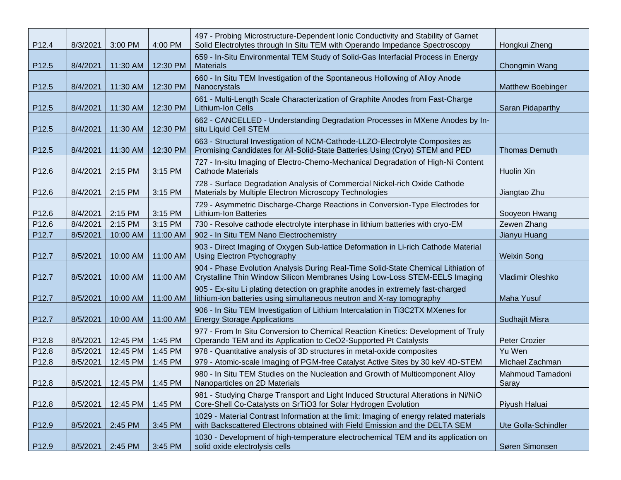| P12.4 | 8/3/2021 | 3:00 PM  | 4:00 PM  | 497 - Probing Microstructure-Dependent Ionic Conductivity and Stability of Garnet<br>Solid Electrolytes through In Situ TEM with Operando Impedance Spectroscopy      | Hongkui Zheng             |
|-------|----------|----------|----------|-----------------------------------------------------------------------------------------------------------------------------------------------------------------------|---------------------------|
| P12.5 | 8/4/2021 | 11:30 AM | 12:30 PM | 659 - In-Situ Environmental TEM Study of Solid-Gas Interfacial Process in Energy<br><b>Materials</b>                                                                  | Chongmin Wang             |
| P12.5 | 8/4/2021 | 11:30 AM | 12:30 PM | 660 - In Situ TEM Investigation of the Spontaneous Hollowing of Alloy Anode<br>Nanocrystals                                                                           | <b>Matthew Boebinger</b>  |
| P12.5 | 8/4/2021 | 11:30 AM | 12:30 PM | 661 - Multi-Length Scale Characterization of Graphite Anodes from Fast-Charge<br>Lithium-Ion Cells                                                                    | Saran Pidaparthy          |
| P12.5 | 8/4/2021 | 11:30 AM | 12:30 PM | 662 - CANCELLED - Understanding Degradation Processes in MXene Anodes by In-<br>situ Liquid Cell STEM                                                                 |                           |
| P12.5 | 8/4/2021 | 11:30 AM | 12:30 PM | 663 - Structural Investigation of NCM-Cathode-LLZO-Electrolyte Composites as<br>Promising Candidates for All-Solid-State Batteries Using (Cryo) STEM and PED          | <b>Thomas Demuth</b>      |
| P12.6 | 8/4/2021 | 2:15 PM  | 3:15 PM  | 727 - In-situ Imaging of Electro-Chemo-Mechanical Degradation of High-Ni Content<br><b>Cathode Materials</b>                                                          | Huolin Xin                |
| P12.6 | 8/4/2021 | 2:15 PM  | 3:15 PM  | 728 - Surface Degradation Analysis of Commercial Nickel-rich Oxide Cathode<br>Materials by Multiple Electron Microscopy Technologies                                  | Jiangtao Zhu              |
| P12.6 | 8/4/2021 | 2:15 PM  | 3:15 PM  | 729 - Asymmetric Discharge-Charge Reactions in Conversion-Type Electrodes for<br><b>Lithium-Ion Batteries</b>                                                         | Sooyeon Hwang             |
| P12.6 | 8/4/2021 | 2:15 PM  | 3:15 PM  | 730 - Resolve cathode electrolyte interphase in lithium batteries with cryo-EM                                                                                        | Zewen Zhang               |
| P12.7 | 8/5/2021 | 10:00 AM | 11:00 AM | 902 - In Situ TEM Nano Electrochemistry                                                                                                                               | Jianyu Huang              |
| P12.7 | 8/5/2021 | 10:00 AM | 11:00 AM | 903 - Direct Imaging of Oxygen Sub-lattice Deformation in Li-rich Cathode Material<br><b>Using Electron Ptychography</b>                                              | <b>Weixin Song</b>        |
| P12.7 | 8/5/2021 | 10:00 AM | 11:00 AM | 904 - Phase Evolution Analysis During Real-Time Solid-State Chemical Lithiation of<br>Crystalline Thin Window Silicon Membranes Using Low-Loss STEM-EELS Imaging      | Vladimir Oleshko          |
| P12.7 | 8/5/2021 | 10:00 AM | 11:00 AM | 905 - Ex-situ Li plating detection on graphite anodes in extremely fast-charged<br>lithium-ion batteries using simultaneous neutron and X-ray tomography              | <b>Maha Yusuf</b>         |
| P12.7 | 8/5/2021 | 10:00 AM | 11:00 AM | 906 - In Situ TEM Investigation of Lithium Intercalation in Ti3C2TX MXenes for<br><b>Energy Storage Applications</b>                                                  | Sudhajit Misra            |
| P12.8 | 8/5/2021 | 12:45 PM | 1:45 PM  | 977 - From In Situ Conversion to Chemical Reaction Kinetics: Development of Truly<br>Operando TEM and its Application to CeO2-Supported Pt Catalysts                  | Peter Crozier             |
| P12.8 | 8/5/2021 | 12:45 PM | 1:45 PM  | 978 - Quantitative analysis of 3D structures in metal-oxide composites                                                                                                | Yu Wen                    |
| P12.8 | 8/5/2021 | 12:45 PM | 1:45 PM  | 979 - Atomic-scale Imaging of PGM-free Catalyst Active Sites by 30 keV 4D-STEM                                                                                        | Michael Zachman           |
| P12.8 | 8/5/2021 | 12:45 PM | 1:45 PM  | 980 - In Situ TEM Studies on the Nucleation and Growth of Multicomponent Alloy<br>Nanoparticles on 2D Materials                                                       | Mahmoud Tamadoni<br>Saray |
| P12.8 | 8/5/2021 | 12:45 PM | 1:45 PM  | 981 - Studying Charge Transport and Light Induced Structural Alterations in Ni/NiO<br>Core-Shell Co-Catalysts on SrTiO3 for Solar Hydrogen Evolution                  | Piyush Haluai             |
| P12.9 | 8/5/2021 | 2:45 PM  | 3:45 PM  | 1029 - Material Contrast Information at the limit: Imaging of energy related materials<br>with Backscattered Electrons obtained with Field Emission and the DELTA SEM | Ute Golla-Schindler       |
| P12.9 | 8/5/2021 | 2:45 PM  | 3:45 PM  | 1030 - Development of high-temperature electrochemical TEM and its application on<br>solid oxide electrolysis cells                                                   | Søren Simonsen            |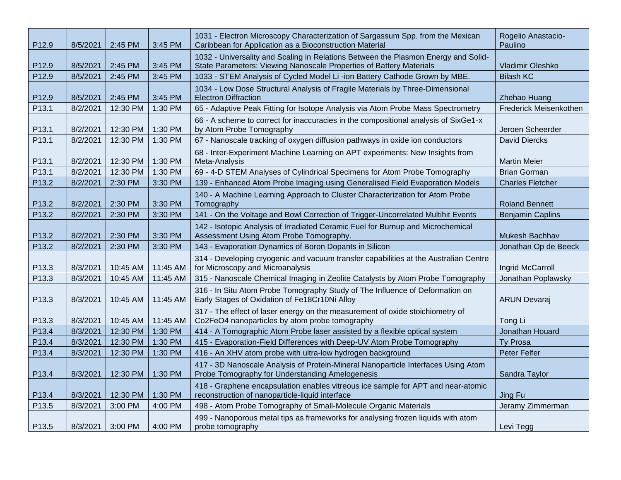| P12.9             | 8/5/2021 | 2:45 PM  | 3:45 PM  | 1031 - Electron Microscopy Characterization of Sargassum Spp. from the Mexican<br>Caribbean for Application as a Bioconstruction Material                 | Rogelio Anastacio-<br>Paulino |
|-------------------|----------|----------|----------|-----------------------------------------------------------------------------------------------------------------------------------------------------------|-------------------------------|
| P12.9             | 8/5/2021 | 2:45 PM  | 3:45 PM  | 1032 - Universality and Scaling in Relations Between the Plasmon Energy and Solid-<br>State Parameters: Viewing Nanoscale Properties of Battery Materials | Vladimir Oleshko              |
| P12.9             | 8/5/2021 | 2:45 PM  | 3:45 PM  | 1033 - STEM Analysis of Cycled Model Li -ion Battery Cathode Grown by MBE.                                                                                | <b>Bilash KC</b>              |
| P12.9             | 8/5/2021 | 2:45 PM  | 3:45 PM  | 1034 - Low Dose Structural Analysis of Fragile Materials by Three-Dimensional<br><b>Electron Diffraction</b>                                              | Zhehao Huang                  |
| P13.1             | 8/2/2021 | 12:30 PM | 1:30 PM  | 65 - Adaptive Peak Fitting for Isotope Analysis via Atom Probe Mass Spectrometry                                                                          | Frederick Meisenkothen        |
| P13.1             | 8/2/2021 | 12:30 PM | 1:30 PM  | 66 - A scheme to correct for inaccuracies in the compositional analysis of SixGe1-x<br>by Atom Probe Tomography                                           | Jeroen Scheerder              |
| P <sub>13.1</sub> | 8/2/2021 | 12:30 PM | 1:30 PM  | 67 - Nanoscale tracking of oxygen diffusion pathways in oxide ion conductors                                                                              | <b>David Diercks</b>          |
| P13.1             | 8/2/2021 | 12:30 PM | 1:30 PM  | 68 - Inter-Experiment Machine Learning on APT experiments: New Insights from<br>Meta-Analysis                                                             | <b>Martin Meier</b>           |
| P13.1             | 8/2/2021 | 12:30 PM | 1:30 PM  | 69 - 4-D STEM Analyses of Cylindrical Specimens for Atom Probe Tomography                                                                                 | <b>Brian Gorman</b>           |
| P13.2             | 8/2/2021 | 2:30 PM  | 3:30 PM  | 139 - Enhanced Atom Probe Imaging using Generalised Field Evaporation Models                                                                              | <b>Charles Fletcher</b>       |
| P13.2             | 8/2/2021 | 2:30 PM  | 3:30 PM  | 140 - A Machine Learning Approach to Cluster Characterization for Atom Probe<br>Tomography                                                                | <b>Roland Bennett</b>         |
| P <sub>13.2</sub> | 8/2/2021 | 2:30 PM  | 3:30 PM  | 141 - On the Voltage and Bowl Correction of Trigger-Uncorrelated Multihit Events                                                                          | <b>Benjamin Caplins</b>       |
| P13.2             | 8/2/2021 | 2:30 PM  | 3:30 PM  | 142 - Isotopic Analysis of Irradiated Ceramic Fuel for Burnup and Microchemical<br>Assessment Using Atom Probe Tomography.                                | Mukesh Bachhav                |
| P13.2             | 8/2/2021 | 2:30 PM  | 3:30 PM  | 143 - Evaporation Dynamics of Boron Dopants in Silicon                                                                                                    | Jonathan Op de Beeck          |
| P13.3             | 8/3/2021 | 10:45 AM | 11:45 AM | 314 - Developing cryogenic and vacuum transfer capabilities at the Australian Centre<br>for Microscopy and Microanalysis                                  | Ingrid McCarroll              |
| P13.3             | 8/3/2021 | 10:45 AM | 11:45 AM | 315 - Nanoscale Chemical Imaging in Zeolite Catalysts by Atom Probe Tomography                                                                            | Jonathan Poplawsky            |
| P13.3             | 8/3/2021 | 10:45 AM | 11:45 AM | 316 - In Situ Atom Probe Tomography Study of The Influence of Deformation on<br>Early Stages of Oxidation of Fe18Cr10Ni Alloy                             | <b>ARUN Devaraj</b>           |
| P13.3             | 8/3/2021 | 10:45 AM | 11:45 AM | 317 - The effect of laser energy on the measurement of oxide stoichiometry of<br>Co2FeO4 nanoparticles by atom probe tomography                           | Tong Li                       |
| P13.4             | 8/3/2021 | 12:30 PM | 1:30 PM  | 414 - A Tomographic Atom Probe laser assisted by a flexible optical system                                                                                | Jonathan Houard               |
| P13.4             | 8/3/2021 | 12:30 PM | 1:30 PM  | 415 - Evaporation-Field Differences with Deep-UV Atom Probe Tomography                                                                                    | <b>Ty Prosa</b>               |
| P13.4             | 8/3/2021 | 12:30 PM | 1:30 PM  | 416 - An XHV atom probe with ultra-low hydrogen background                                                                                                | <b>Peter Felfer</b>           |
| P13.4             | 8/3/2021 | 12:30 PM | 1:30 PM  | 417 - 3D Nanoscale Analysis of Protein-Mineral Nanoparticle Interfaces Using Atom<br>Probe Tomography for Understanding Amelogenesis                      | Sandra Taylor                 |
| P13.4             | 8/3/2021 | 12:30 PM | 1:30 PM  | 418 - Graphene encapsulation enables vitreous ice sample for APT and near-atomic<br>reconstruction of nanoparticle-liquid interface                       | Jing Fu                       |
| P13.5             | 8/3/2021 | 3:00 PM  | 4:00 PM  | 498 - Atom Probe Tomography of Small-Molecule Organic Materials                                                                                           | Jeramy Zimmerman              |
| P13.5             | 8/3/2021 | 3:00 PM  | 4:00 PM  | 499 - Nanoporous metal tips as frameworks for analysing frozen liquids with atom<br>probe tomography                                                      | Levi Tegg                     |